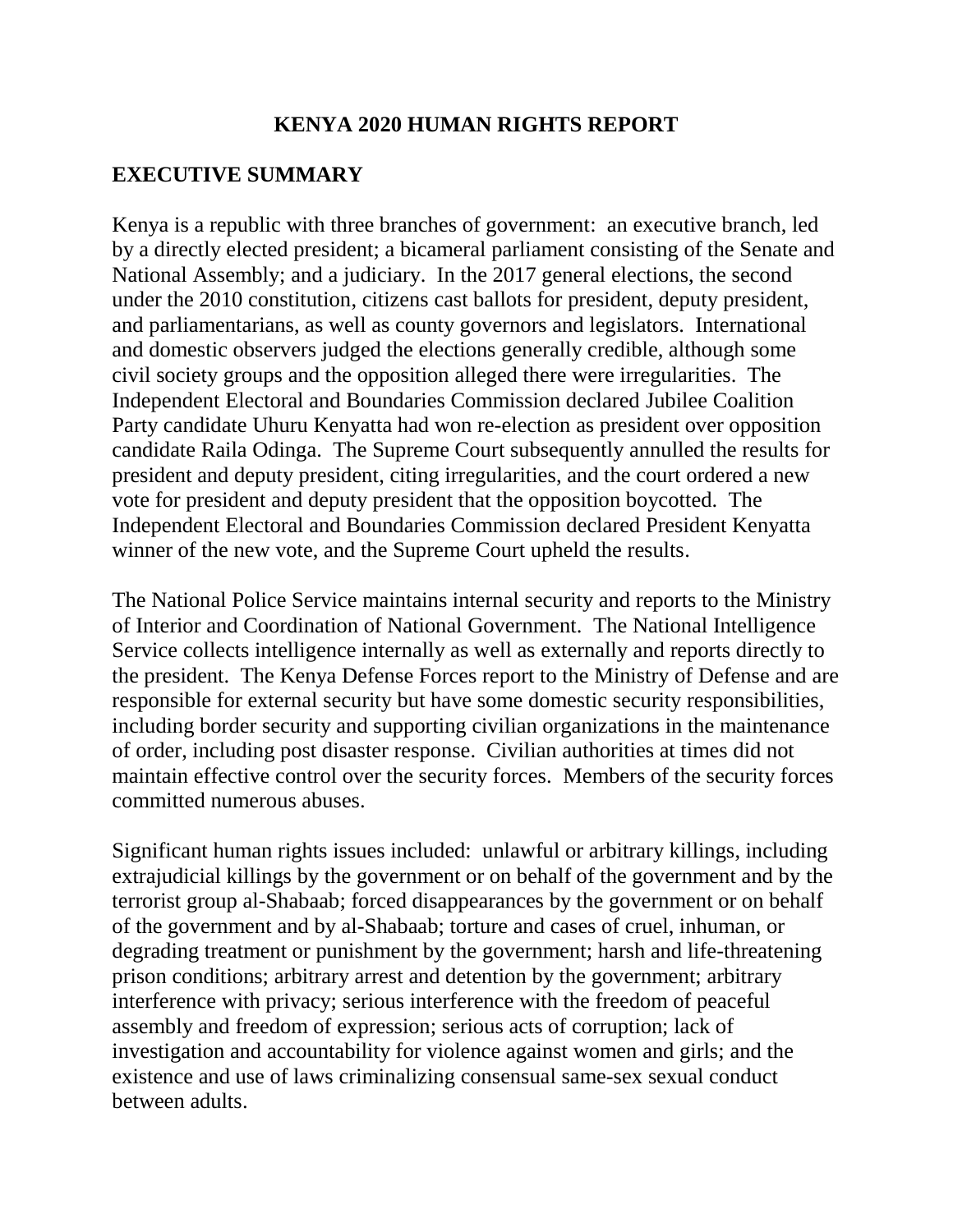### **KENYA 2020 HUMAN RIGHTS REPORT**

### **EXECUTIVE SUMMARY**

Kenya is a republic with three branches of government: an executive branch, led by a directly elected president; a bicameral parliament consisting of the Senate and National Assembly; and a judiciary. In the 2017 general elections, the second under the 2010 constitution, citizens cast ballots for president, deputy president, and parliamentarians, as well as county governors and legislators. International and domestic observers judged the elections generally credible, although some civil society groups and the opposition alleged there were irregularities. The Independent Electoral and Boundaries Commission declared Jubilee Coalition Party candidate Uhuru Kenyatta had won re-election as president over opposition candidate Raila Odinga. The Supreme Court subsequently annulled the results for president and deputy president, citing irregularities, and the court ordered a new vote for president and deputy president that the opposition boycotted. The Independent Electoral and Boundaries Commission declared President Kenyatta winner of the new vote, and the Supreme Court upheld the results.

The National Police Service maintains internal security and reports to the Ministry of Interior and Coordination of National Government. The National Intelligence Service collects intelligence internally as well as externally and reports directly to the president. The Kenya Defense Forces report to the Ministry of Defense and are responsible for external security but have some domestic security responsibilities, including border security and supporting civilian organizations in the maintenance of order, including post disaster response. Civilian authorities at times did not maintain effective control over the security forces. Members of the security forces committed numerous abuses.

Significant human rights issues included: unlawful or arbitrary killings, including extrajudicial killings by the government or on behalf of the government and by the terrorist group al-Shabaab; forced disappearances by the government or on behalf of the government and by al-Shabaab; torture and cases of cruel, inhuman, or degrading treatment or punishment by the government; harsh and life-threatening prison conditions; arbitrary arrest and detention by the government; arbitrary interference with privacy; serious interference with the freedom of peaceful assembly and freedom of expression; serious acts of corruption; lack of investigation and accountability for violence against women and girls; and the existence and use of laws criminalizing consensual same-sex sexual conduct between adults.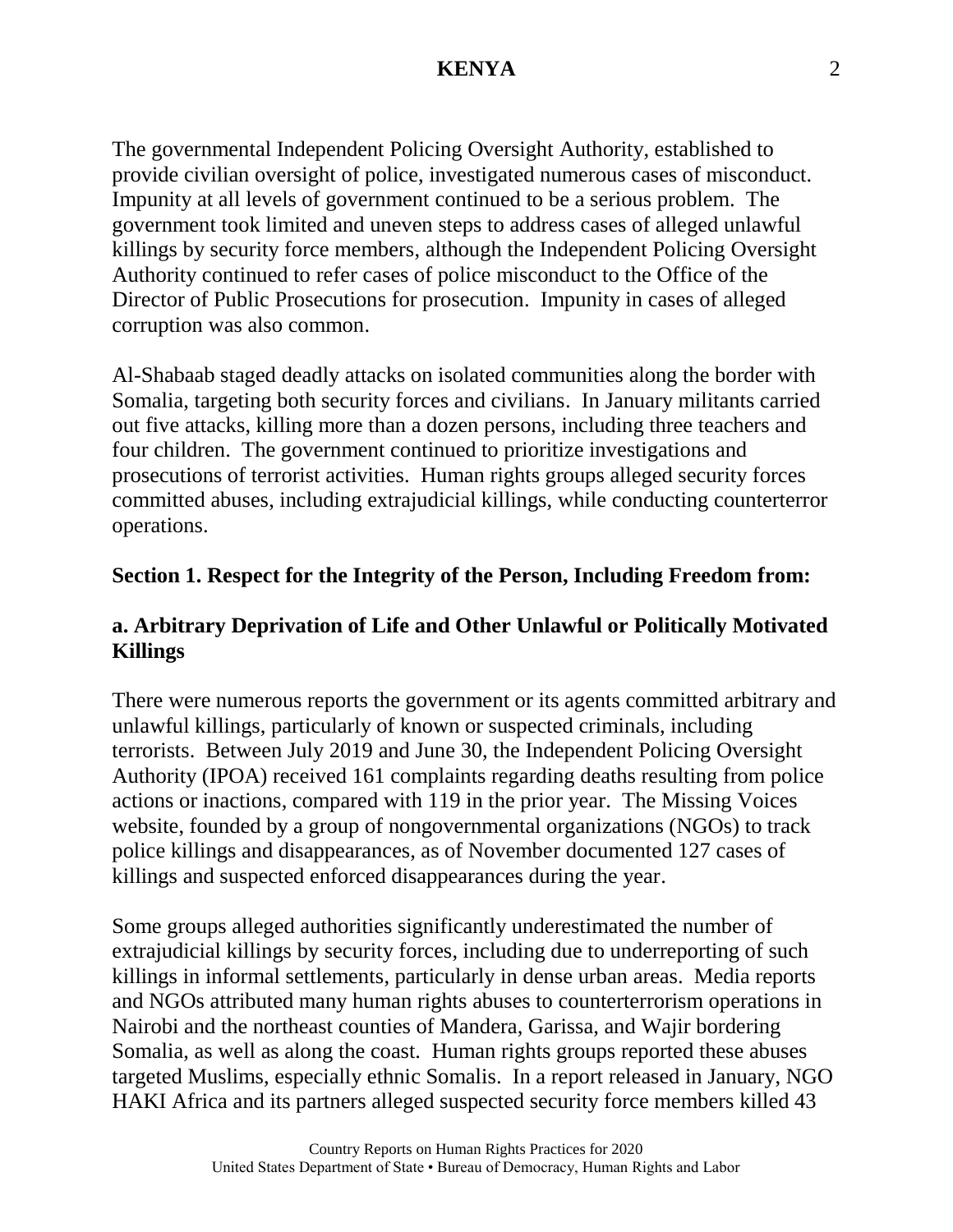The governmental Independent Policing Oversight Authority, established to provide civilian oversight of police, investigated numerous cases of misconduct. Impunity at all levels of government continued to be a serious problem. The government took limited and uneven steps to address cases of alleged unlawful killings by security force members, although the Independent Policing Oversight Authority continued to refer cases of police misconduct to the Office of the Director of Public Prosecutions for prosecution. Impunity in cases of alleged corruption was also common.

Al-Shabaab staged deadly attacks on isolated communities along the border with Somalia, targeting both security forces and civilians. In January militants carried out five attacks, killing more than a dozen persons, including three teachers and four children. The government continued to prioritize investigations and prosecutions of terrorist activities. Human rights groups alleged security forces committed abuses, including extrajudicial killings, while conducting counterterror operations.

### **Section 1. Respect for the Integrity of the Person, Including Freedom from:**

### **a. Arbitrary Deprivation of Life and Other Unlawful or Politically Motivated Killings**

There were numerous reports the government or its agents committed arbitrary and unlawful killings, particularly of known or suspected criminals, including terrorists. Between July 2019 and June 30, the Independent Policing Oversight Authority (IPOA) received 161 complaints regarding deaths resulting from police actions or inactions, compared with 119 in the prior year. The Missing Voices website, founded by a group of nongovernmental organizations (NGOs) to track police killings and disappearances, as of November documented 127 cases of killings and suspected enforced disappearances during the year.

Some groups alleged authorities significantly underestimated the number of extrajudicial killings by security forces, including due to underreporting of such killings in informal settlements, particularly in dense urban areas. Media reports and NGOs attributed many human rights abuses to counterterrorism operations in Nairobi and the northeast counties of Mandera, Garissa, and Wajir bordering Somalia, as well as along the coast. Human rights groups reported these abuses targeted Muslims, especially ethnic Somalis. In a report released in January, NGO HAKI Africa and its partners alleged suspected security force members killed 43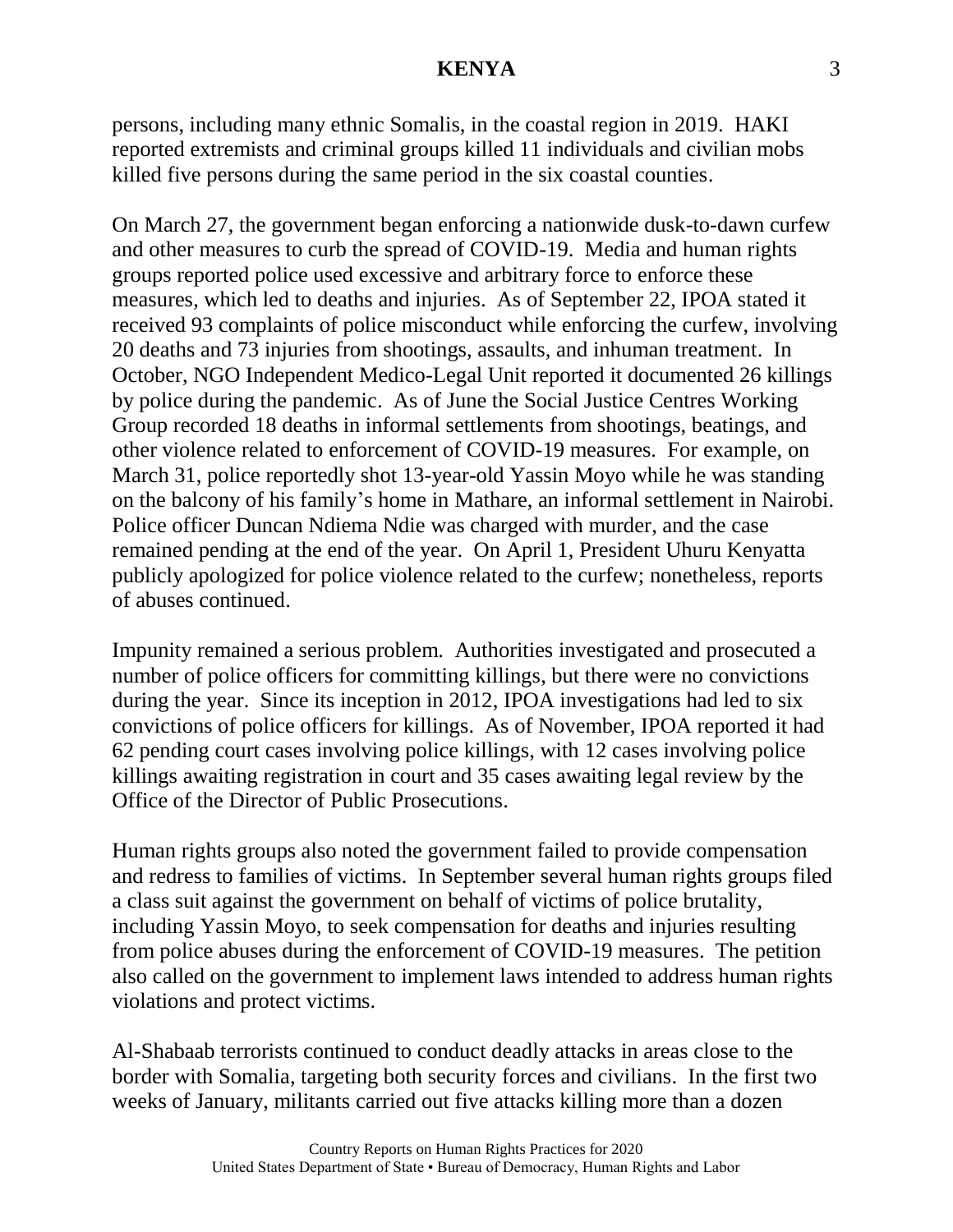persons, including many ethnic Somalis, in the coastal region in 2019. HAKI reported extremists and criminal groups killed 11 individuals and civilian mobs killed five persons during the same period in the six coastal counties.

On March 27, the government began enforcing a nationwide dusk-to-dawn curfew and other measures to curb the spread of COVID-19. Media and human rights groups reported police used excessive and arbitrary force to enforce these measures, which led to deaths and injuries. As of September 22, IPOA stated it received 93 complaints of police misconduct while enforcing the curfew, involving 20 deaths and 73 injuries from shootings, assaults, and inhuman treatment. In October, NGO Independent Medico-Legal Unit reported it documented 26 killings by police during the pandemic. As of June the Social Justice Centres Working Group recorded 18 deaths in informal settlements from shootings, beatings, and other violence related to enforcement of COVID-19 measures. For example, on March 31, police reportedly shot 13-year-old Yassin Moyo while he was standing on the balcony of his family's home in Mathare, an informal settlement in Nairobi. Police officer Duncan Ndiema Ndie was charged with murder, and the case remained pending at the end of the year. On April 1, President Uhuru Kenyatta publicly apologized for police violence related to the curfew; nonetheless, reports of abuses continued.

Impunity remained a serious problem. Authorities investigated and prosecuted a number of police officers for committing killings, but there were no convictions during the year. Since its inception in 2012, IPOA investigations had led to six convictions of police officers for killings. As of November, IPOA reported it had 62 pending court cases involving police killings, with 12 cases involving police killings awaiting registration in court and 35 cases awaiting legal review by the Office of the Director of Public Prosecutions.

Human rights groups also noted the government failed to provide compensation and redress to families of victims. In September several human rights groups filed a class suit against the government on behalf of victims of police brutality, including Yassin Moyo, to seek compensation for deaths and injuries resulting from police abuses during the enforcement of COVID-19 measures. The petition also called on the government to implement laws intended to address human rights violations and protect victims.

Al-Shabaab terrorists continued to conduct deadly attacks in areas close to the border with Somalia, targeting both security forces and civilians. In the first two weeks of January, militants carried out five attacks killing more than a dozen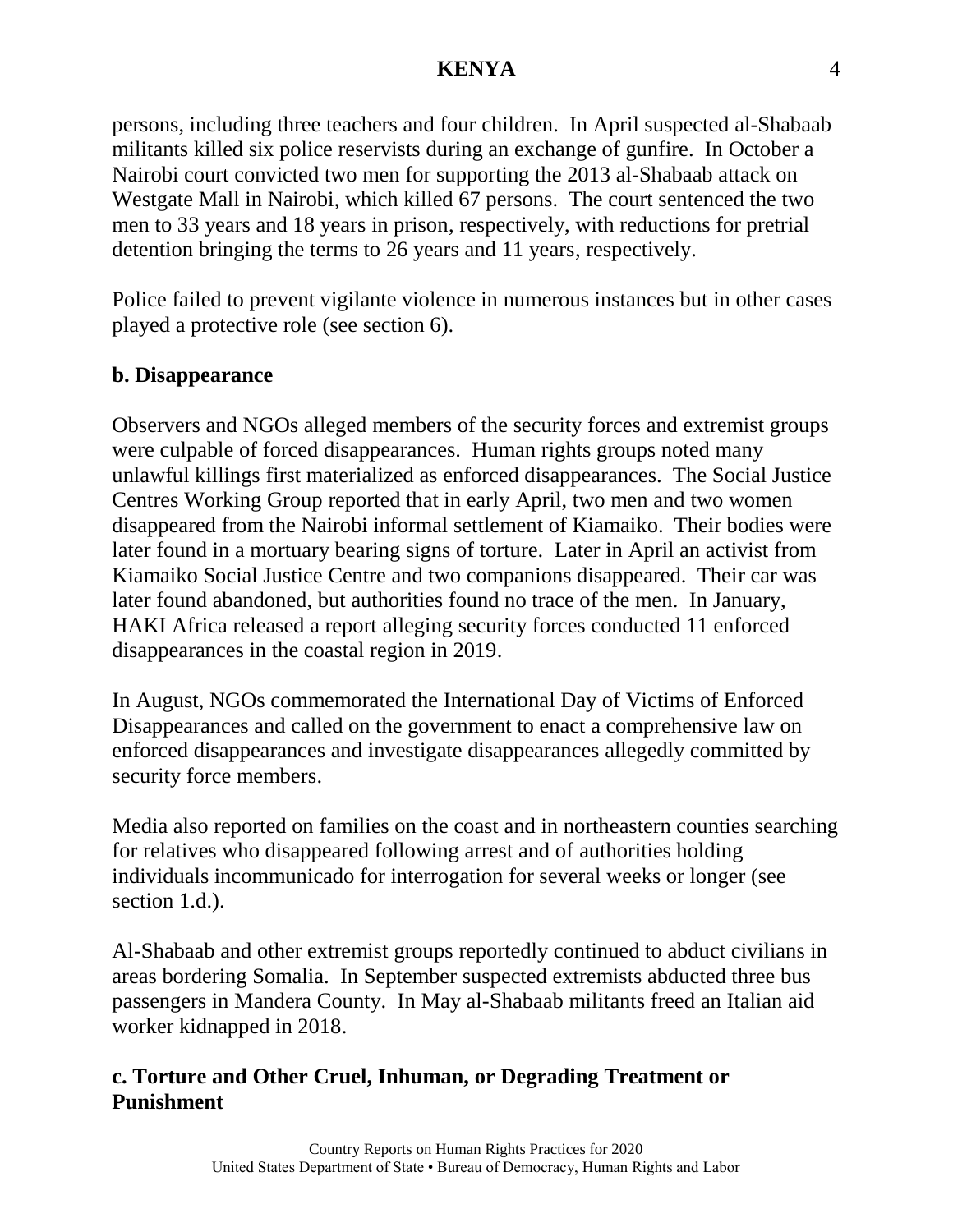persons, including three teachers and four children. In April suspected al-Shabaab militants killed six police reservists during an exchange of gunfire. In October a Nairobi court convicted two men for supporting the 2013 al-Shabaab attack on Westgate Mall in Nairobi, which killed 67 persons. The court sentenced the two men to 33 years and 18 years in prison, respectively, with reductions for pretrial detention bringing the terms to 26 years and 11 years, respectively.

Police failed to prevent vigilante violence in numerous instances but in other cases played a protective role (see section 6).

#### **b. Disappearance**

Observers and NGOs alleged members of the security forces and extremist groups were culpable of forced disappearances. Human rights groups noted many unlawful killings first materialized as enforced disappearances. The Social Justice Centres Working Group reported that in early April, two men and two women disappeared from the Nairobi informal settlement of Kiamaiko. Their bodies were later found in a mortuary bearing signs of torture. Later in April an activist from Kiamaiko Social Justice Centre and two companions disappeared. Their car was later found abandoned, but authorities found no trace of the men. In January, HAKI Africa released a report alleging security forces conducted 11 enforced disappearances in the coastal region in 2019.

In August, NGOs commemorated the International Day of Victims of Enforced Disappearances and called on the government to enact a comprehensive law on enforced disappearances and investigate disappearances allegedly committed by security force members.

Media also reported on families on the coast and in northeastern counties searching for relatives who disappeared following arrest and of authorities holding individuals incommunicado for interrogation for several weeks or longer (see section 1.d.).

Al-Shabaab and other extremist groups reportedly continued to abduct civilians in areas bordering Somalia. In September suspected extremists abducted three bus passengers in Mandera County. In May al-Shabaab militants freed an Italian aid worker kidnapped in 2018.

### **c. Torture and Other Cruel, Inhuman, or Degrading Treatment or Punishment**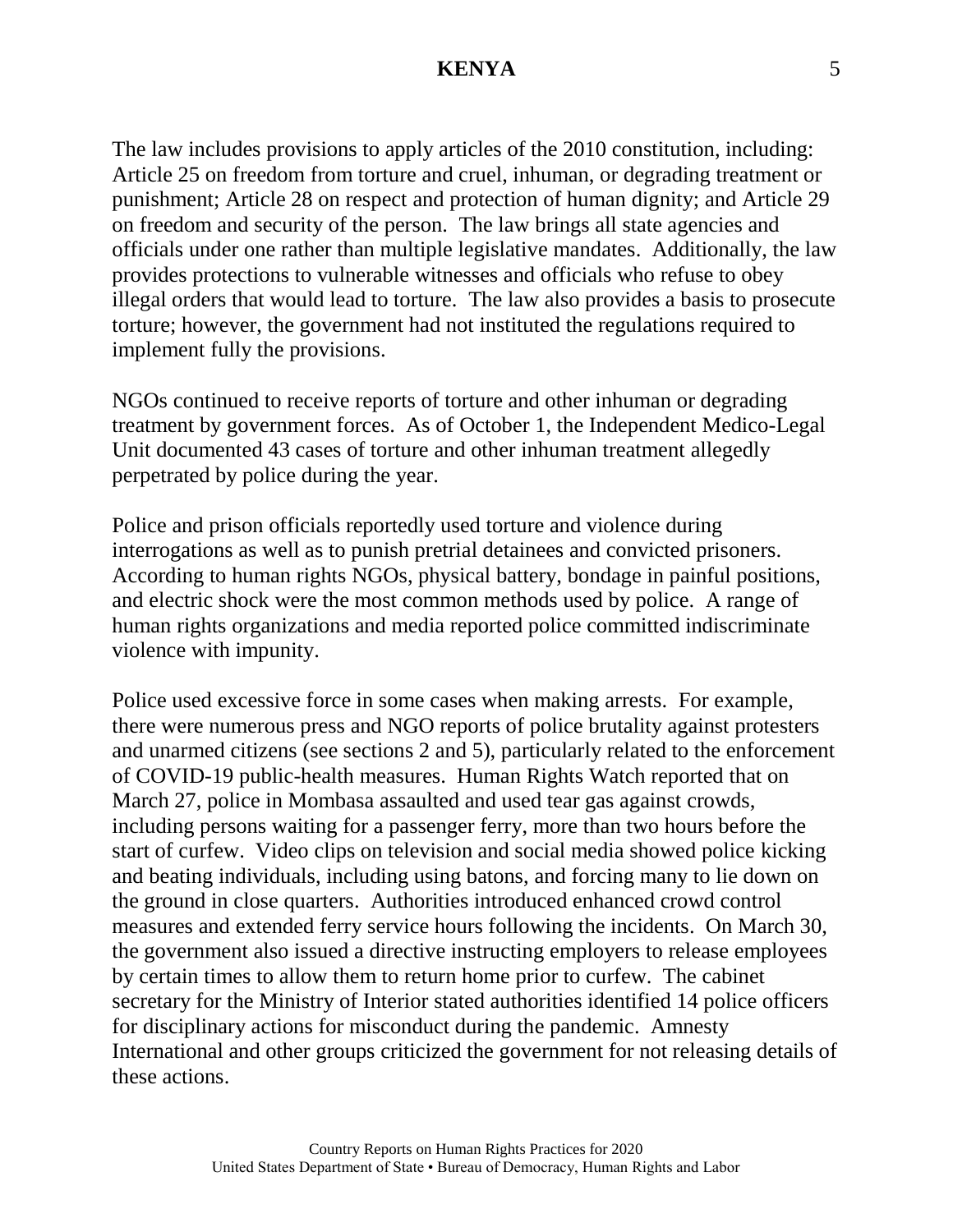The law includes provisions to apply articles of the 2010 constitution, including: Article 25 on freedom from torture and cruel, inhuman, or degrading treatment or punishment; Article 28 on respect and protection of human dignity; and Article 29 on freedom and security of the person. The law brings all state agencies and officials under one rather than multiple legislative mandates. Additionally, the law provides protections to vulnerable witnesses and officials who refuse to obey illegal orders that would lead to torture. The law also provides a basis to prosecute torture; however, the government had not instituted the regulations required to implement fully the provisions.

NGOs continued to receive reports of torture and other inhuman or degrading treatment by government forces. As of October 1, the Independent Medico-Legal Unit documented 43 cases of torture and other inhuman treatment allegedly perpetrated by police during the year.

Police and prison officials reportedly used torture and violence during interrogations as well as to punish pretrial detainees and convicted prisoners. According to human rights NGOs, physical battery, bondage in painful positions, and electric shock were the most common methods used by police. A range of human rights organizations and media reported police committed indiscriminate violence with impunity.

Police used excessive force in some cases when making arrests. For example, there were numerous press and NGO reports of police brutality against protesters and unarmed citizens (see sections 2 and 5), particularly related to the enforcement of COVID-19 public-health measures. Human Rights Watch reported that on March 27, police in Mombasa assaulted and used tear gas against crowds, including persons waiting for a passenger ferry, more than two hours before the start of curfew. Video clips on television and social media showed police kicking and beating individuals, including using batons, and forcing many to lie down on the ground in close quarters. Authorities introduced enhanced crowd control measures and extended ferry service hours following the incidents. On March 30, the government also issued a directive instructing employers to release employees by certain times to allow them to return home prior to curfew. The cabinet secretary for the Ministry of Interior stated authorities identified 14 police officers for disciplinary actions for misconduct during the pandemic. Amnesty International and other groups criticized the government for not releasing details of these actions.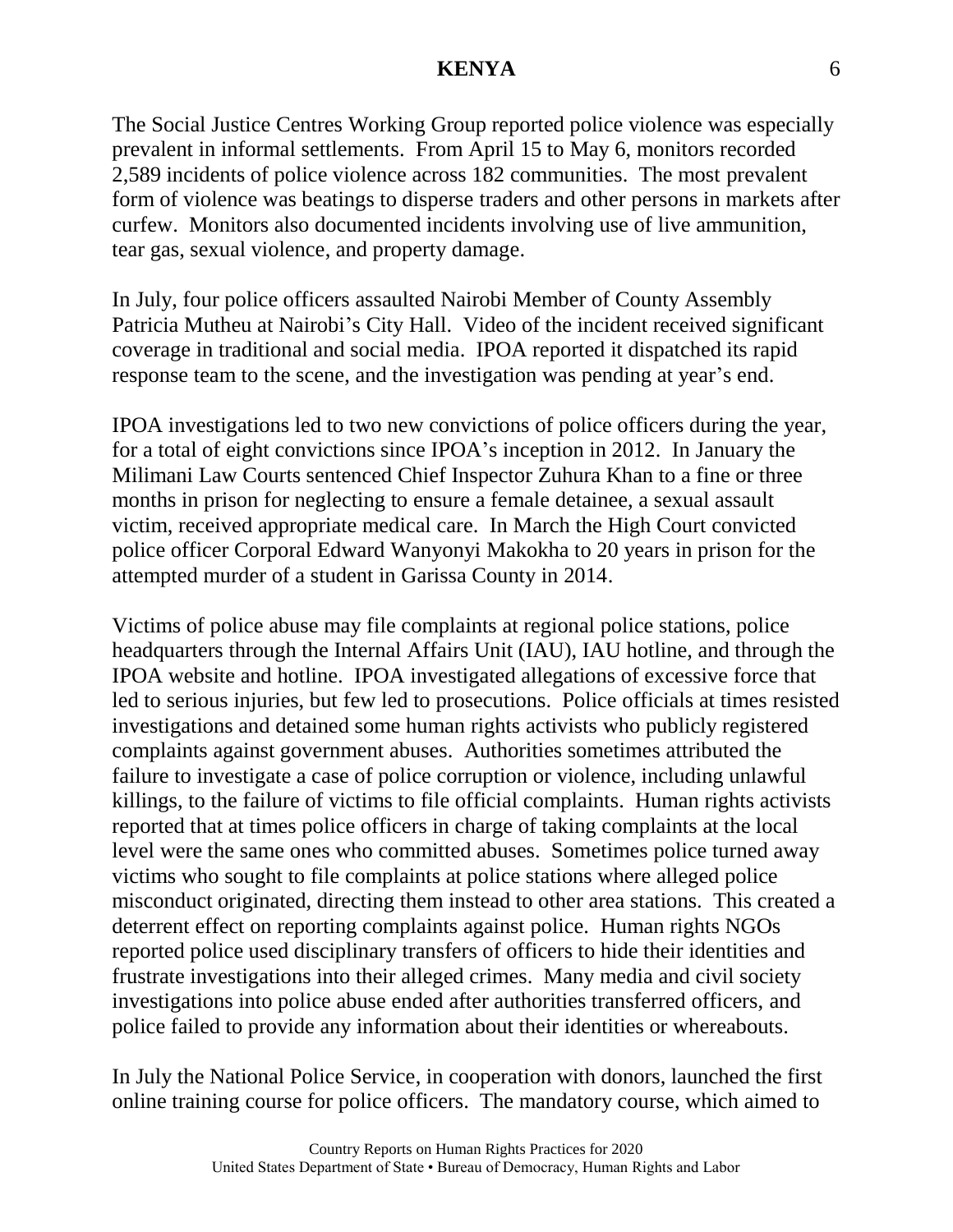The Social Justice Centres Working Group reported police violence was especially prevalent in informal settlements. From April 15 to May 6, monitors recorded 2,589 incidents of police violence across 182 communities. The most prevalent form of violence was beatings to disperse traders and other persons in markets after curfew. Monitors also documented incidents involving use of live ammunition, tear gas, sexual violence, and property damage.

In July, four police officers assaulted Nairobi Member of County Assembly Patricia Mutheu at Nairobi's City Hall. Video of the incident received significant coverage in traditional and social media. IPOA reported it dispatched its rapid response team to the scene, and the investigation was pending at year's end.

IPOA investigations led to two new convictions of police officers during the year, for a total of eight convictions since IPOA's inception in 2012. In January the Milimani Law Courts sentenced Chief Inspector Zuhura Khan to a fine or three months in prison for neglecting to ensure a female detainee, a sexual assault victim, received appropriate medical care. In March the High Court convicted police officer Corporal Edward Wanyonyi Makokha to 20 years in prison for the attempted murder of a student in Garissa County in 2014.

Victims of police abuse may file complaints at regional police stations, police headquarters through the Internal Affairs Unit (IAU), IAU hotline, and through the IPOA website and hotline. IPOA investigated allegations of excessive force that led to serious injuries, but few led to prosecutions. Police officials at times resisted investigations and detained some human rights activists who publicly registered complaints against government abuses. Authorities sometimes attributed the failure to investigate a case of police corruption or violence, including unlawful killings, to the failure of victims to file official complaints. Human rights activists reported that at times police officers in charge of taking complaints at the local level were the same ones who committed abuses. Sometimes police turned away victims who sought to file complaints at police stations where alleged police misconduct originated, directing them instead to other area stations. This created a deterrent effect on reporting complaints against police. Human rights NGOs reported police used disciplinary transfers of officers to hide their identities and frustrate investigations into their alleged crimes. Many media and civil society investigations into police abuse ended after authorities transferred officers, and police failed to provide any information about their identities or whereabouts.

In July the National Police Service, in cooperation with donors, launched the first online training course for police officers. The mandatory course, which aimed to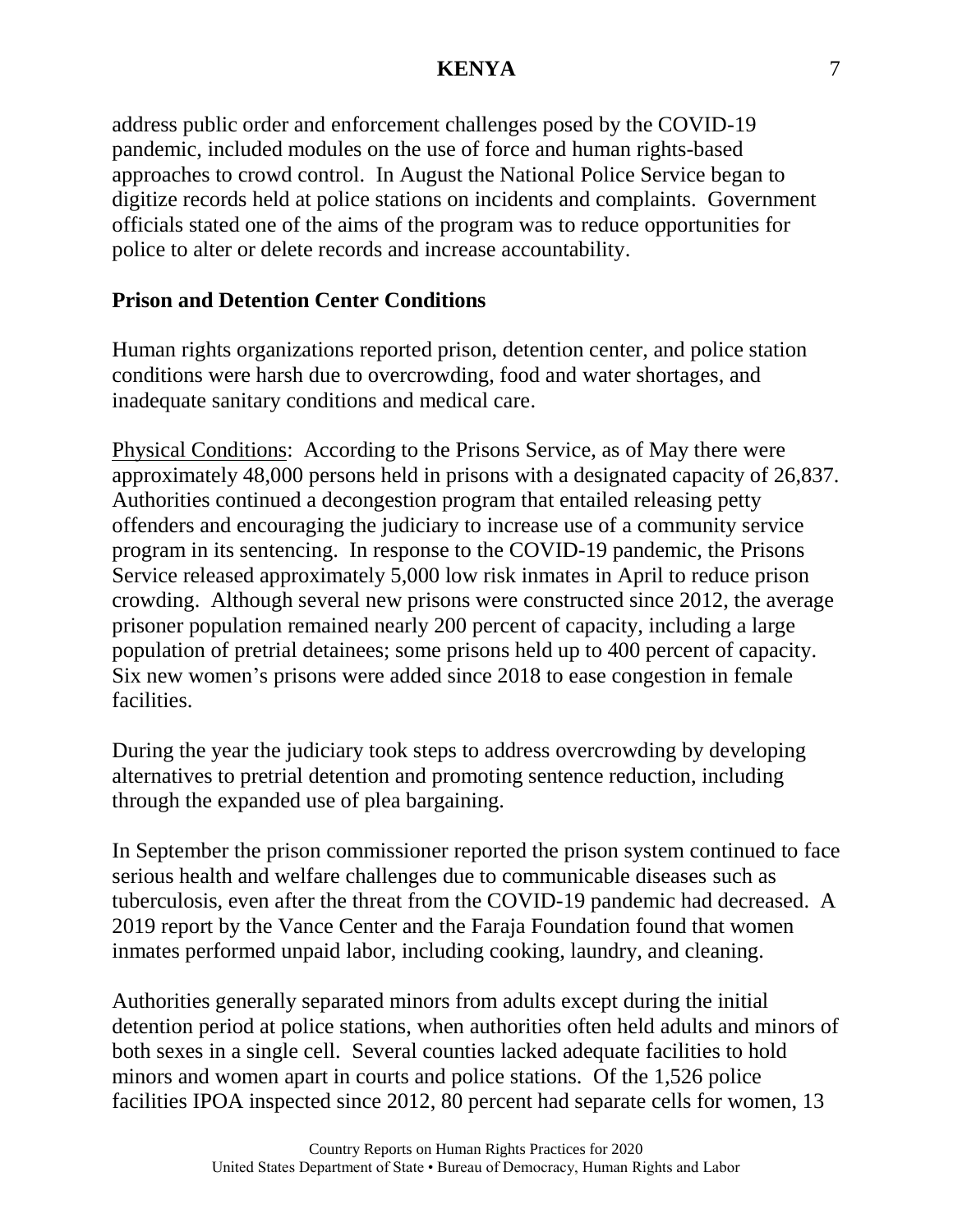address public order and enforcement challenges posed by the COVID-19 pandemic, included modules on the use of force and human rights-based approaches to crowd control. In August the National Police Service began to digitize records held at police stations on incidents and complaints. Government officials stated one of the aims of the program was to reduce opportunities for police to alter or delete records and increase accountability.

### **Prison and Detention Center Conditions**

Human rights organizations reported prison, detention center, and police station conditions were harsh due to overcrowding, food and water shortages, and inadequate sanitary conditions and medical care.

Physical Conditions: According to the Prisons Service, as of May there were approximately 48,000 persons held in prisons with a designated capacity of 26,837. Authorities continued a decongestion program that entailed releasing petty offenders and encouraging the judiciary to increase use of a community service program in its sentencing. In response to the COVID-19 pandemic, the Prisons Service released approximately 5,000 low risk inmates in April to reduce prison crowding. Although several new prisons were constructed since 2012, the average prisoner population remained nearly 200 percent of capacity, including a large population of pretrial detainees; some prisons held up to 400 percent of capacity. Six new women's prisons were added since 2018 to ease congestion in female facilities.

During the year the judiciary took steps to address overcrowding by developing alternatives to pretrial detention and promoting sentence reduction, including through the expanded use of plea bargaining.

In September the prison commissioner reported the prison system continued to face serious health and welfare challenges due to communicable diseases such as tuberculosis, even after the threat from the COVID-19 pandemic had decreased. A 2019 report by the Vance Center and the Faraja Foundation found that women inmates performed unpaid labor, including cooking, laundry, and cleaning.

Authorities generally separated minors from adults except during the initial detention period at police stations, when authorities often held adults and minors of both sexes in a single cell. Several counties lacked adequate facilities to hold minors and women apart in courts and police stations. Of the 1,526 police facilities IPOA inspected since 2012, 80 percent had separate cells for women, 13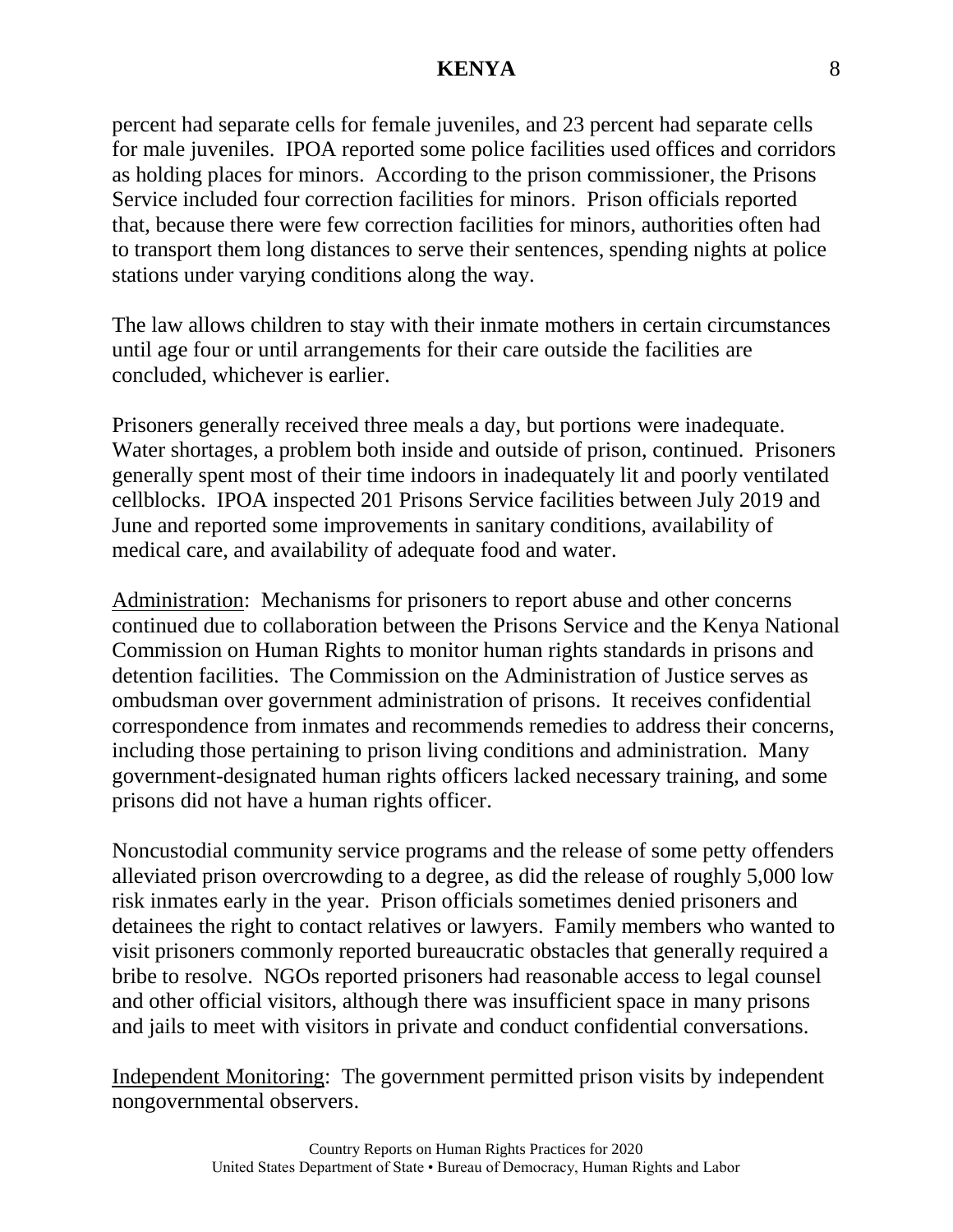percent had separate cells for female juveniles, and 23 percent had separate cells for male juveniles. IPOA reported some police facilities used offices and corridors as holding places for minors. According to the prison commissioner, the Prisons Service included four correction facilities for minors. Prison officials reported that, because there were few correction facilities for minors, authorities often had to transport them long distances to serve their sentences, spending nights at police stations under varying conditions along the way.

The law allows children to stay with their inmate mothers in certain circumstances until age four or until arrangements for their care outside the facilities are concluded, whichever is earlier.

Prisoners generally received three meals a day, but portions were inadequate. Water shortages, a problem both inside and outside of prison, continued. Prisoners generally spent most of their time indoors in inadequately lit and poorly ventilated cellblocks. IPOA inspected 201 Prisons Service facilities between July 2019 and June and reported some improvements in sanitary conditions, availability of medical care, and availability of adequate food and water.

Administration: Mechanisms for prisoners to report abuse and other concerns continued due to collaboration between the Prisons Service and the Kenya National Commission on Human Rights to monitor human rights standards in prisons and detention facilities. The Commission on the Administration of Justice serves as ombudsman over government administration of prisons. It receives confidential correspondence from inmates and recommends remedies to address their concerns, including those pertaining to prison living conditions and administration. Many government-designated human rights officers lacked necessary training, and some prisons did not have a human rights officer.

Noncustodial community service programs and the release of some petty offenders alleviated prison overcrowding to a degree, as did the release of roughly 5,000 low risk inmates early in the year. Prison officials sometimes denied prisoners and detainees the right to contact relatives or lawyers. Family members who wanted to visit prisoners commonly reported bureaucratic obstacles that generally required a bribe to resolve. NGOs reported prisoners had reasonable access to legal counsel and other official visitors, although there was insufficient space in many prisons and jails to meet with visitors in private and conduct confidential conversations.

Independent Monitoring: The government permitted prison visits by independent nongovernmental observers.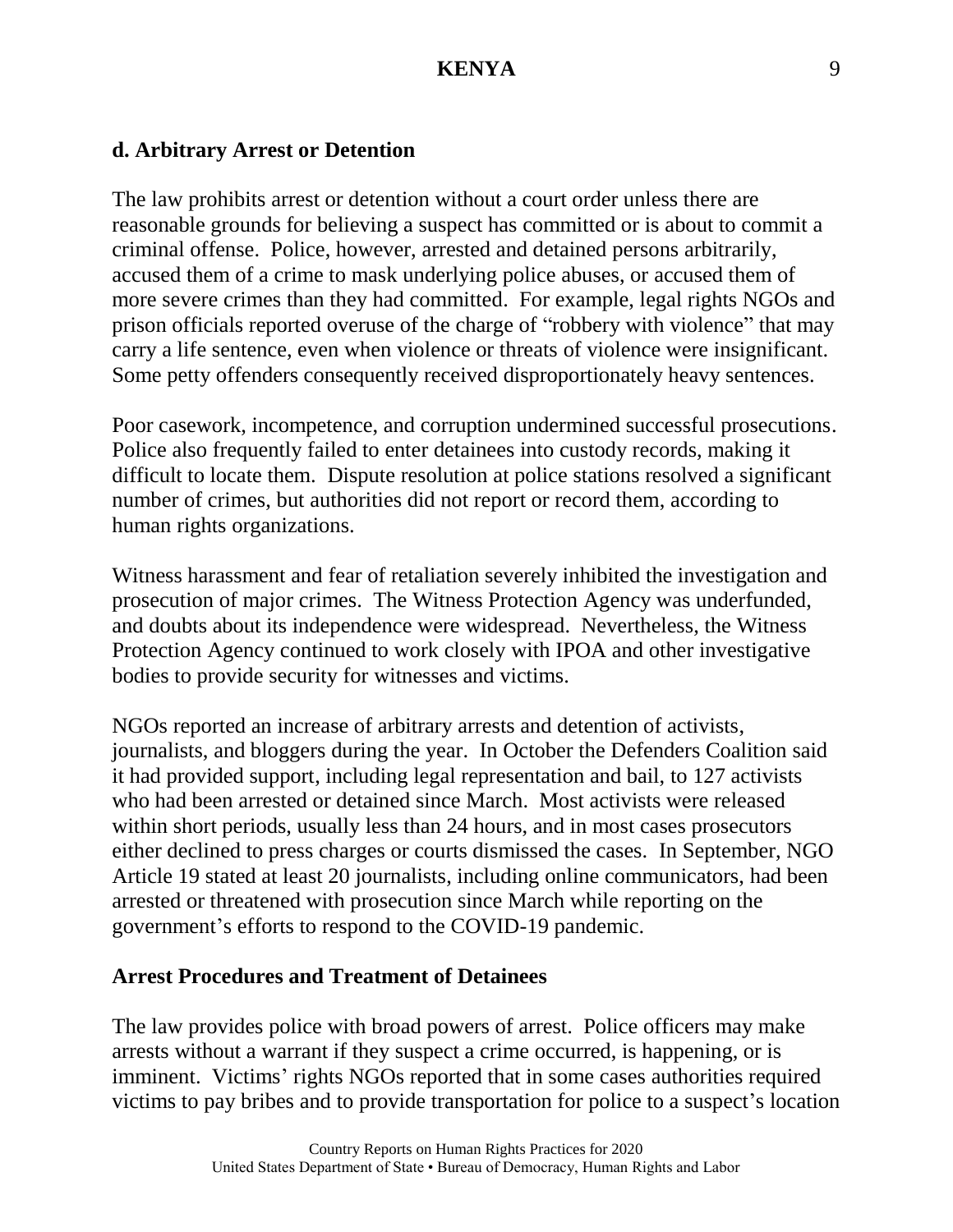#### **d. Arbitrary Arrest or Detention**

The law prohibits arrest or detention without a court order unless there are reasonable grounds for believing a suspect has committed or is about to commit a criminal offense. Police, however, arrested and detained persons arbitrarily, accused them of a crime to mask underlying police abuses, or accused them of more severe crimes than they had committed. For example, legal rights NGOs and prison officials reported overuse of the charge of "robbery with violence" that may carry a life sentence, even when violence or threats of violence were insignificant. Some petty offenders consequently received disproportionately heavy sentences.

Poor casework, incompetence, and corruption undermined successful prosecutions. Police also frequently failed to enter detainees into custody records, making it difficult to locate them. Dispute resolution at police stations resolved a significant number of crimes, but authorities did not report or record them, according to human rights organizations.

Witness harassment and fear of retaliation severely inhibited the investigation and prosecution of major crimes. The Witness Protection Agency was underfunded, and doubts about its independence were widespread. Nevertheless, the Witness Protection Agency continued to work closely with IPOA and other investigative bodies to provide security for witnesses and victims.

NGOs reported an increase of arbitrary arrests and detention of activists, journalists, and bloggers during the year. In October the Defenders Coalition said it had provided support, including legal representation and bail, to 127 activists who had been arrested or detained since March. Most activists were released within short periods, usually less than 24 hours, and in most cases prosecutors either declined to press charges or courts dismissed the cases. In September, NGO Article 19 stated at least 20 journalists, including online communicators, had been arrested or threatened with prosecution since March while reporting on the government's efforts to respond to the COVID-19 pandemic.

#### **Arrest Procedures and Treatment of Detainees**

The law provides police with broad powers of arrest. Police officers may make arrests without a warrant if they suspect a crime occurred, is happening, or is imminent. Victims' rights NGOs reported that in some cases authorities required victims to pay bribes and to provide transportation for police to a suspect's location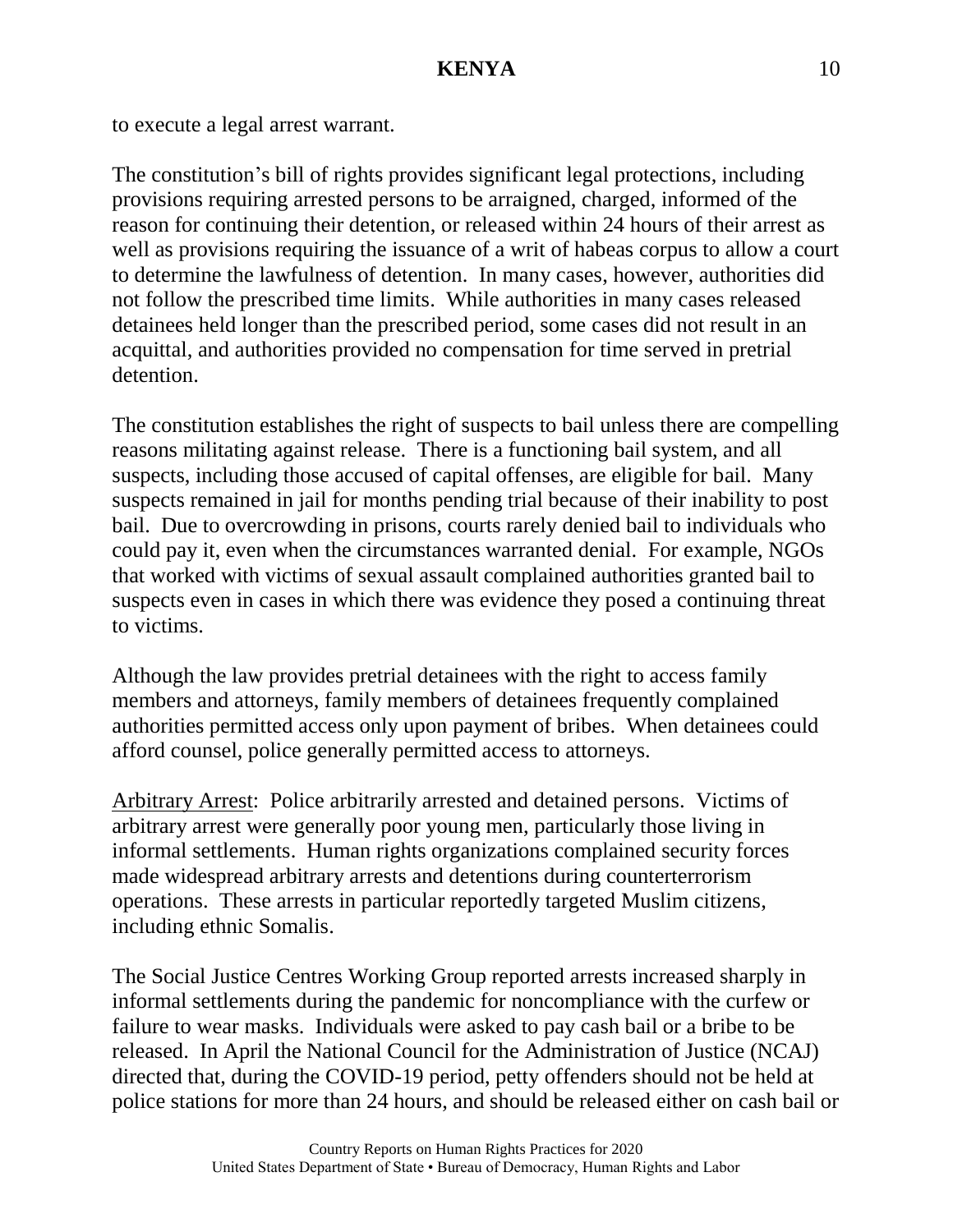to execute a legal arrest warrant.

The constitution's bill of rights provides significant legal protections, including provisions requiring arrested persons to be arraigned, charged, informed of the reason for continuing their detention, or released within 24 hours of their arrest as well as provisions requiring the issuance of a writ of habeas corpus to allow a court to determine the lawfulness of detention. In many cases, however, authorities did not follow the prescribed time limits. While authorities in many cases released detainees held longer than the prescribed period, some cases did not result in an acquittal, and authorities provided no compensation for time served in pretrial detention.

The constitution establishes the right of suspects to bail unless there are compelling reasons militating against release. There is a functioning bail system, and all suspects, including those accused of capital offenses, are eligible for bail. Many suspects remained in jail for months pending trial because of their inability to post bail. Due to overcrowding in prisons, courts rarely denied bail to individuals who could pay it, even when the circumstances warranted denial. For example, NGOs that worked with victims of sexual assault complained authorities granted bail to suspects even in cases in which there was evidence they posed a continuing threat to victims.

Although the law provides pretrial detainees with the right to access family members and attorneys, family members of detainees frequently complained authorities permitted access only upon payment of bribes. When detainees could afford counsel, police generally permitted access to attorneys.

Arbitrary Arrest: Police arbitrarily arrested and detained persons. Victims of arbitrary arrest were generally poor young men, particularly those living in informal settlements. Human rights organizations complained security forces made widespread arbitrary arrests and detentions during counterterrorism operations. These arrests in particular reportedly targeted Muslim citizens, including ethnic Somalis.

The Social Justice Centres Working Group reported arrests increased sharply in informal settlements during the pandemic for noncompliance with the curfew or failure to wear masks. Individuals were asked to pay cash bail or a bribe to be released. In April the National Council for the Administration of Justice (NCAJ) directed that, during the COVID-19 period, petty offenders should not be held at police stations for more than 24 hours, and should be released either on cash bail or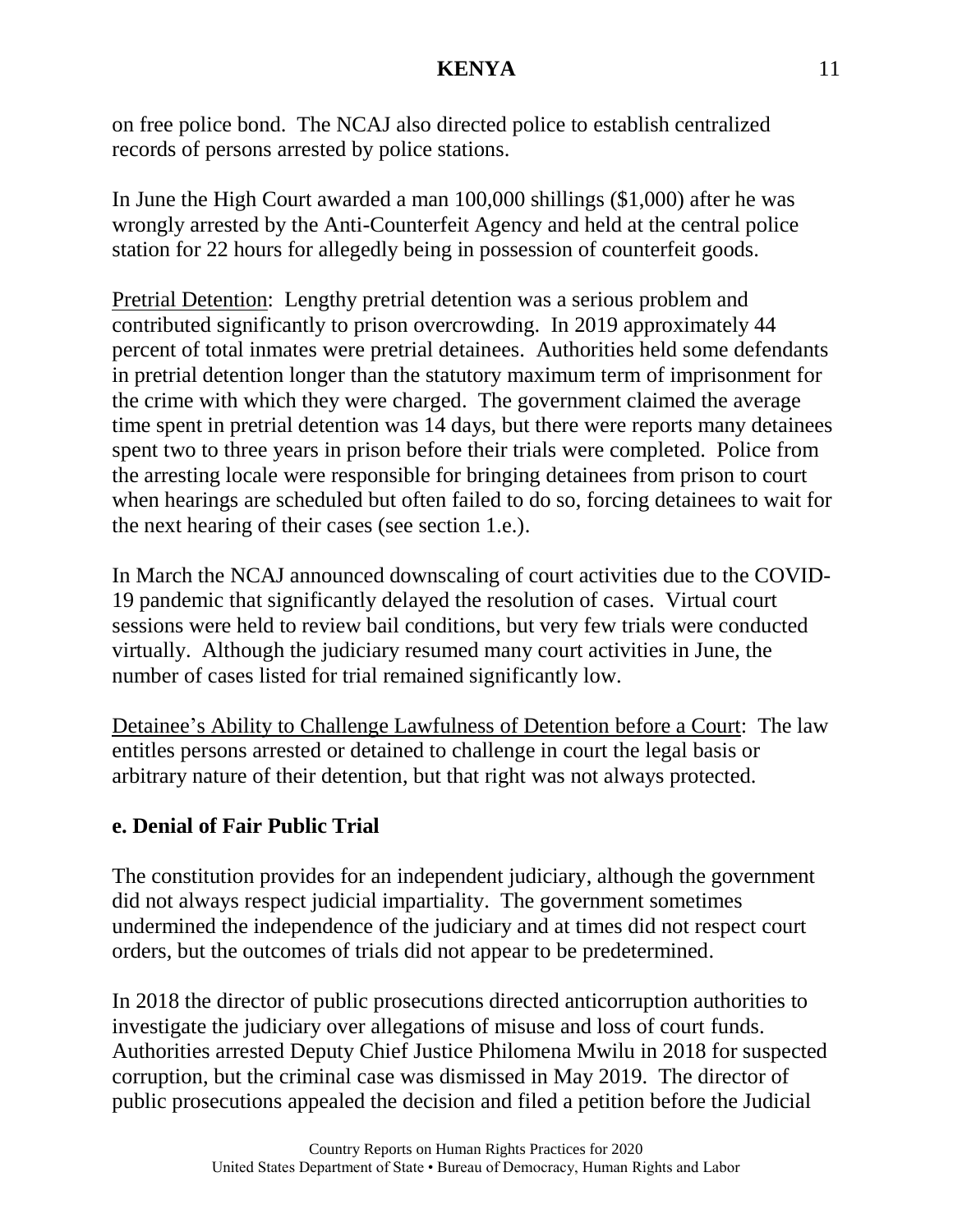on free police bond. The NCAJ also directed police to establish centralized records of persons arrested by police stations.

In June the High Court awarded a man 100,000 shillings (\$1,000) after he was wrongly arrested by the Anti-Counterfeit Agency and held at the central police station for 22 hours for allegedly being in possession of counterfeit goods.

Pretrial Detention: Lengthy pretrial detention was a serious problem and contributed significantly to prison overcrowding. In 2019 approximately 44 percent of total inmates were pretrial detainees. Authorities held some defendants in pretrial detention longer than the statutory maximum term of imprisonment for the crime with which they were charged. The government claimed the average time spent in pretrial detention was 14 days, but there were reports many detainees spent two to three years in prison before their trials were completed. Police from the arresting locale were responsible for bringing detainees from prison to court when hearings are scheduled but often failed to do so, forcing detainees to wait for the next hearing of their cases (see section 1.e.).

In March the NCAJ announced downscaling of court activities due to the COVID-19 pandemic that significantly delayed the resolution of cases. Virtual court sessions were held to review bail conditions, but very few trials were conducted virtually. Although the judiciary resumed many court activities in June, the number of cases listed for trial remained significantly low.

Detainee's Ability to Challenge Lawfulness of Detention before a Court: The law entitles persons arrested or detained to challenge in court the legal basis or arbitrary nature of their detention, but that right was not always protected.

### **e. Denial of Fair Public Trial**

The constitution provides for an independent judiciary, although the government did not always respect judicial impartiality. The government sometimes undermined the independence of the judiciary and at times did not respect court orders, but the outcomes of trials did not appear to be predetermined.

In 2018 the director of public prosecutions directed anticorruption authorities to investigate the judiciary over allegations of misuse and loss of court funds. Authorities arrested Deputy Chief Justice Philomena Mwilu in 2018 for suspected corruption, but the criminal case was dismissed in May 2019. The director of public prosecutions appealed the decision and filed a petition before the Judicial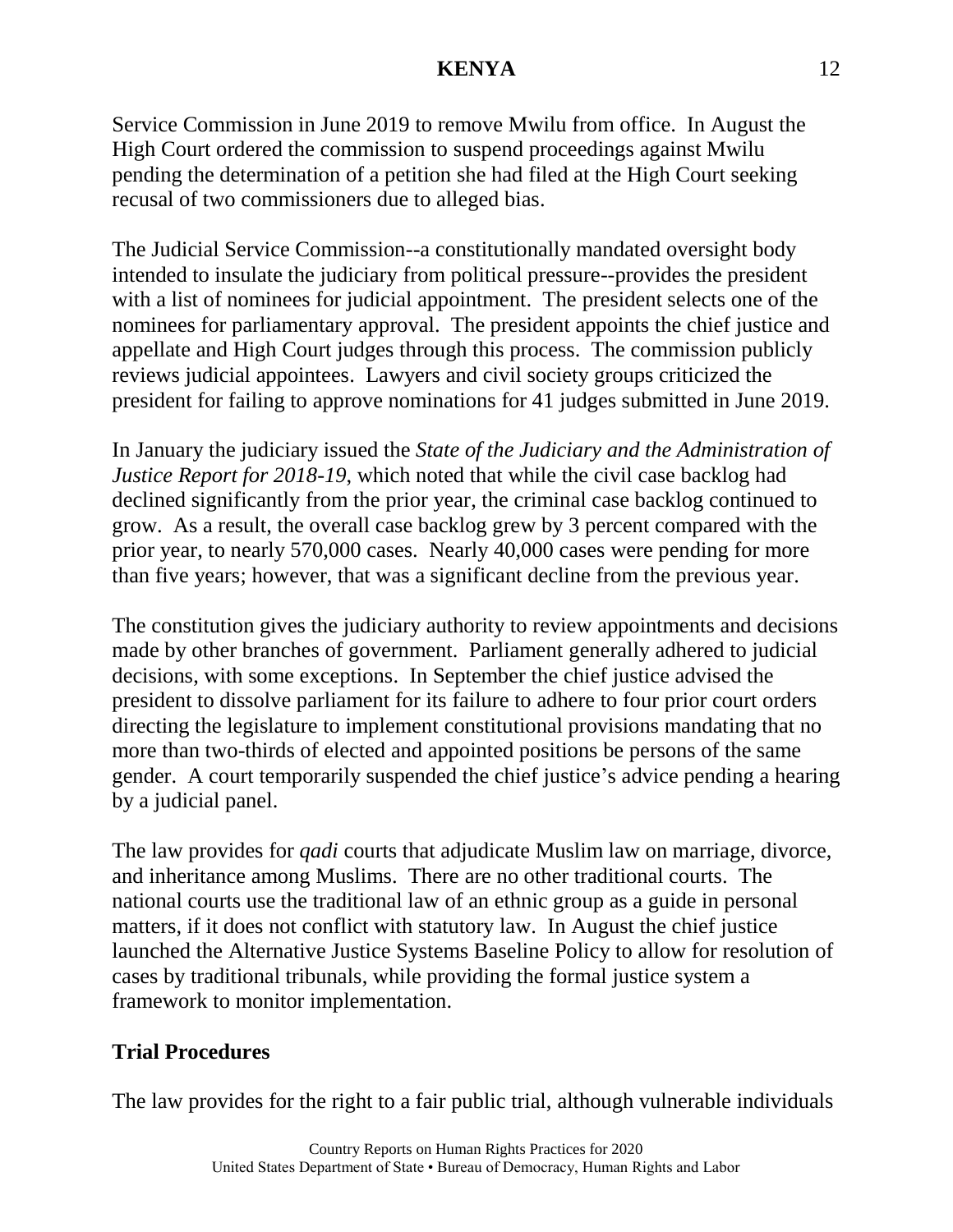Service Commission in June 2019 to remove Mwilu from office. In August the High Court ordered the commission to suspend proceedings against Mwilu pending the determination of a petition she had filed at the High Court seeking recusal of two commissioners due to alleged bias.

The Judicial Service Commission--a constitutionally mandated oversight body intended to insulate the judiciary from political pressure--provides the president with a list of nominees for judicial appointment. The president selects one of the nominees for parliamentary approval. The president appoints the chief justice and appellate and High Court judges through this process. The commission publicly reviews judicial appointees. Lawyers and civil society groups criticized the president for failing to approve nominations for 41 judges submitted in June 2019.

In January the judiciary issued the *State of the Judiciary and the Administration of Justice Report for 2018-19*, which noted that while the civil case backlog had declined significantly from the prior year, the criminal case backlog continued to grow. As a result, the overall case backlog grew by 3 percent compared with the prior year, to nearly 570,000 cases. Nearly 40,000 cases were pending for more than five years; however, that was a significant decline from the previous year.

The constitution gives the judiciary authority to review appointments and decisions made by other branches of government. Parliament generally adhered to judicial decisions, with some exceptions. In September the chief justice advised the president to dissolve parliament for its failure to adhere to four prior court orders directing the legislature to implement constitutional provisions mandating that no more than two-thirds of elected and appointed positions be persons of the same gender. A court temporarily suspended the chief justice's advice pending a hearing by a judicial panel.

The law provides for *qadi* courts that adjudicate Muslim law on marriage, divorce, and inheritance among Muslims. There are no other traditional courts. The national courts use the traditional law of an ethnic group as a guide in personal matters, if it does not conflict with statutory law. In August the chief justice launched the Alternative Justice Systems Baseline Policy to allow for resolution of cases by traditional tribunals, while providing the formal justice system a framework to monitor implementation.

### **Trial Procedures**

The law provides for the right to a fair public trial, although vulnerable individuals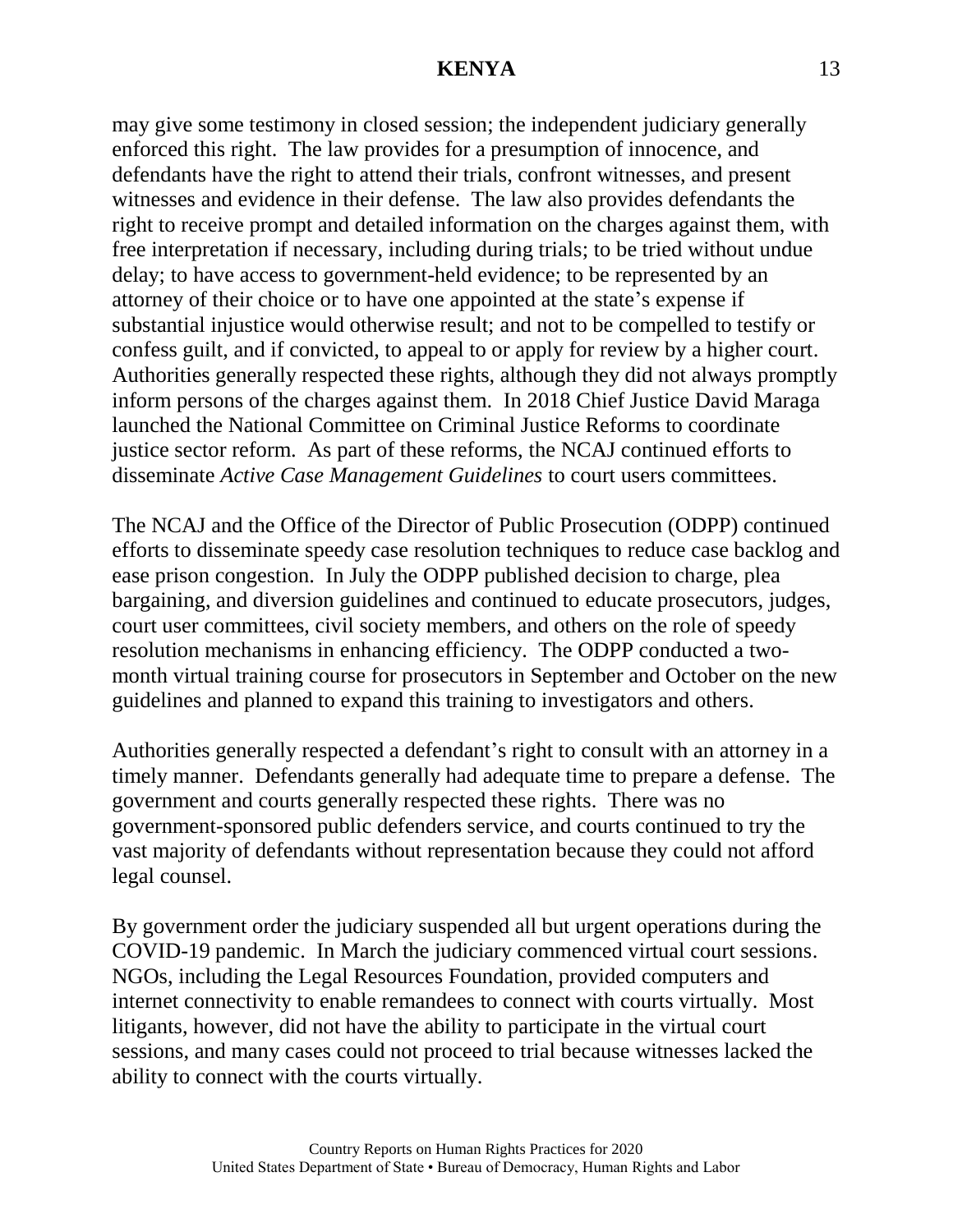may give some testimony in closed session; the independent judiciary generally enforced this right. The law provides for a presumption of innocence, and defendants have the right to attend their trials, confront witnesses, and present witnesses and evidence in their defense. The law also provides defendants the right to receive prompt and detailed information on the charges against them, with free interpretation if necessary, including during trials; to be tried without undue delay; to have access to government-held evidence; to be represented by an attorney of their choice or to have one appointed at the state's expense if substantial injustice would otherwise result; and not to be compelled to testify or confess guilt, and if convicted, to appeal to or apply for review by a higher court. Authorities generally respected these rights, although they did not always promptly inform persons of the charges against them. In 2018 Chief Justice David Maraga launched the National Committee on Criminal Justice Reforms to coordinate justice sector reform. As part of these reforms, the NCAJ continued efforts to disseminate *Active Case Management Guidelines* to court users committees.

The NCAJ and the Office of the Director of Public Prosecution (ODPP) continued efforts to disseminate speedy case resolution techniques to reduce case backlog and ease prison congestion. In July the ODPP published decision to charge, plea bargaining, and diversion guidelines and continued to educate prosecutors, judges, court user committees, civil society members, and others on the role of speedy resolution mechanisms in enhancing efficiency. The ODPP conducted a twomonth virtual training course for prosecutors in September and October on the new guidelines and planned to expand this training to investigators and others.

Authorities generally respected a defendant's right to consult with an attorney in a timely manner. Defendants generally had adequate time to prepare a defense. The government and courts generally respected these rights. There was no government-sponsored public defenders service, and courts continued to try the vast majority of defendants without representation because they could not afford legal counsel.

By government order the judiciary suspended all but urgent operations during the COVID-19 pandemic. In March the judiciary commenced virtual court sessions. NGOs, including the Legal Resources Foundation, provided computers and internet connectivity to enable remandees to connect with courts virtually. Most litigants, however, did not have the ability to participate in the virtual court sessions, and many cases could not proceed to trial because witnesses lacked the ability to connect with the courts virtually.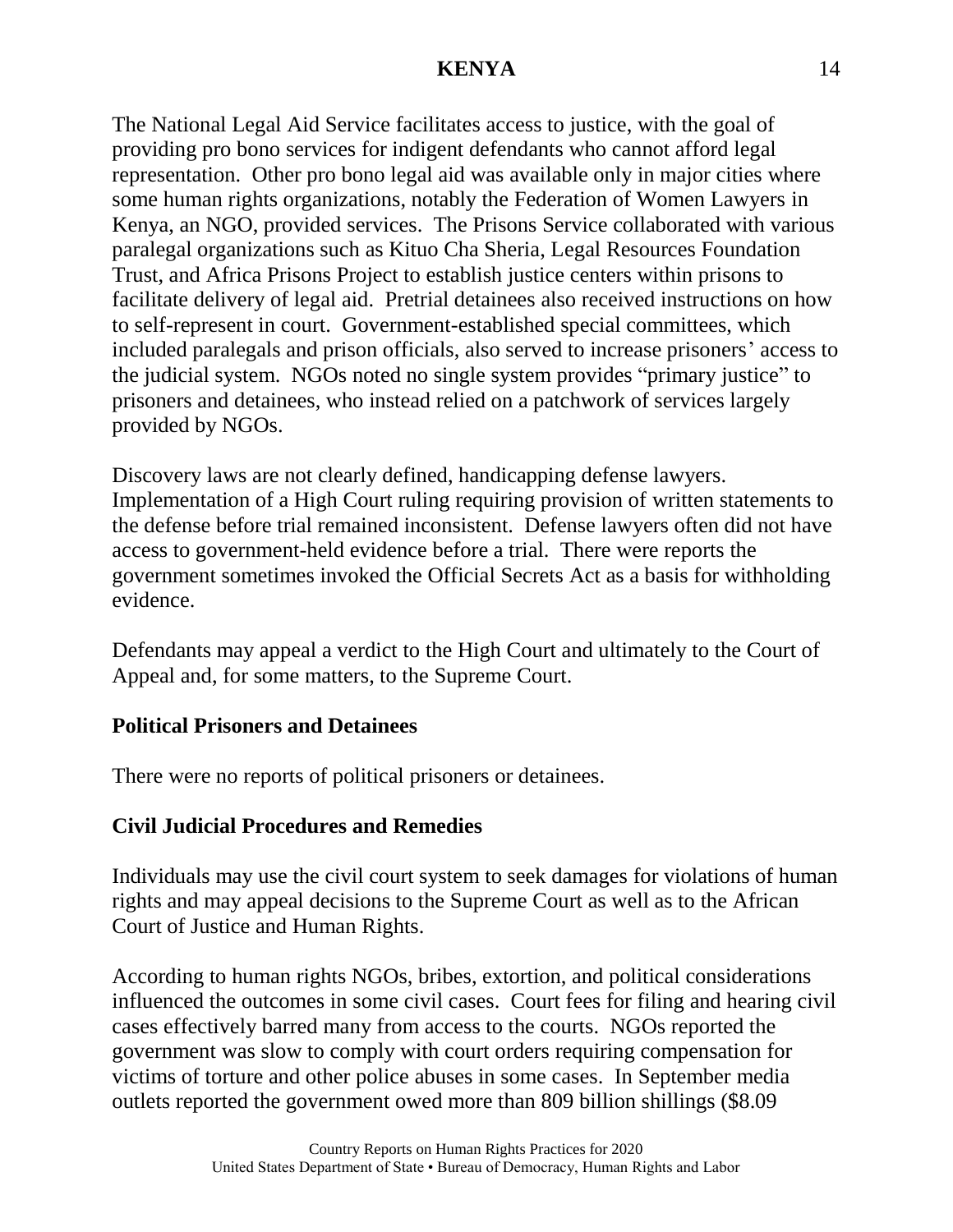The National Legal Aid Service facilitates access to justice, with the goal of providing pro bono services for indigent defendants who cannot afford legal representation. Other pro bono legal aid was available only in major cities where some human rights organizations, notably the Federation of Women Lawyers in Kenya, an NGO, provided services. The Prisons Service collaborated with various paralegal organizations such as Kituo Cha Sheria, Legal Resources Foundation Trust, and Africa Prisons Project to establish justice centers within prisons to facilitate delivery of legal aid. Pretrial detainees also received instructions on how to self-represent in court. Government-established special committees, which included paralegals and prison officials, also served to increase prisoners' access to the judicial system. NGOs noted no single system provides "primary justice" to prisoners and detainees, who instead relied on a patchwork of services largely provided by NGOs.

Discovery laws are not clearly defined, handicapping defense lawyers. Implementation of a High Court ruling requiring provision of written statements to the defense before trial remained inconsistent. Defense lawyers often did not have access to government-held evidence before a trial. There were reports the government sometimes invoked the Official Secrets Act as a basis for withholding evidence.

Defendants may appeal a verdict to the High Court and ultimately to the Court of Appeal and, for some matters, to the Supreme Court.

### **Political Prisoners and Detainees**

There were no reports of political prisoners or detainees.

### **Civil Judicial Procedures and Remedies**

Individuals may use the civil court system to seek damages for violations of human rights and may appeal decisions to the Supreme Court as well as to the African Court of Justice and Human Rights.

According to human rights NGOs, bribes, extortion, and political considerations influenced the outcomes in some civil cases. Court fees for filing and hearing civil cases effectively barred many from access to the courts. NGOs reported the government was slow to comply with court orders requiring compensation for victims of torture and other police abuses in some cases. In September media outlets reported the government owed more than 809 billion shillings (\$8.09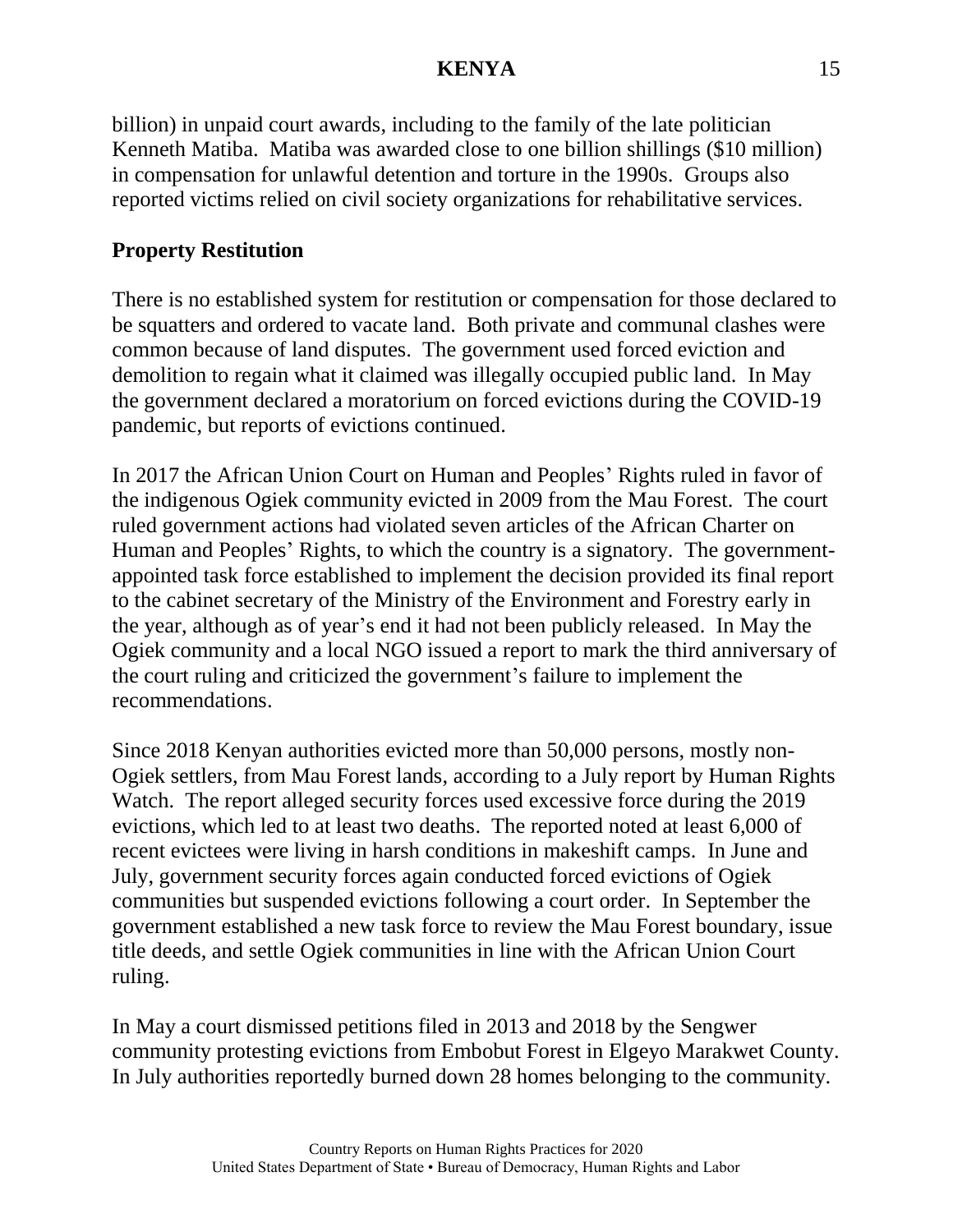billion) in unpaid court awards, including to the family of the late politician Kenneth Matiba. Matiba was awarded close to one billion shillings (\$10 million) in compensation for unlawful detention and torture in the 1990s. Groups also reported victims relied on civil society organizations for rehabilitative services.

# **Property Restitution**

There is no established system for restitution or compensation for those declared to be squatters and ordered to vacate land. Both private and communal clashes were common because of land disputes. The government used forced eviction and demolition to regain what it claimed was illegally occupied public land. In May the government declared a moratorium on forced evictions during the COVID-19 pandemic, but reports of evictions continued.

In 2017 the African Union Court on Human and Peoples' Rights ruled in favor of the indigenous Ogiek community evicted in 2009 from the Mau Forest. The court ruled government actions had violated seven articles of the African Charter on Human and Peoples' Rights, to which the country is a signatory. The governmentappointed task force established to implement the decision provided its final report to the cabinet secretary of the Ministry of the Environment and Forestry early in the year, although as of year's end it had not been publicly released. In May the Ogiek community and a local NGO issued a report to mark the third anniversary of the court ruling and criticized the government's failure to implement the recommendations.

Since 2018 Kenyan authorities evicted more than 50,000 persons, mostly non-Ogiek settlers, from Mau Forest lands, according to a July report by Human Rights Watch. The report alleged security forces used excessive force during the 2019 evictions, which led to at least two deaths. The reported noted at least 6,000 of recent evictees were living in harsh conditions in makeshift camps. In June and July, government security forces again conducted forced evictions of Ogiek communities but suspended evictions following a court order. In September the government established a new task force to review the Mau Forest boundary, issue title deeds, and settle Ogiek communities in line with the African Union Court ruling.

In May a court dismissed petitions filed in 2013 and 2018 by the Sengwer community protesting evictions from Embobut Forest in Elgeyo Marakwet County. In July authorities reportedly burned down 28 homes belonging to the community.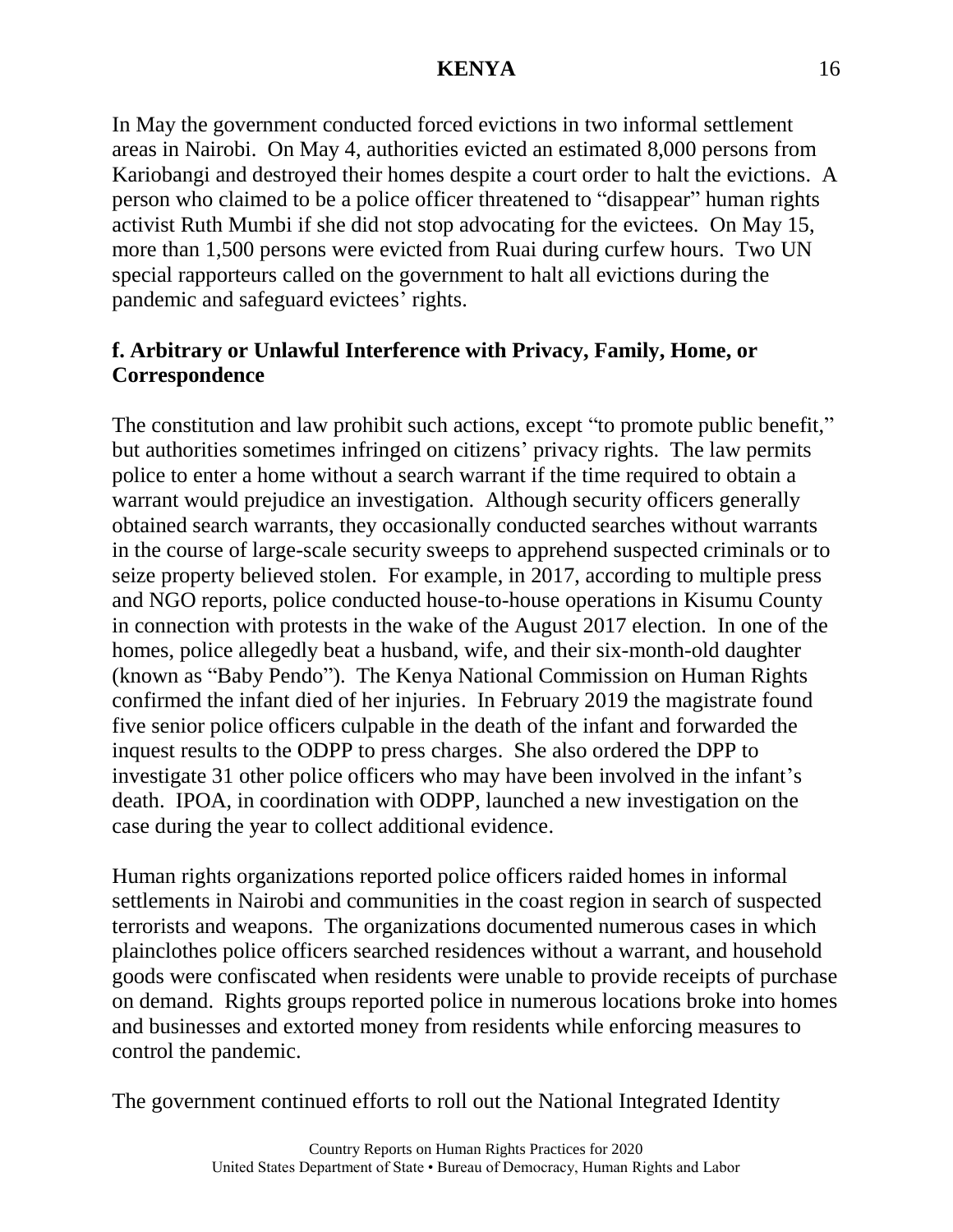In May the government conducted forced evictions in two informal settlement areas in Nairobi. On May 4, authorities evicted an estimated 8,000 persons from Kariobangi and destroyed their homes despite a court order to halt the evictions. A person who claimed to be a police officer threatened to "disappear" human rights activist Ruth Mumbi if she did not stop advocating for the evictees. On May 15, more than 1,500 persons were evicted from Ruai during curfew hours. Two UN special rapporteurs called on the government to halt all evictions during the pandemic and safeguard evictees' rights.

## **f. Arbitrary or Unlawful Interference with Privacy, Family, Home, or Correspondence**

The constitution and law prohibit such actions, except "to promote public benefit," but authorities sometimes infringed on citizens' privacy rights. The law permits police to enter a home without a search warrant if the time required to obtain a warrant would prejudice an investigation. Although security officers generally obtained search warrants, they occasionally conducted searches without warrants in the course of large-scale security sweeps to apprehend suspected criminals or to seize property believed stolen. For example, in 2017, according to multiple press and NGO reports, police conducted house-to-house operations in Kisumu County in connection with protests in the wake of the August 2017 election. In one of the homes, police allegedly beat a husband, wife, and their six-month-old daughter (known as "Baby Pendo"). The Kenya National Commission on Human Rights confirmed the infant died of her injuries. In February 2019 the magistrate found five senior police officers culpable in the death of the infant and forwarded the inquest results to the ODPP to press charges. She also ordered the DPP to investigate 31 other police officers who may have been involved in the infant's death. IPOA, in coordination with ODPP, launched a new investigation on the case during the year to collect additional evidence.

Human rights organizations reported police officers raided homes in informal settlements in Nairobi and communities in the coast region in search of suspected terrorists and weapons. The organizations documented numerous cases in which plainclothes police officers searched residences without a warrant, and household goods were confiscated when residents were unable to provide receipts of purchase on demand. Rights groups reported police in numerous locations broke into homes and businesses and extorted money from residents while enforcing measures to control the pandemic.

The government continued efforts to roll out the National Integrated Identity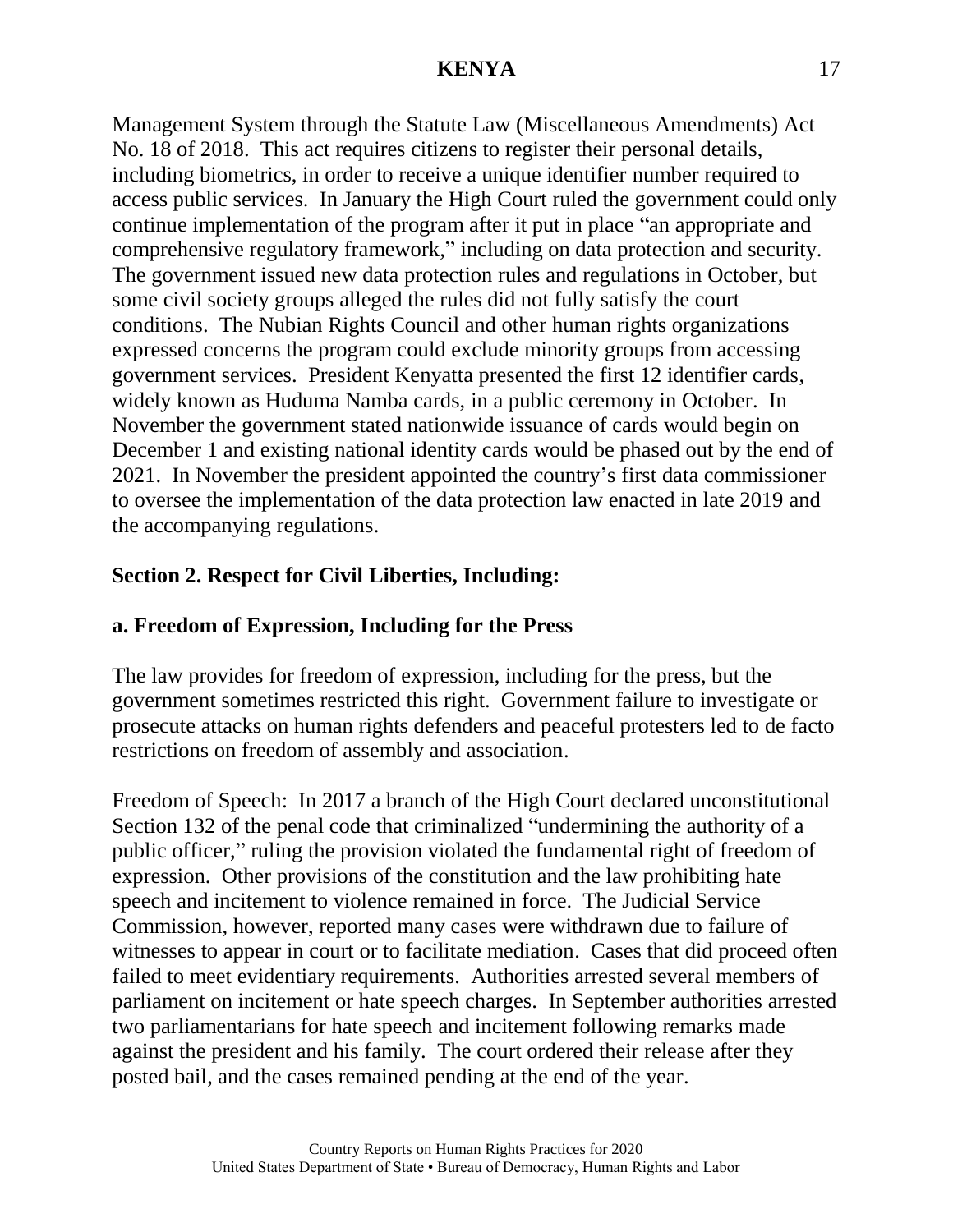Management System through the Statute Law (Miscellaneous Amendments) Act No. 18 of 2018. This act requires citizens to register their personal details, including biometrics, in order to receive a unique identifier number required to access public services. In January the High Court ruled the government could only continue implementation of the program after it put in place "an appropriate and comprehensive regulatory framework," including on data protection and security. The government issued new data protection rules and regulations in October, but some civil society groups alleged the rules did not fully satisfy the court conditions. The Nubian Rights Council and other human rights organizations expressed concerns the program could exclude minority groups from accessing government services. President Kenyatta presented the first 12 identifier cards, widely known as Huduma Namba cards, in a public ceremony in October. In November the government stated nationwide issuance of cards would begin on December 1 and existing national identity cards would be phased out by the end of 2021. In November the president appointed the country's first data commissioner to oversee the implementation of the data protection law enacted in late 2019 and the accompanying regulations.

# **Section 2. Respect for Civil Liberties, Including:**

### **a. Freedom of Expression, Including for the Press**

The law provides for freedom of expression, including for the press, but the government sometimes restricted this right. Government failure to investigate or prosecute attacks on human rights defenders and peaceful protesters led to de facto restrictions on freedom of assembly and association.

Freedom of Speech: In 2017 a branch of the High Court declared unconstitutional Section 132 of the penal code that criminalized "undermining the authority of a public officer," ruling the provision violated the fundamental right of freedom of expression. Other provisions of the constitution and the law prohibiting hate speech and incitement to violence remained in force. The Judicial Service Commission, however, reported many cases were withdrawn due to failure of witnesses to appear in court or to facilitate mediation. Cases that did proceed often failed to meet evidentiary requirements. Authorities arrested several members of parliament on incitement or hate speech charges. In September authorities arrested two parliamentarians for hate speech and incitement following remarks made against the president and his family. The court ordered their release after they posted bail, and the cases remained pending at the end of the year.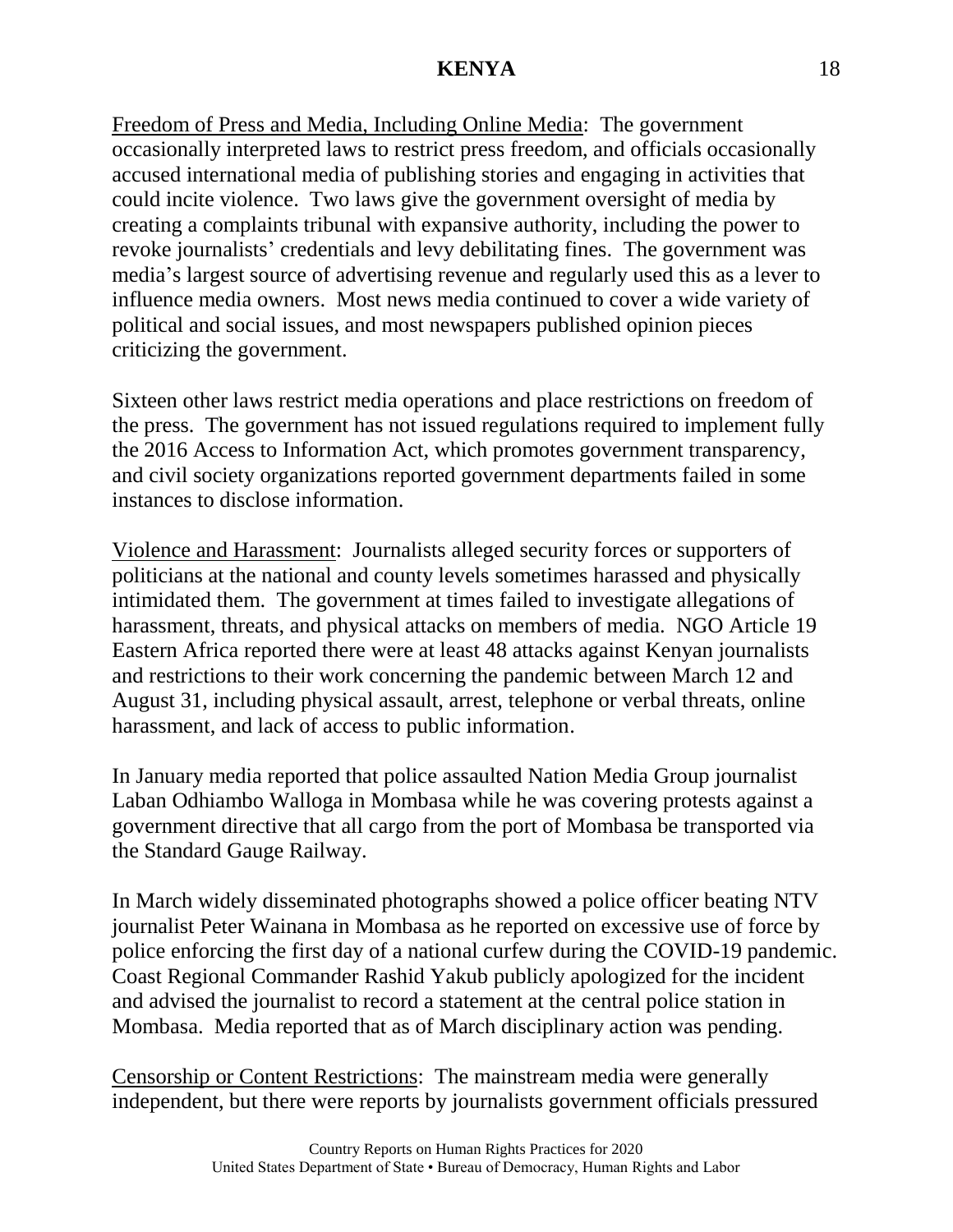Freedom of Press and Media, Including Online Media: The government occasionally interpreted laws to restrict press freedom, and officials occasionally accused international media of publishing stories and engaging in activities that could incite violence. Two laws give the government oversight of media by creating a complaints tribunal with expansive authority, including the power to revoke journalists' credentials and levy debilitating fines. The government was media's largest source of advertising revenue and regularly used this as a lever to influence media owners. Most news media continued to cover a wide variety of political and social issues, and most newspapers published opinion pieces criticizing the government.

Sixteen other laws restrict media operations and place restrictions on freedom of the press. The government has not issued regulations required to implement fully the 2016 Access to Information Act, which promotes government transparency, and civil society organizations reported government departments failed in some instances to disclose information.

Violence and Harassment: Journalists alleged security forces or supporters of politicians at the national and county levels sometimes harassed and physically intimidated them. The government at times failed to investigate allegations of harassment, threats, and physical attacks on members of media. NGO Article 19 Eastern Africa reported there were at least 48 attacks against Kenyan journalists and restrictions to their work concerning the pandemic between March 12 and August 31, including physical assault, arrest, telephone or verbal threats, online harassment, and lack of access to public information.

In January media reported that police assaulted Nation Media Group journalist Laban Odhiambo Walloga in Mombasa while he was covering protests against a government directive that all cargo from the port of Mombasa be transported via the Standard Gauge Railway.

In March widely disseminated photographs showed a police officer beating NTV journalist Peter Wainana in Mombasa as he reported on excessive use of force by police enforcing the first day of a national curfew during the COVID-19 pandemic. Coast Regional Commander Rashid Yakub publicly apologized for the incident and advised the journalist to record a statement at the central police station in Mombasa. Media reported that as of March disciplinary action was pending.

Censorship or Content Restrictions: The mainstream media were generally independent, but there were reports by journalists government officials pressured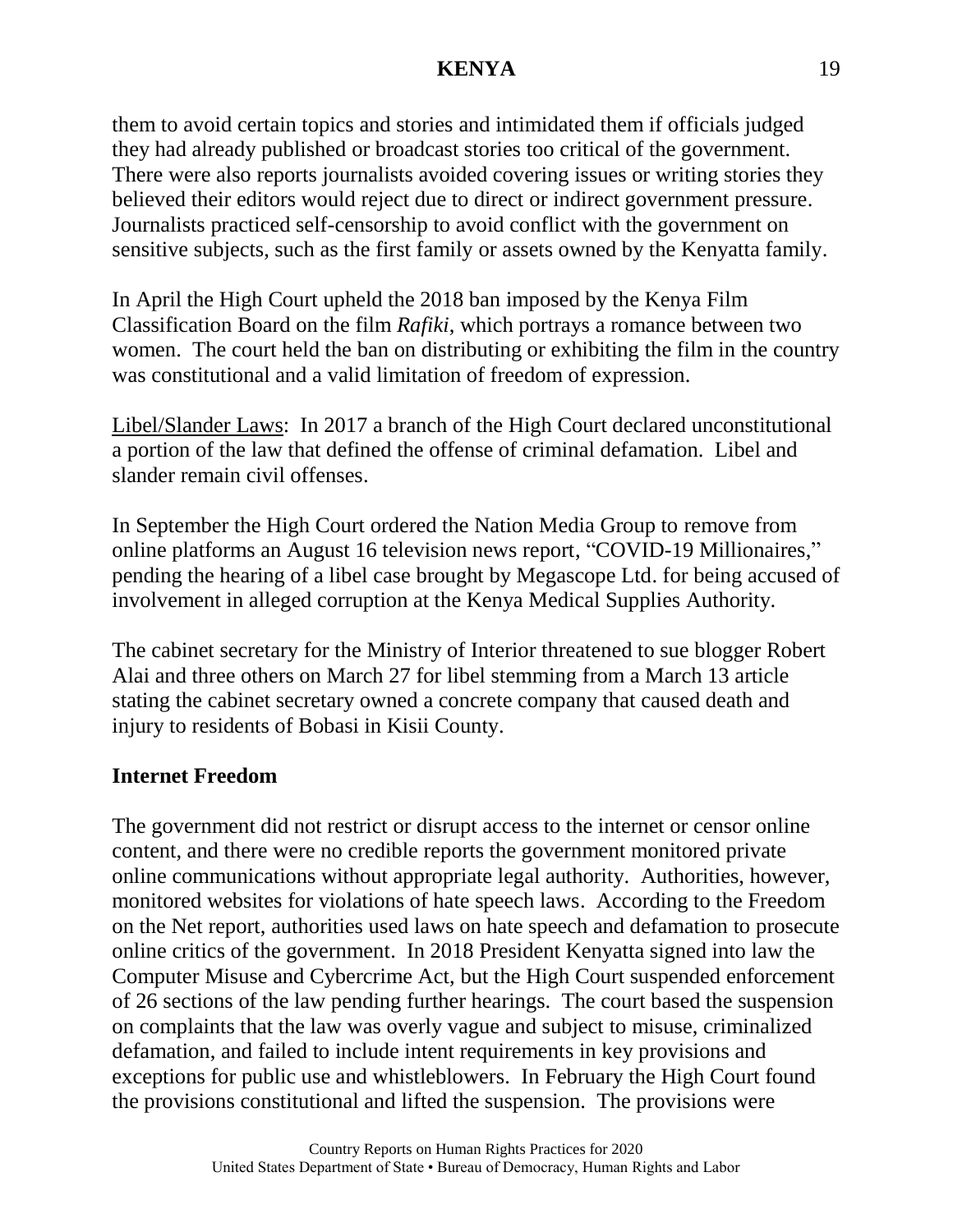them to avoid certain topics and stories and intimidated them if officials judged they had already published or broadcast stories too critical of the government. There were also reports journalists avoided covering issues or writing stories they believed their editors would reject due to direct or indirect government pressure. Journalists practiced self-censorship to avoid conflict with the government on sensitive subjects, such as the first family or assets owned by the Kenyatta family.

In April the High Court upheld the 2018 ban imposed by the Kenya Film Classification Board on the film *Rafiki*, which portrays a romance between two women. The court held the ban on distributing or exhibiting the film in the country was constitutional and a valid limitation of freedom of expression.

Libel/Slander Laws: In 2017 a branch of the High Court declared unconstitutional a portion of the law that defined the offense of criminal defamation. Libel and slander remain civil offenses.

In September the High Court ordered the Nation Media Group to remove from online platforms an August 16 television news report, "COVID-19 Millionaires," pending the hearing of a libel case brought by Megascope Ltd. for being accused of involvement in alleged corruption at the Kenya Medical Supplies Authority.

The cabinet secretary for the Ministry of Interior threatened to sue blogger Robert Alai and three others on March 27 for libel stemming from a March 13 article stating the cabinet secretary owned a concrete company that caused death and injury to residents of Bobasi in Kisii County.

### **Internet Freedom**

The government did not restrict or disrupt access to the internet or censor online content, and there were no credible reports the government monitored private online communications without appropriate legal authority. Authorities, however, monitored websites for violations of hate speech laws. According to the Freedom on the Net report, authorities used laws on hate speech and defamation to prosecute online critics of the government. In 2018 President Kenyatta signed into law the Computer Misuse and Cybercrime Act, but the High Court suspended enforcement of 26 sections of the law pending further hearings. The court based the suspension on complaints that the law was overly vague and subject to misuse, criminalized defamation, and failed to include intent requirements in key provisions and exceptions for public use and whistleblowers. In February the High Court found the provisions constitutional and lifted the suspension. The provisions were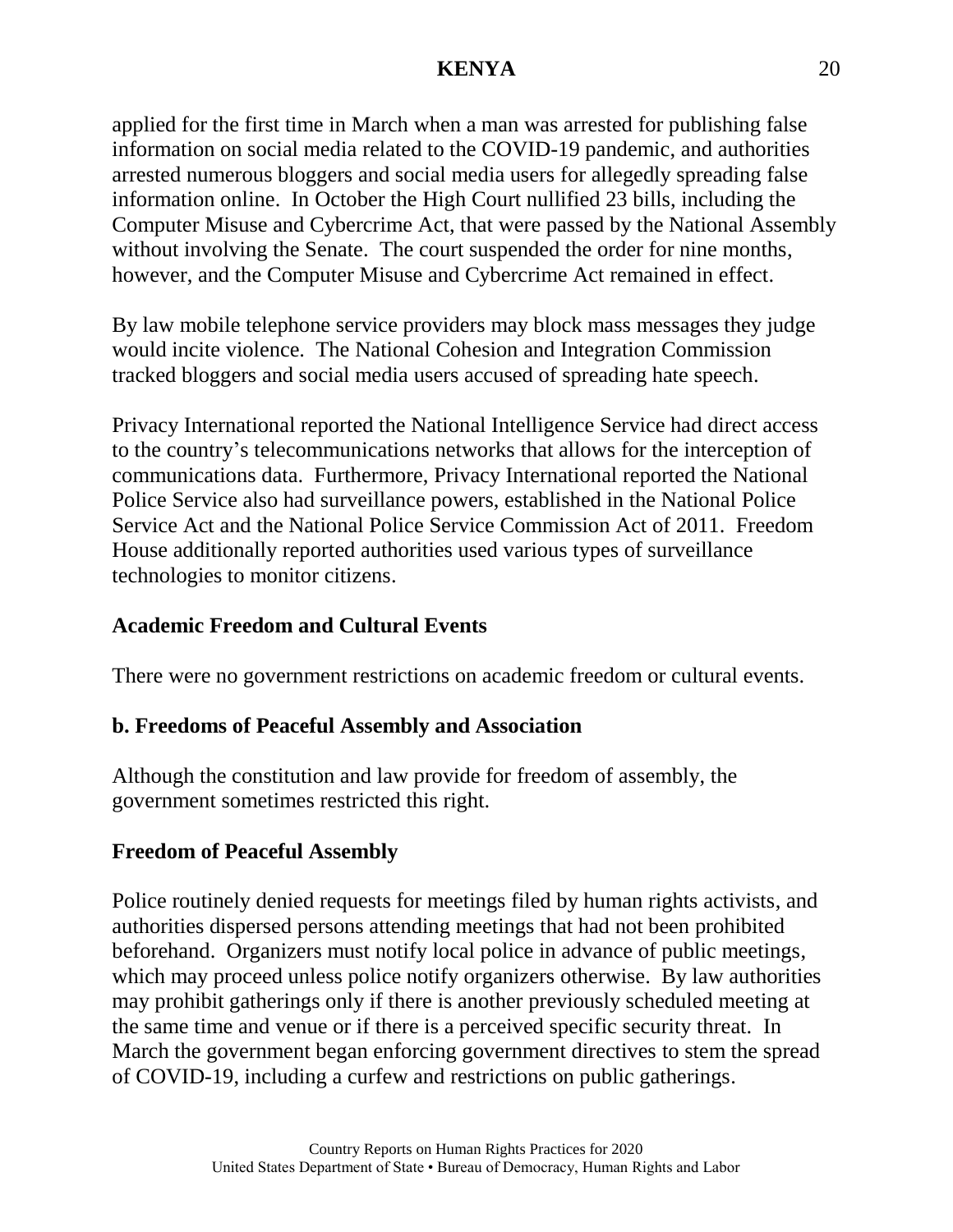applied for the first time in March when a man was arrested for publishing false information on social media related to the COVID-19 pandemic, and authorities arrested numerous bloggers and social media users for allegedly spreading false information online. In October the High Court nullified 23 bills, including the Computer Misuse and Cybercrime Act, that were passed by the National Assembly without involving the Senate. The court suspended the order for nine months, however, and the Computer Misuse and Cybercrime Act remained in effect.

By law mobile telephone service providers may block mass messages they judge would incite violence. The National Cohesion and Integration Commission tracked bloggers and social media users accused of spreading hate speech.

Privacy International reported the National Intelligence Service had direct access to the country's telecommunications networks that allows for the interception of communications data. Furthermore, Privacy International reported the National Police Service also had surveillance powers, established in the National Police Service Act and the National Police Service Commission Act of 2011. Freedom House additionally reported authorities used various types of surveillance technologies to monitor citizens.

### **Academic Freedom and Cultural Events**

There were no government restrictions on academic freedom or cultural events.

# **b. Freedoms of Peaceful Assembly and Association**

Although the constitution and law provide for freedom of assembly, the government sometimes restricted this right.

# **Freedom of Peaceful Assembly**

Police routinely denied requests for meetings filed by human rights activists, and authorities dispersed persons attending meetings that had not been prohibited beforehand. Organizers must notify local police in advance of public meetings, which may proceed unless police notify organizers otherwise. By law authorities may prohibit gatherings only if there is another previously scheduled meeting at the same time and venue or if there is a perceived specific security threat. In March the government began enforcing government directives to stem the spread of COVID-19, including a curfew and restrictions on public gatherings.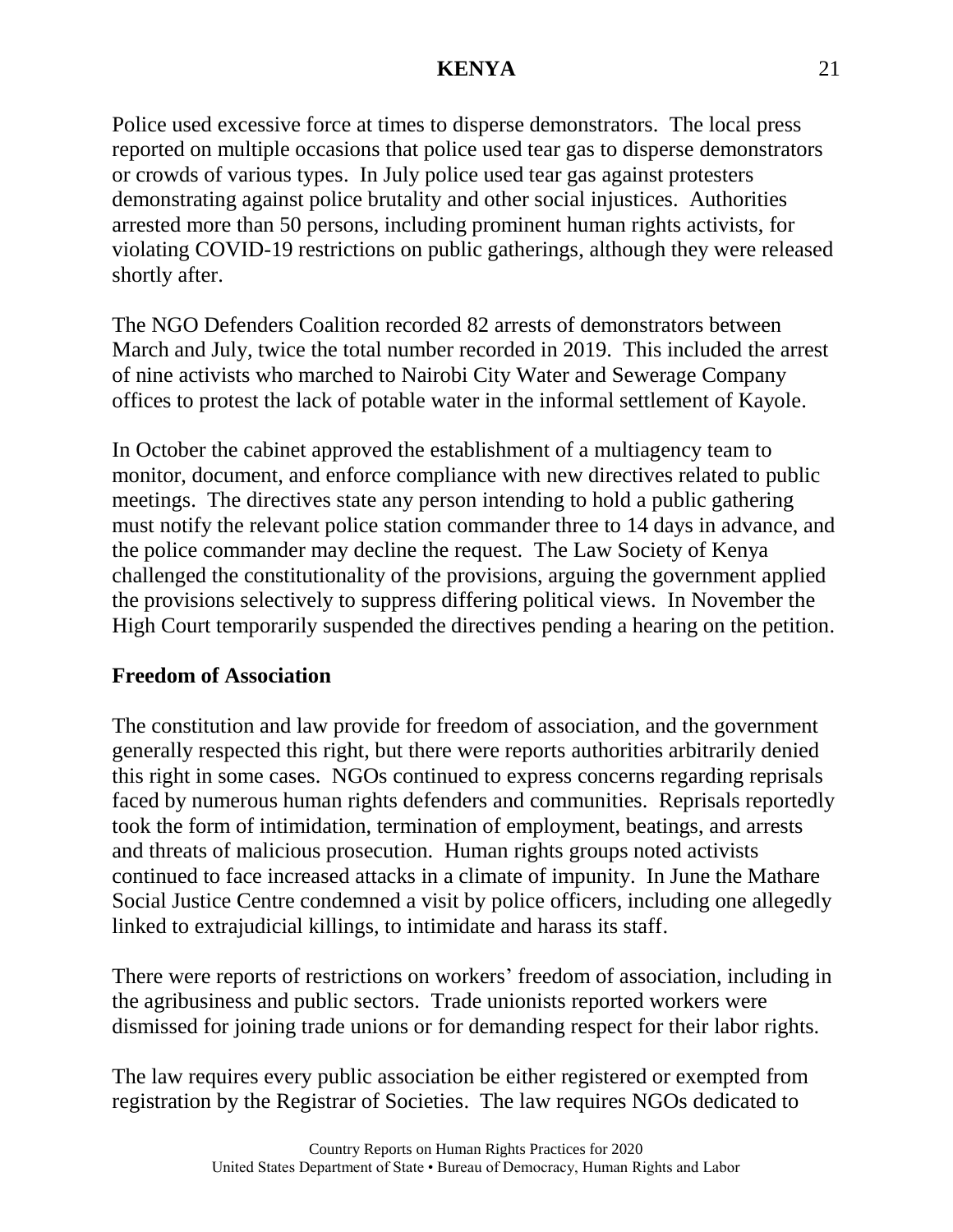Police used excessive force at times to disperse demonstrators. The local press reported on multiple occasions that police used tear gas to disperse demonstrators or crowds of various types. In July police used tear gas against protesters demonstrating against police brutality and other social injustices. Authorities arrested more than 50 persons, including prominent human rights activists, for violating COVID-19 restrictions on public gatherings, although they were released shortly after.

The NGO Defenders Coalition recorded 82 arrests of demonstrators between March and July, twice the total number recorded in 2019. This included the arrest of nine activists who marched to Nairobi City Water and Sewerage Company offices to protest the lack of potable water in the informal settlement of Kayole.

In October the cabinet approved the establishment of a multiagency team to monitor, document, and enforce compliance with new directives related to public meetings. The directives state any person intending to hold a public gathering must notify the relevant police station commander three to 14 days in advance, and the police commander may decline the request. The Law Society of Kenya challenged the constitutionality of the provisions, arguing the government applied the provisions selectively to suppress differing political views. In November the High Court temporarily suspended the directives pending a hearing on the petition.

#### **Freedom of Association**

The constitution and law provide for freedom of association, and the government generally respected this right, but there were reports authorities arbitrarily denied this right in some cases. NGOs continued to express concerns regarding reprisals faced by numerous human rights defenders and communities. Reprisals reportedly took the form of intimidation, termination of employment, beatings, and arrests and threats of malicious prosecution. Human rights groups noted activists continued to face increased attacks in a climate of impunity. In June the Mathare Social Justice Centre condemned a visit by police officers, including one allegedly linked to extrajudicial killings, to intimidate and harass its staff.

There were reports of restrictions on workers' freedom of association, including in the agribusiness and public sectors. Trade unionists reported workers were dismissed for joining trade unions or for demanding respect for their labor rights.

The law requires every public association be either registered or exempted from registration by the Registrar of Societies. The law requires NGOs dedicated to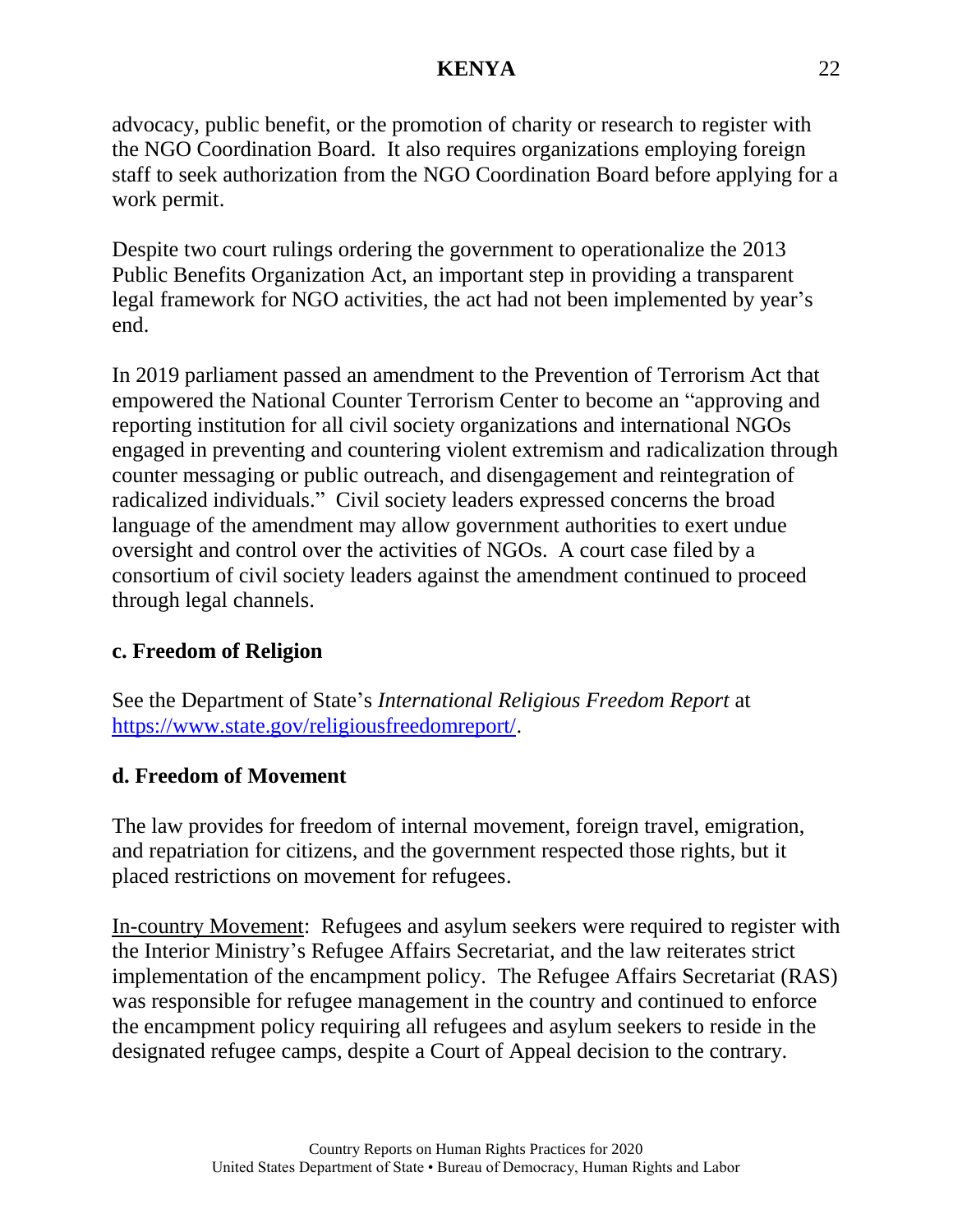advocacy, public benefit, or the promotion of charity or research to register with the NGO Coordination Board. It also requires organizations employing foreign staff to seek authorization from the NGO Coordination Board before applying for a work permit.

Despite two court rulings ordering the government to operationalize the 2013 Public Benefits Organization Act, an important step in providing a transparent legal framework for NGO activities, the act had not been implemented by year's end.

In 2019 parliament passed an amendment to the Prevention of Terrorism Act that empowered the National Counter Terrorism Center to become an "approving and reporting institution for all civil society organizations and international NGOs engaged in preventing and countering violent extremism and radicalization through counter messaging or public outreach, and disengagement and reintegration of radicalized individuals." Civil society leaders expressed concerns the broad language of the amendment may allow government authorities to exert undue oversight and control over the activities of NGOs. A court case filed by a consortium of civil society leaders against the amendment continued to proceed through legal channels.

# **c. Freedom of Religion**

See the Department of State's *International Religious Freedom Report* at [https://www.state.gov/religiousfreedomreport/.](https://www.state.gov/religiousfreedomreport/)

# **d. Freedom of Movement**

The law provides for freedom of internal movement, foreign travel, emigration, and repatriation for citizens, and the government respected those rights, but it placed restrictions on movement for refugees.

In-country Movement: Refugees and asylum seekers were required to register with the Interior Ministry's Refugee Affairs Secretariat, and the law reiterates strict implementation of the encampment policy. The Refugee Affairs Secretariat (RAS) was responsible for refugee management in the country and continued to enforce the encampment policy requiring all refugees and asylum seekers to reside in the designated refugee camps, despite a Court of Appeal decision to the contrary.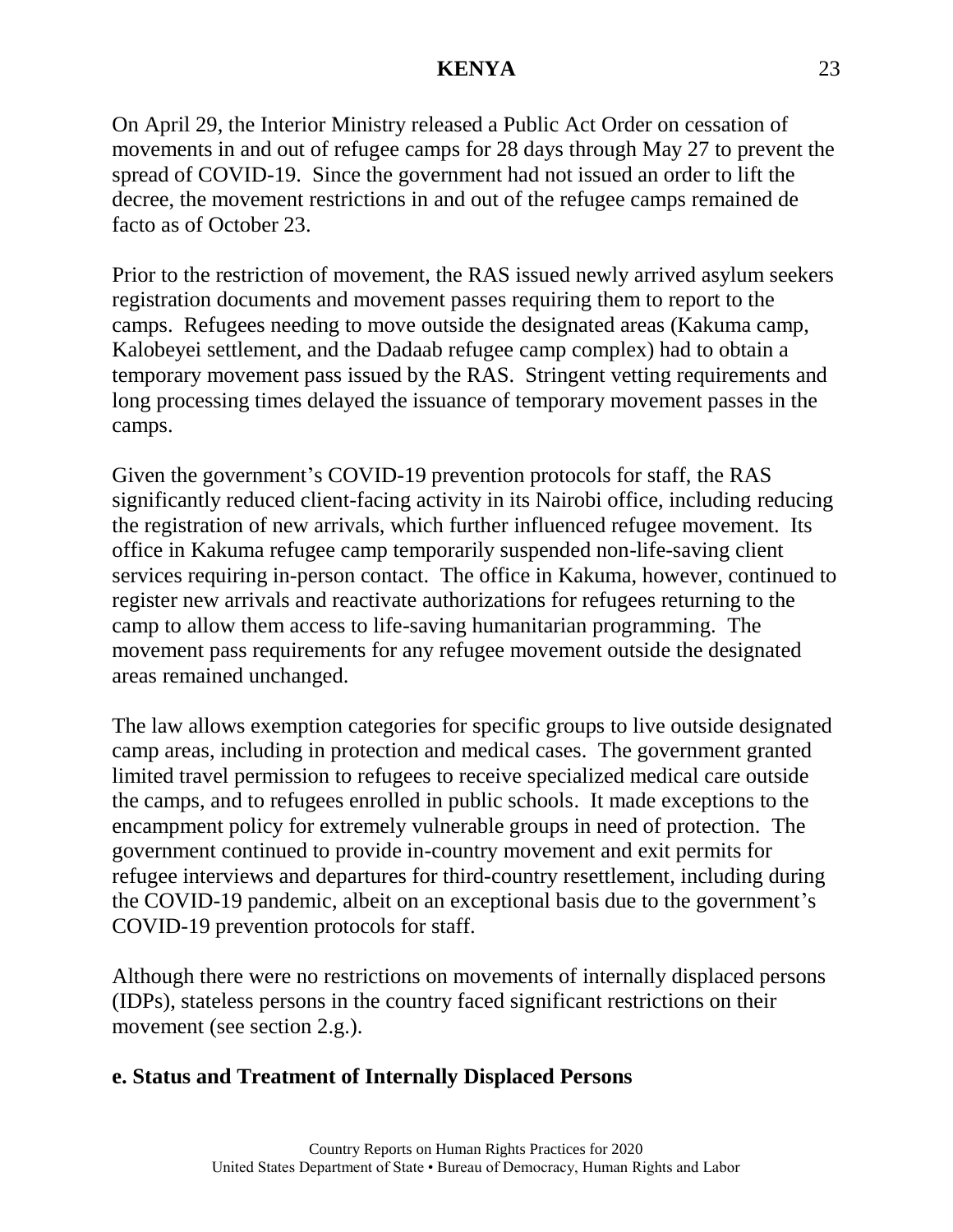On April 29, the Interior Ministry released a Public Act Order on cessation of movements in and out of refugee camps for 28 days through May 27 to prevent the spread of COVID-19. Since the government had not issued an order to lift the decree, the movement restrictions in and out of the refugee camps remained de facto as of October 23.

Prior to the restriction of movement, the RAS issued newly arrived asylum seekers registration documents and movement passes requiring them to report to the camps. Refugees needing to move outside the designated areas (Kakuma camp, Kalobeyei settlement, and the Dadaab refugee camp complex) had to obtain a temporary movement pass issued by the RAS. Stringent vetting requirements and long processing times delayed the issuance of temporary movement passes in the camps.

Given the government's COVID-19 prevention protocols for staff, the RAS significantly reduced client-facing activity in its Nairobi office, including reducing the registration of new arrivals, which further influenced refugee movement. Its office in Kakuma refugee camp temporarily suspended non-life-saving client services requiring in-person contact. The office in Kakuma, however, continued to register new arrivals and reactivate authorizations for refugees returning to the camp to allow them access to life-saving humanitarian programming. The movement pass requirements for any refugee movement outside the designated areas remained unchanged.

The law allows exemption categories for specific groups to live outside designated camp areas, including in protection and medical cases. The government granted limited travel permission to refugees to receive specialized medical care outside the camps, and to refugees enrolled in public schools. It made exceptions to the encampment policy for extremely vulnerable groups in need of protection. The government continued to provide in-country movement and exit permits for refugee interviews and departures for third-country resettlement, including during the COVID-19 pandemic, albeit on an exceptional basis due to the government's COVID-19 prevention protocols for staff.

Although there were no restrictions on movements of internally displaced persons (IDPs), stateless persons in the country faced significant restrictions on their movement (see section 2.g.).

### **e. Status and Treatment of Internally Displaced Persons**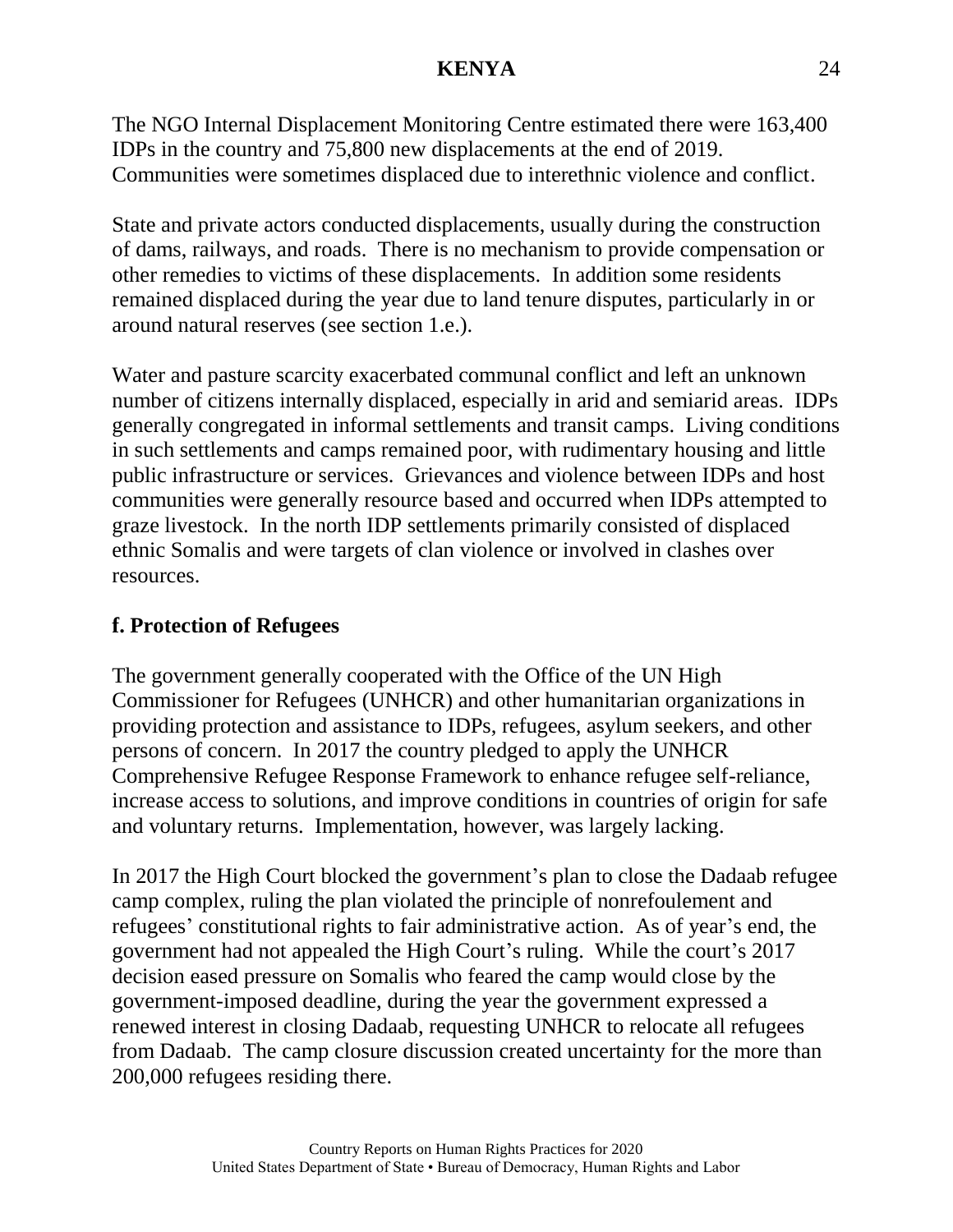The NGO Internal Displacement Monitoring Centre estimated there were 163,400 IDPs in the country and 75,800 new displacements at the end of 2019. Communities were sometimes displaced due to interethnic violence and conflict.

State and private actors conducted displacements, usually during the construction of dams, railways, and roads. There is no mechanism to provide compensation or other remedies to victims of these displacements. In addition some residents remained displaced during the year due to land tenure disputes, particularly in or around natural reserves (see section 1.e.).

Water and pasture scarcity exacerbated communal conflict and left an unknown number of citizens internally displaced, especially in arid and semiarid areas. IDPs generally congregated in informal settlements and transit camps. Living conditions in such settlements and camps remained poor, with rudimentary housing and little public infrastructure or services. Grievances and violence between IDPs and host communities were generally resource based and occurred when IDPs attempted to graze livestock. In the north IDP settlements primarily consisted of displaced ethnic Somalis and were targets of clan violence or involved in clashes over resources.

## **f. Protection of Refugees**

The government generally cooperated with the Office of the UN High Commissioner for Refugees (UNHCR) and other humanitarian organizations in providing protection and assistance to IDPs, refugees, asylum seekers, and other persons of concern. In 2017 the country pledged to apply the UNHCR Comprehensive Refugee Response Framework to enhance refugee self-reliance, increase access to solutions, and improve conditions in countries of origin for safe and voluntary returns. Implementation, however, was largely lacking.

In 2017 the High Court blocked the government's plan to close the Dadaab refugee camp complex, ruling the plan violated the principle of nonrefoulement and refugees' constitutional rights to fair administrative action. As of year's end, the government had not appealed the High Court's ruling. While the court's 2017 decision eased pressure on Somalis who feared the camp would close by the government-imposed deadline, during the year the government expressed a renewed interest in closing Dadaab, requesting UNHCR to relocate all refugees from Dadaab. The camp closure discussion created uncertainty for the more than 200,000 refugees residing there.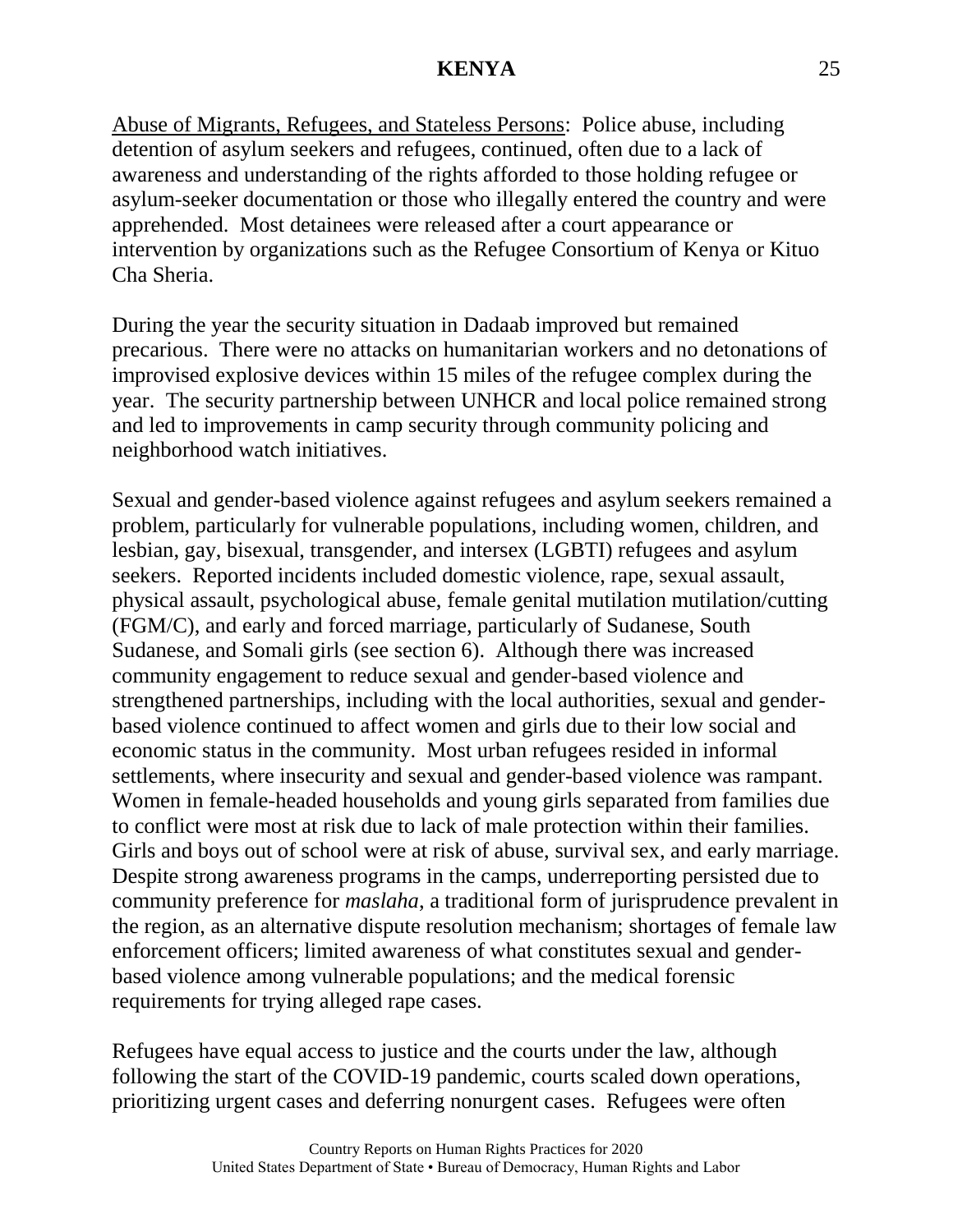Abuse of Migrants, Refugees, and Stateless Persons: Police abuse, including detention of asylum seekers and refugees, continued, often due to a lack of awareness and understanding of the rights afforded to those holding refugee or asylum-seeker documentation or those who illegally entered the country and were apprehended. Most detainees were released after a court appearance or intervention by organizations such as the Refugee Consortium of Kenya or Kituo Cha Sheria.

During the year the security situation in Dadaab improved but remained precarious. There were no attacks on humanitarian workers and no detonations of improvised explosive devices within 15 miles of the refugee complex during the year. The security partnership between UNHCR and local police remained strong and led to improvements in camp security through community policing and neighborhood watch initiatives.

Sexual and gender-based violence against refugees and asylum seekers remained a problem, particularly for vulnerable populations, including women, children, and lesbian, gay, bisexual, transgender, and intersex (LGBTI) refugees and asylum seekers. Reported incidents included domestic violence, rape, sexual assault, physical assault, psychological abuse, female genital mutilation mutilation/cutting (FGM/C), and early and forced marriage, particularly of Sudanese, South Sudanese, and Somali girls (see section 6). Although there was increased community engagement to reduce sexual and gender-based violence and strengthened partnerships, including with the local authorities, sexual and genderbased violence continued to affect women and girls due to their low social and economic status in the community. Most urban refugees resided in informal settlements, where insecurity and sexual and gender-based violence was rampant. Women in female-headed households and young girls separated from families due to conflict were most at risk due to lack of male protection within their families. Girls and boys out of school were at risk of abuse, survival sex, and early marriage. Despite strong awareness programs in the camps, underreporting persisted due to community preference for *maslaha*, a traditional form of jurisprudence prevalent in the region, as an alternative dispute resolution mechanism; shortages of female law enforcement officers; limited awareness of what constitutes sexual and genderbased violence among vulnerable populations; and the medical forensic requirements for trying alleged rape cases.

Refugees have equal access to justice and the courts under the law, although following the start of the COVID-19 pandemic, courts scaled down operations, prioritizing urgent cases and deferring nonurgent cases. Refugees were often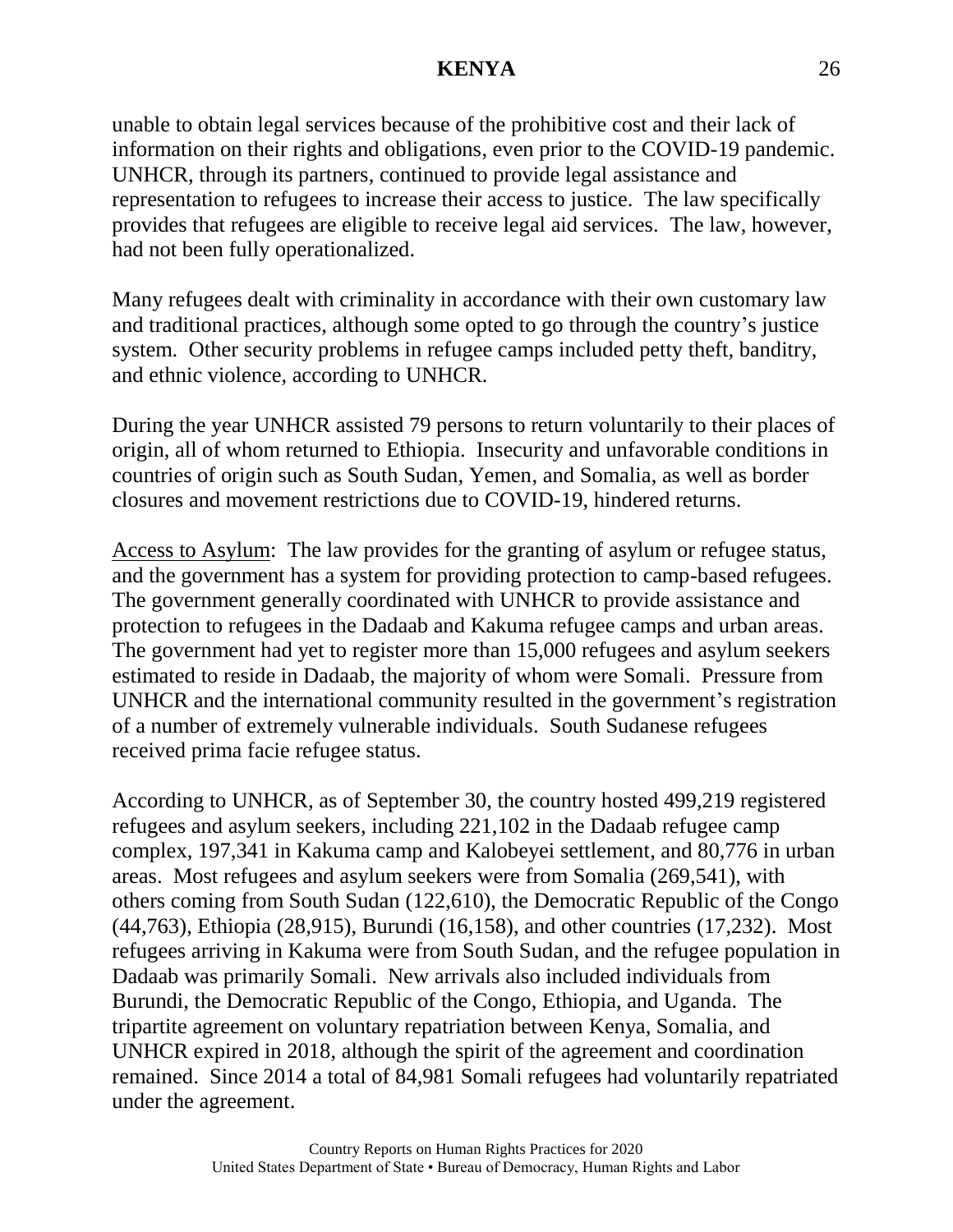unable to obtain legal services because of the prohibitive cost and their lack of information on their rights and obligations, even prior to the COVID-19 pandemic. UNHCR, through its partners, continued to provide legal assistance and representation to refugees to increase their access to justice. The law specifically provides that refugees are eligible to receive legal aid services. The law, however, had not been fully operationalized.

Many refugees dealt with criminality in accordance with their own customary law and traditional practices, although some opted to go through the country's justice system. Other security problems in refugee camps included petty theft, banditry, and ethnic violence, according to UNHCR.

During the year UNHCR assisted 79 persons to return voluntarily to their places of origin, all of whom returned to Ethiopia. Insecurity and unfavorable conditions in countries of origin such as South Sudan, Yemen, and Somalia, as well as border closures and movement restrictions due to COVID-19, hindered returns.

Access to Asylum: The law provides for the granting of asylum or refugee status, and the government has a system for providing protection to camp-based refugees. The government generally coordinated with UNHCR to provide assistance and protection to refugees in the Dadaab and Kakuma refugee camps and urban areas. The government had yet to register more than 15,000 refugees and asylum seekers estimated to reside in Dadaab, the majority of whom were Somali. Pressure from UNHCR and the international community resulted in the government's registration of a number of extremely vulnerable individuals. South Sudanese refugees received prima facie refugee status.

According to UNHCR, as of September 30, the country hosted 499,219 registered refugees and asylum seekers, including 221,102 in the Dadaab refugee camp complex, 197,341 in Kakuma camp and Kalobeyei settlement, and 80,776 in urban areas. Most refugees and asylum seekers were from Somalia (269,541), with others coming from South Sudan (122,610), the Democratic Republic of the Congo (44,763), Ethiopia (28,915), Burundi (16,158), and other countries (17,232). Most refugees arriving in Kakuma were from South Sudan, and the refugee population in Dadaab was primarily Somali. New arrivals also included individuals from Burundi, the Democratic Republic of the Congo, Ethiopia, and Uganda. The tripartite agreement on voluntary repatriation between Kenya, Somalia, and UNHCR expired in 2018, although the spirit of the agreement and coordination remained. Since 2014 a total of 84,981 Somali refugees had voluntarily repatriated under the agreement.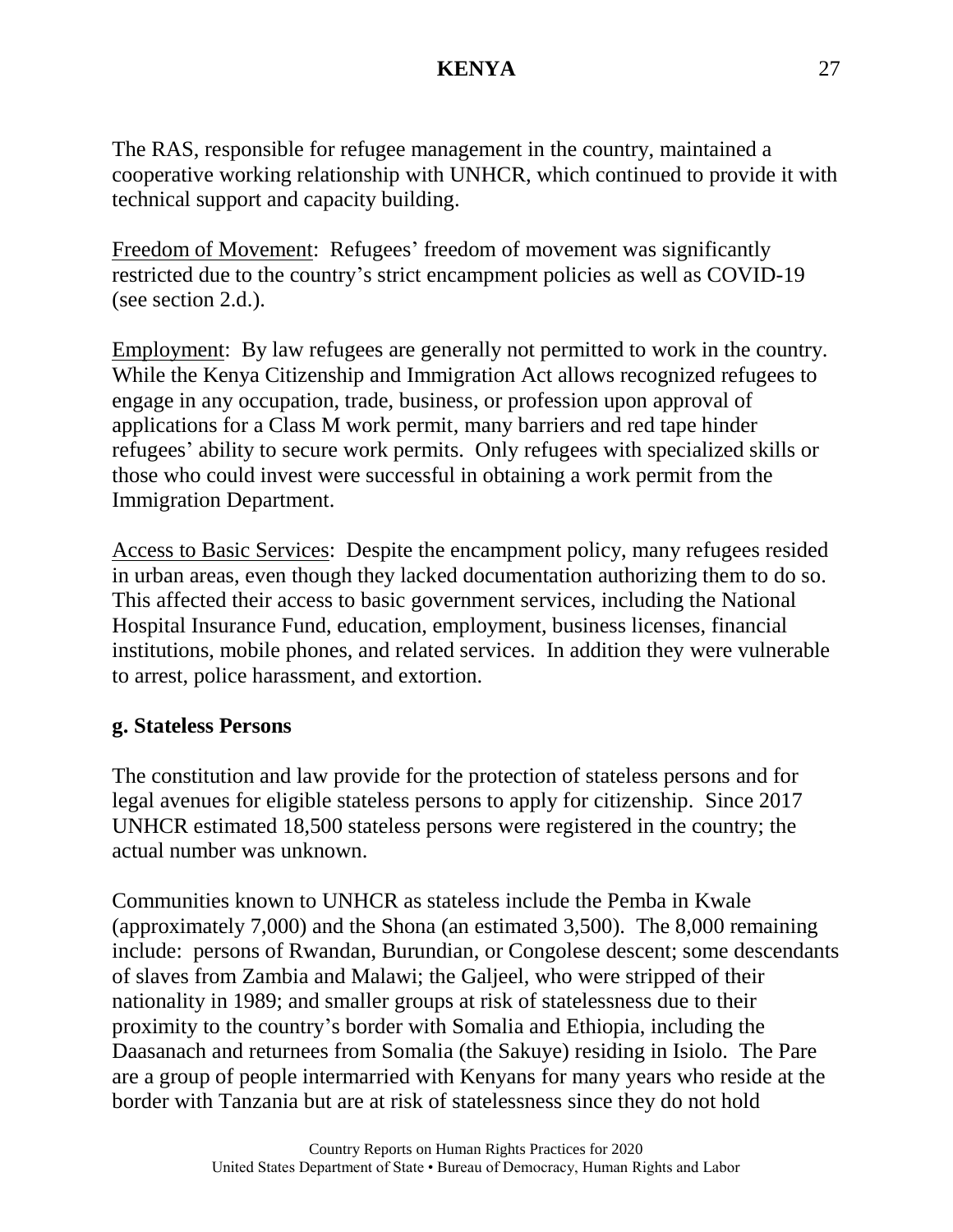The RAS, responsible for refugee management in the country, maintained a cooperative working relationship with UNHCR, which continued to provide it with technical support and capacity building.

Freedom of Movement: Refugees' freedom of movement was significantly restricted due to the country's strict encampment policies as well as COVID-19 (see section 2.d.).

Employment: By law refugees are generally not permitted to work in the country. While the Kenya Citizenship and Immigration Act allows recognized refugees to engage in any occupation, trade, business, or profession upon approval of applications for a Class M work permit, many barriers and red tape hinder refugees' ability to secure work permits. Only refugees with specialized skills or those who could invest were successful in obtaining a work permit from the Immigration Department.

Access to Basic Services: Despite the encampment policy, many refugees resided in urban areas, even though they lacked documentation authorizing them to do so. This affected their access to basic government services, including the National Hospital Insurance Fund, education, employment, business licenses, financial institutions, mobile phones, and related services. In addition they were vulnerable to arrest, police harassment, and extortion.

#### **g. Stateless Persons**

The constitution and law provide for the protection of stateless persons and for legal avenues for eligible stateless persons to apply for citizenship. Since 2017 UNHCR estimated 18,500 stateless persons were registered in the country; the actual number was unknown.

Communities known to UNHCR as stateless include the Pemba in Kwale (approximately 7,000) and the Shona (an estimated 3,500). The 8,000 remaining include: persons of Rwandan, Burundian, or Congolese descent; some descendants of slaves from Zambia and Malawi; the Galjeel, who were stripped of their nationality in 1989; and smaller groups at risk of statelessness due to their proximity to the country's border with Somalia and Ethiopia, including the Daasanach and returnees from Somalia (the Sakuye) residing in Isiolo. The Pare are a group of people intermarried with Kenyans for many years who reside at the border with Tanzania but are at risk of statelessness since they do not hold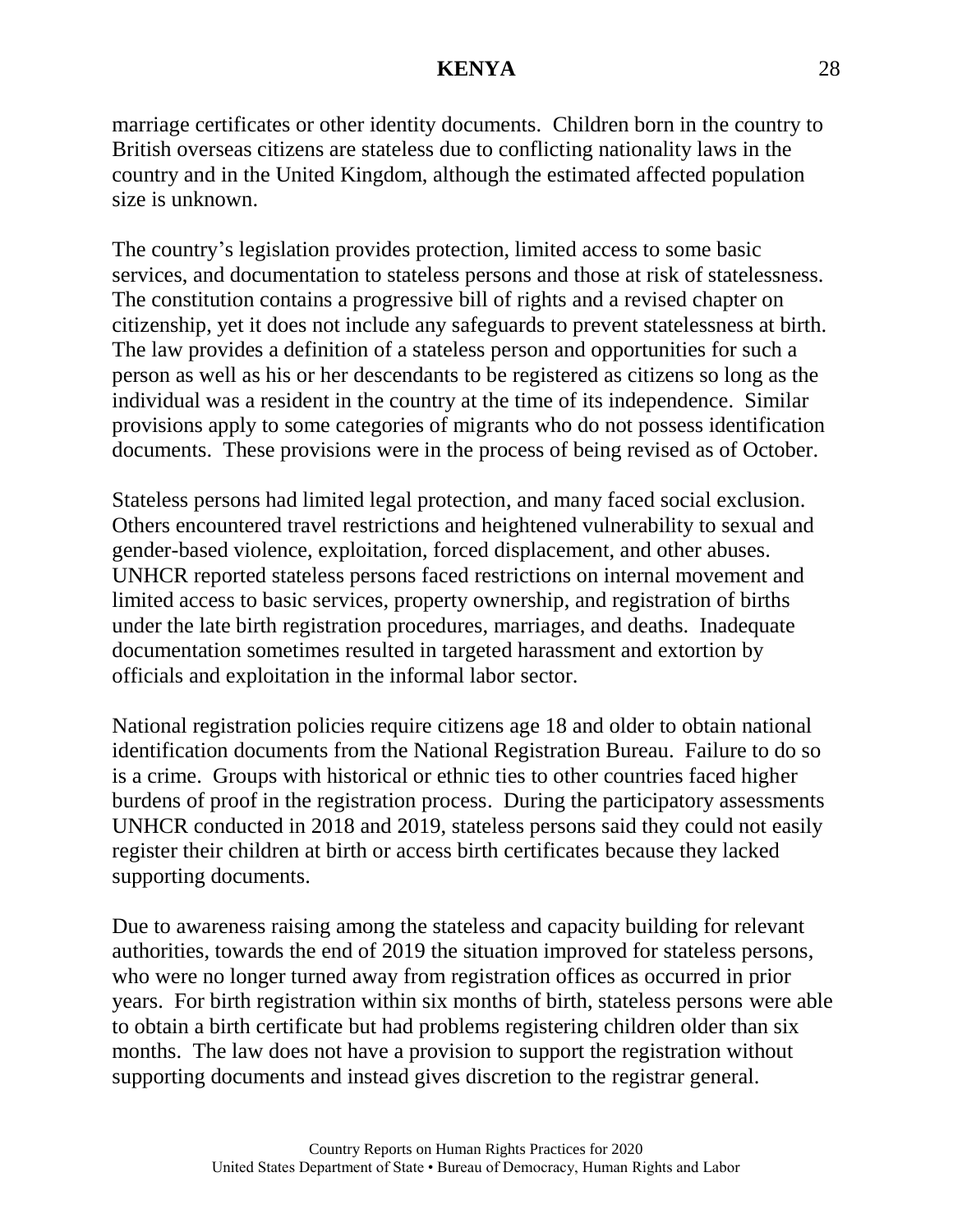marriage certificates or other identity documents. Children born in the country to British overseas citizens are stateless due to conflicting nationality laws in the country and in the United Kingdom, although the estimated affected population size is unknown.

The country's legislation provides protection, limited access to some basic services, and documentation to stateless persons and those at risk of statelessness. The constitution contains a progressive bill of rights and a revised chapter on citizenship, yet it does not include any safeguards to prevent statelessness at birth. The law provides a definition of a stateless person and opportunities for such a person as well as his or her descendants to be registered as citizens so long as the individual was a resident in the country at the time of its independence. Similar provisions apply to some categories of migrants who do not possess identification documents. These provisions were in the process of being revised as of October.

Stateless persons had limited legal protection, and many faced social exclusion. Others encountered travel restrictions and heightened vulnerability to sexual and gender-based violence, exploitation, forced displacement, and other abuses. UNHCR reported stateless persons faced restrictions on internal movement and limited access to basic services, property ownership, and registration of births under the late birth registration procedures, marriages, and deaths. Inadequate documentation sometimes resulted in targeted harassment and extortion by officials and exploitation in the informal labor sector.

National registration policies require citizens age 18 and older to obtain national identification documents from the National Registration Bureau. Failure to do so is a crime. Groups with historical or ethnic ties to other countries faced higher burdens of proof in the registration process. During the participatory assessments UNHCR conducted in 2018 and 2019, stateless persons said they could not easily register their children at birth or access birth certificates because they lacked supporting documents.

Due to awareness raising among the stateless and capacity building for relevant authorities, towards the end of 2019 the situation improved for stateless persons, who were no longer turned away from registration offices as occurred in prior years. For birth registration within six months of birth, stateless persons were able to obtain a birth certificate but had problems registering children older than six months. The law does not have a provision to support the registration without supporting documents and instead gives discretion to the registrar general.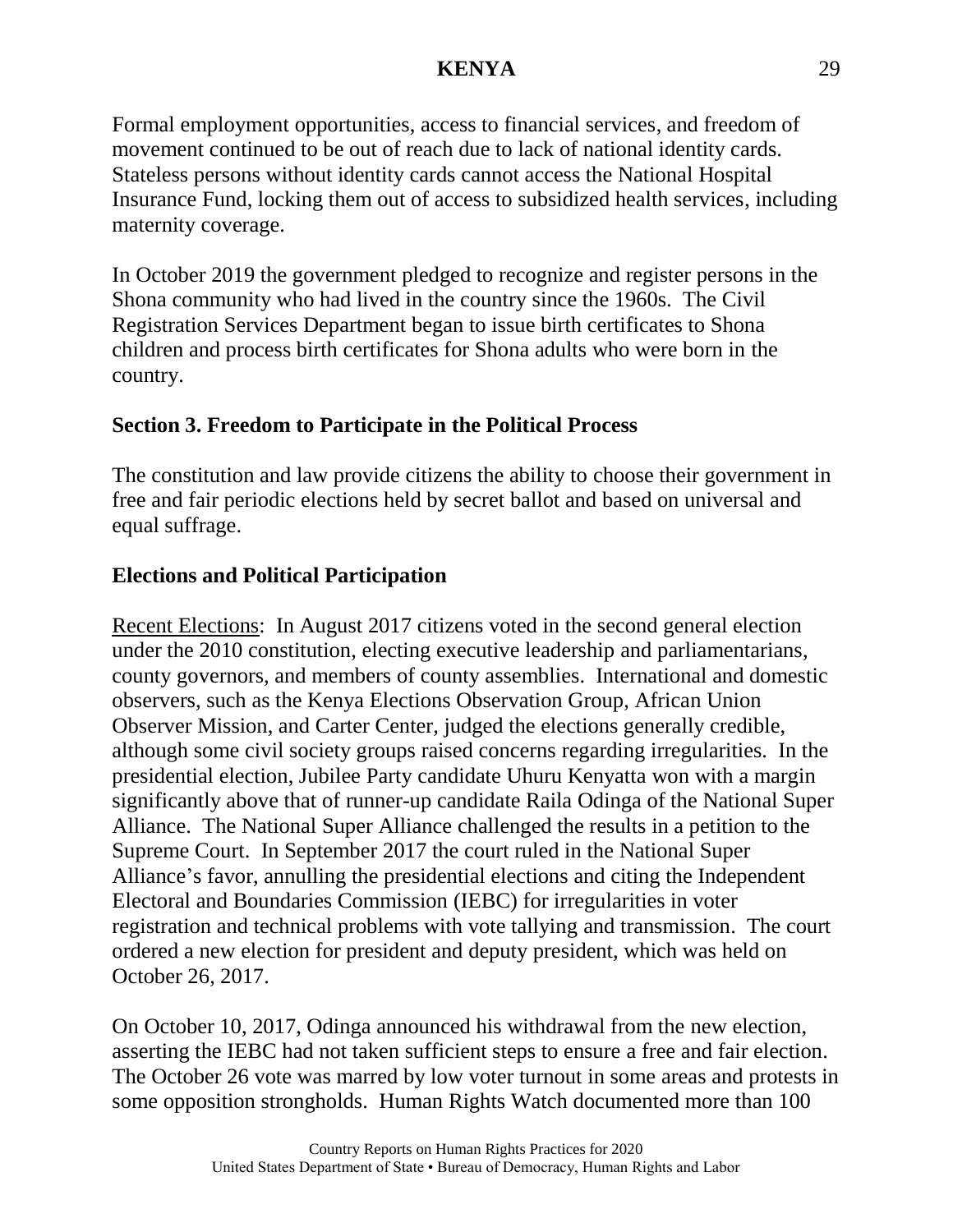Formal employment opportunities, access to financial services, and freedom of movement continued to be out of reach due to lack of national identity cards. Stateless persons without identity cards cannot access the National Hospital Insurance Fund, locking them out of access to subsidized health services, including maternity coverage.

In October 2019 the government pledged to recognize and register persons in the Shona community who had lived in the country since the 1960s. The Civil Registration Services Department began to issue birth certificates to Shona children and process birth certificates for Shona adults who were born in the country.

## **Section 3. Freedom to Participate in the Political Process**

The constitution and law provide citizens the ability to choose their government in free and fair periodic elections held by secret ballot and based on universal and equal suffrage.

## **Elections and Political Participation**

Recent Elections: In August 2017 citizens voted in the second general election under the 2010 constitution, electing executive leadership and parliamentarians, county governors, and members of county assemblies. International and domestic observers, such as the Kenya Elections Observation Group, African Union Observer Mission, and Carter Center, judged the elections generally credible, although some civil society groups raised concerns regarding irregularities. In the presidential election, Jubilee Party candidate Uhuru Kenyatta won with a margin significantly above that of runner-up candidate Raila Odinga of the National Super Alliance. The National Super Alliance challenged the results in a petition to the Supreme Court. In September 2017 the court ruled in the National Super Alliance's favor, annulling the presidential elections and citing the Independent Electoral and Boundaries Commission (IEBC) for irregularities in voter registration and technical problems with vote tallying and transmission. The court ordered a new election for president and deputy president, which was held on October 26, 2017.

On October 10, 2017, Odinga announced his withdrawal from the new election, asserting the IEBC had not taken sufficient steps to ensure a free and fair election. The October 26 vote was marred by low voter turnout in some areas and protests in some opposition strongholds. Human Rights Watch documented more than 100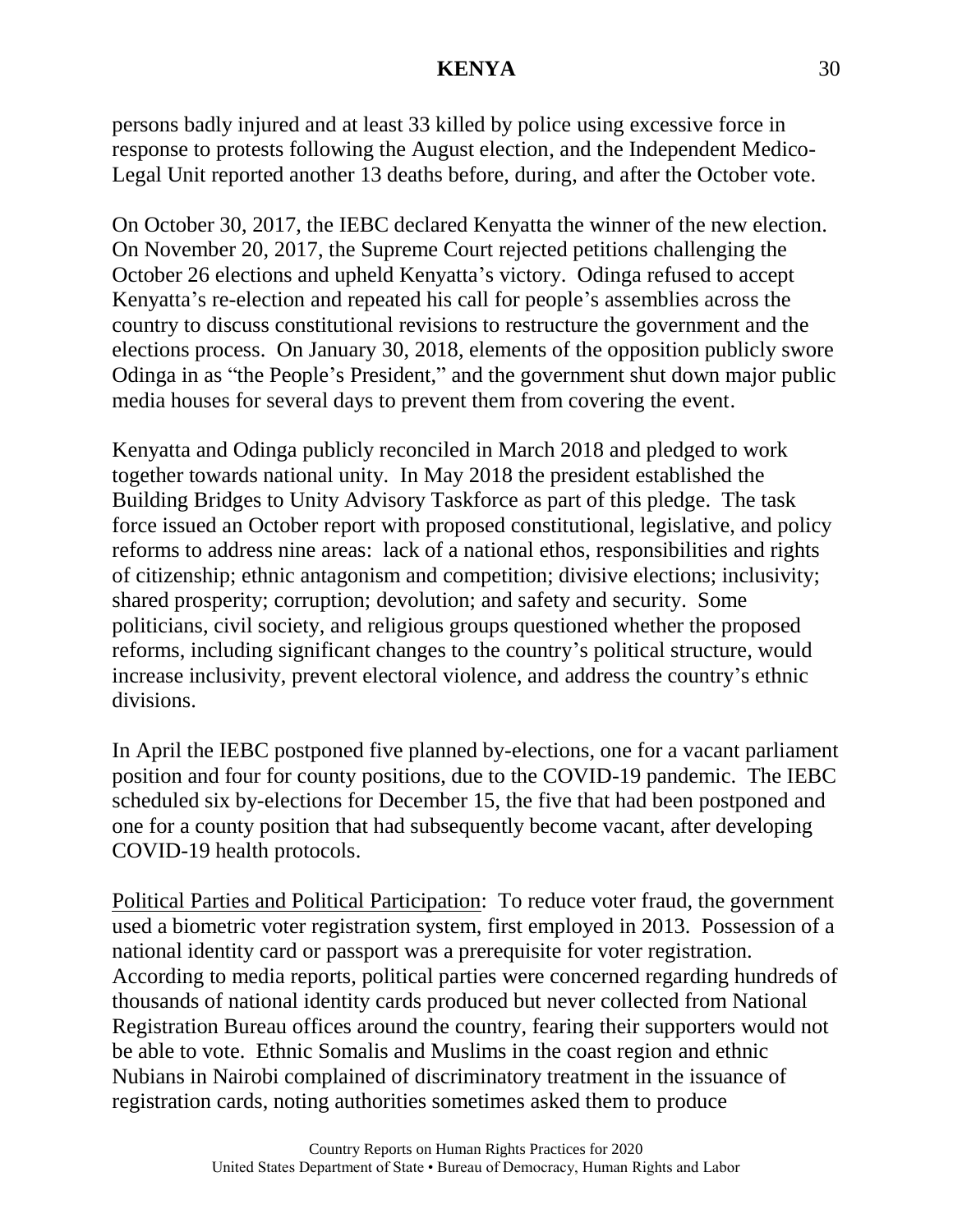persons badly injured and at least 33 killed by police using excessive force in response to protests following the August election, and the Independent Medico-Legal Unit reported another 13 deaths before, during, and after the October vote.

On October 30, 2017, the IEBC declared Kenyatta the winner of the new election. On November 20, 2017, the Supreme Court rejected petitions challenging the October 26 elections and upheld Kenyatta's victory. Odinga refused to accept Kenyatta's re-election and repeated his call for people's assemblies across the country to discuss constitutional revisions to restructure the government and the elections process. On January 30, 2018, elements of the opposition publicly swore Odinga in as "the People's President," and the government shut down major public media houses for several days to prevent them from covering the event.

Kenyatta and Odinga publicly reconciled in March 2018 and pledged to work together towards national unity. In May 2018 the president established the Building Bridges to Unity Advisory Taskforce as part of this pledge. The task force issued an October report with proposed constitutional, legislative, and policy reforms to address nine areas: lack of a national ethos, responsibilities and rights of citizenship; ethnic antagonism and competition; divisive elections; inclusivity; shared prosperity; corruption; devolution; and safety and security. Some politicians, civil society, and religious groups questioned whether the proposed reforms, including significant changes to the country's political structure, would increase inclusivity, prevent electoral violence, and address the country's ethnic divisions.

In April the IEBC postponed five planned by-elections, one for a vacant parliament position and four for county positions, due to the COVID-19 pandemic. The IEBC scheduled six by-elections for December 15, the five that had been postponed and one for a county position that had subsequently become vacant, after developing COVID-19 health protocols.

Political Parties and Political Participation: To reduce voter fraud, the government used a biometric voter registration system, first employed in 2013. Possession of a national identity card or passport was a prerequisite for voter registration. According to media reports, political parties were concerned regarding hundreds of thousands of national identity cards produced but never collected from National Registration Bureau offices around the country, fearing their supporters would not be able to vote. Ethnic Somalis and Muslims in the coast region and ethnic Nubians in Nairobi complained of discriminatory treatment in the issuance of registration cards, noting authorities sometimes asked them to produce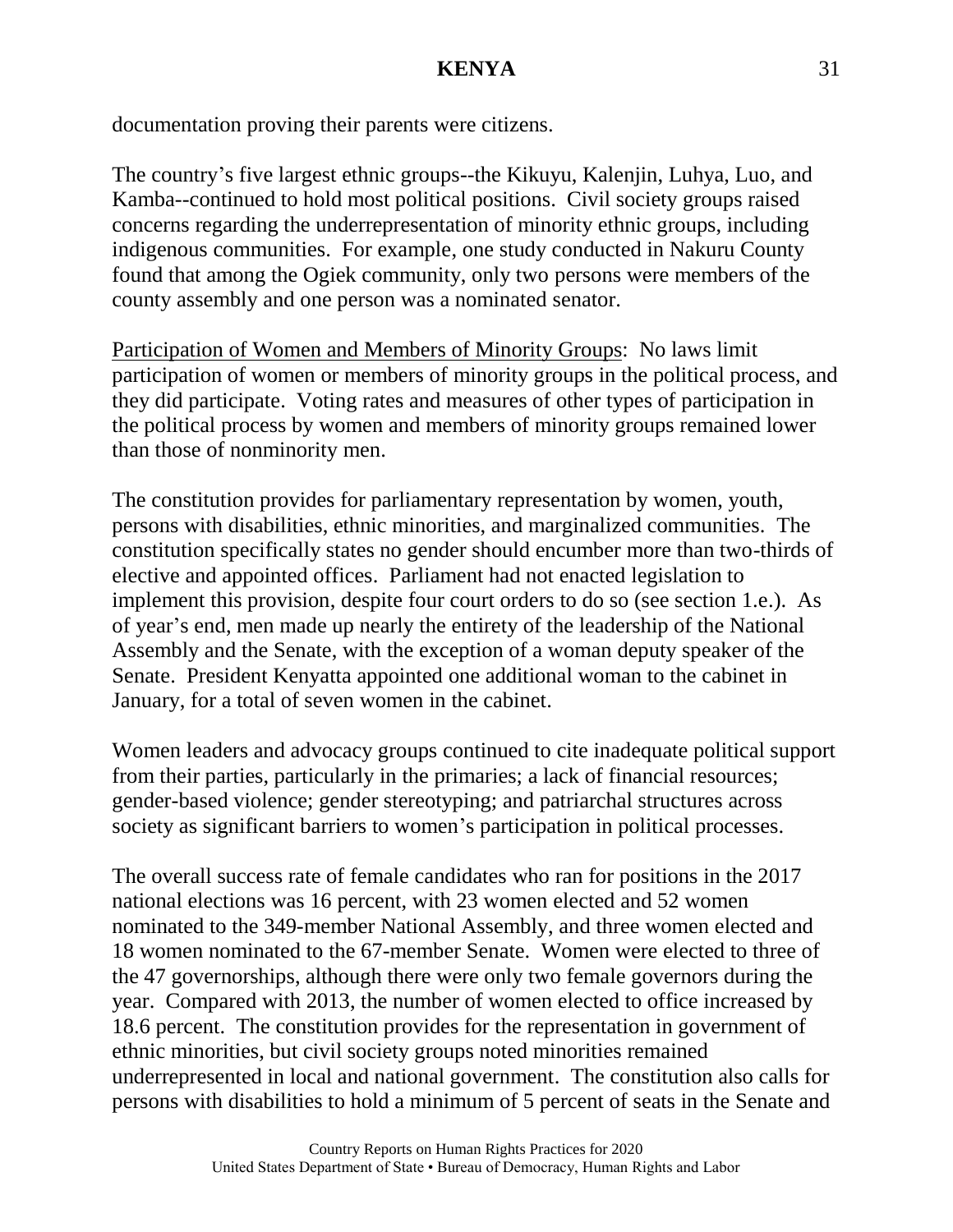documentation proving their parents were citizens.

The country's five largest ethnic groups--the Kikuyu, Kalenjin, Luhya, Luo, and Kamba--continued to hold most political positions. Civil society groups raised concerns regarding the underrepresentation of minority ethnic groups, including indigenous communities. For example, one study conducted in Nakuru County found that among the Ogiek community, only two persons were members of the county assembly and one person was a nominated senator.

Participation of Women and Members of Minority Groups: No laws limit participation of women or members of minority groups in the political process, and they did participate. Voting rates and measures of other types of participation in the political process by women and members of minority groups remained lower than those of nonminority men.

The constitution provides for parliamentary representation by women, youth, persons with disabilities, ethnic minorities, and marginalized communities. The constitution specifically states no gender should encumber more than two-thirds of elective and appointed offices. Parliament had not enacted legislation to implement this provision, despite four court orders to do so (see section 1.e.). As of year's end, men made up nearly the entirety of the leadership of the National Assembly and the Senate, with the exception of a woman deputy speaker of the Senate. President Kenyatta appointed one additional woman to the cabinet in January, for a total of seven women in the cabinet.

Women leaders and advocacy groups continued to cite inadequate political support from their parties, particularly in the primaries; a lack of financial resources; gender-based violence; gender stereotyping; and patriarchal structures across society as significant barriers to women's participation in political processes.

The overall success rate of female candidates who ran for positions in the 2017 national elections was 16 percent, with 23 women elected and 52 women nominated to the 349-member National Assembly, and three women elected and 18 women nominated to the 67-member Senate. Women were elected to three of the 47 governorships, although there were only two female governors during the year. Compared with 2013, the number of women elected to office increased by 18.6 percent. The constitution provides for the representation in government of ethnic minorities, but civil society groups noted minorities remained underrepresented in local and national government. The constitution also calls for persons with disabilities to hold a minimum of 5 percent of seats in the Senate and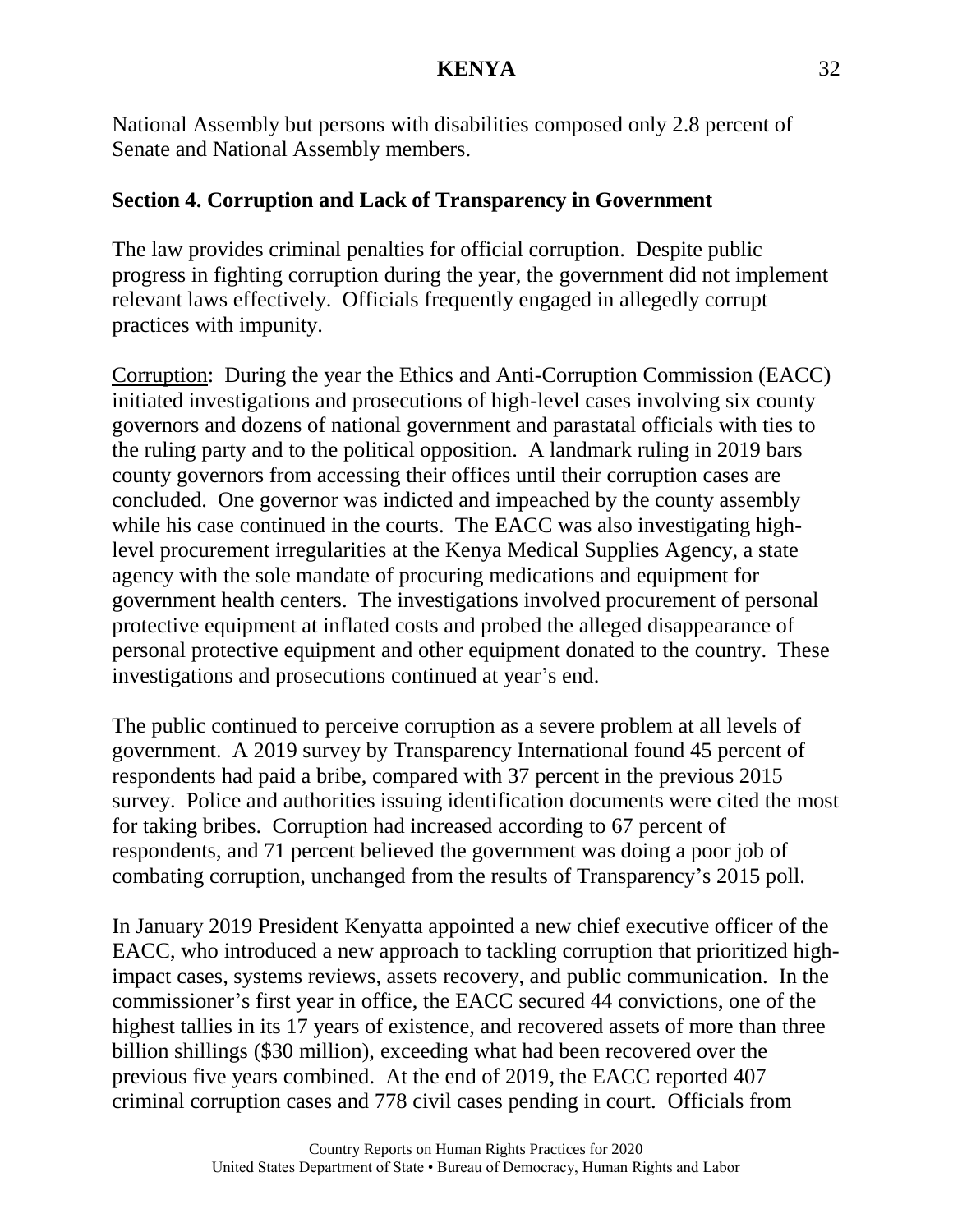National Assembly but persons with disabilities composed only 2.8 percent of Senate and National Assembly members.

## **Section 4. Corruption and Lack of Transparency in Government**

The law provides criminal penalties for official corruption. Despite public progress in fighting corruption during the year, the government did not implement relevant laws effectively. Officials frequently engaged in allegedly corrupt practices with impunity.

Corruption: During the year the Ethics and Anti-Corruption Commission (EACC) initiated investigations and prosecutions of high-level cases involving six county governors and dozens of national government and parastatal officials with ties to the ruling party and to the political opposition. A landmark ruling in 2019 bars county governors from accessing their offices until their corruption cases are concluded. One governor was indicted and impeached by the county assembly while his case continued in the courts. The EACC was also investigating highlevel procurement irregularities at the Kenya Medical Supplies Agency, a state agency with the sole mandate of procuring medications and equipment for government health centers. The investigations involved procurement of personal protective equipment at inflated costs and probed the alleged disappearance of personal protective equipment and other equipment donated to the country. These investigations and prosecutions continued at year's end.

The public continued to perceive corruption as a severe problem at all levels of government. A 2019 survey by Transparency International found 45 percent of respondents had paid a bribe, compared with 37 percent in the previous 2015 survey. Police and authorities issuing identification documents were cited the most for taking bribes. Corruption had increased according to 67 percent of respondents, and 71 percent believed the government was doing a poor job of combating corruption, unchanged from the results of Transparency's 2015 poll.

In January 2019 President Kenyatta appointed a new chief executive officer of the EACC, who introduced a new approach to tackling corruption that prioritized highimpact cases, systems reviews, assets recovery, and public communication. In the commissioner's first year in office, the EACC secured 44 convictions, one of the highest tallies in its 17 years of existence, and recovered assets of more than three billion shillings (\$30 million), exceeding what had been recovered over the previous five years combined. At the end of 2019, the EACC reported 407 criminal corruption cases and 778 civil cases pending in court. Officials from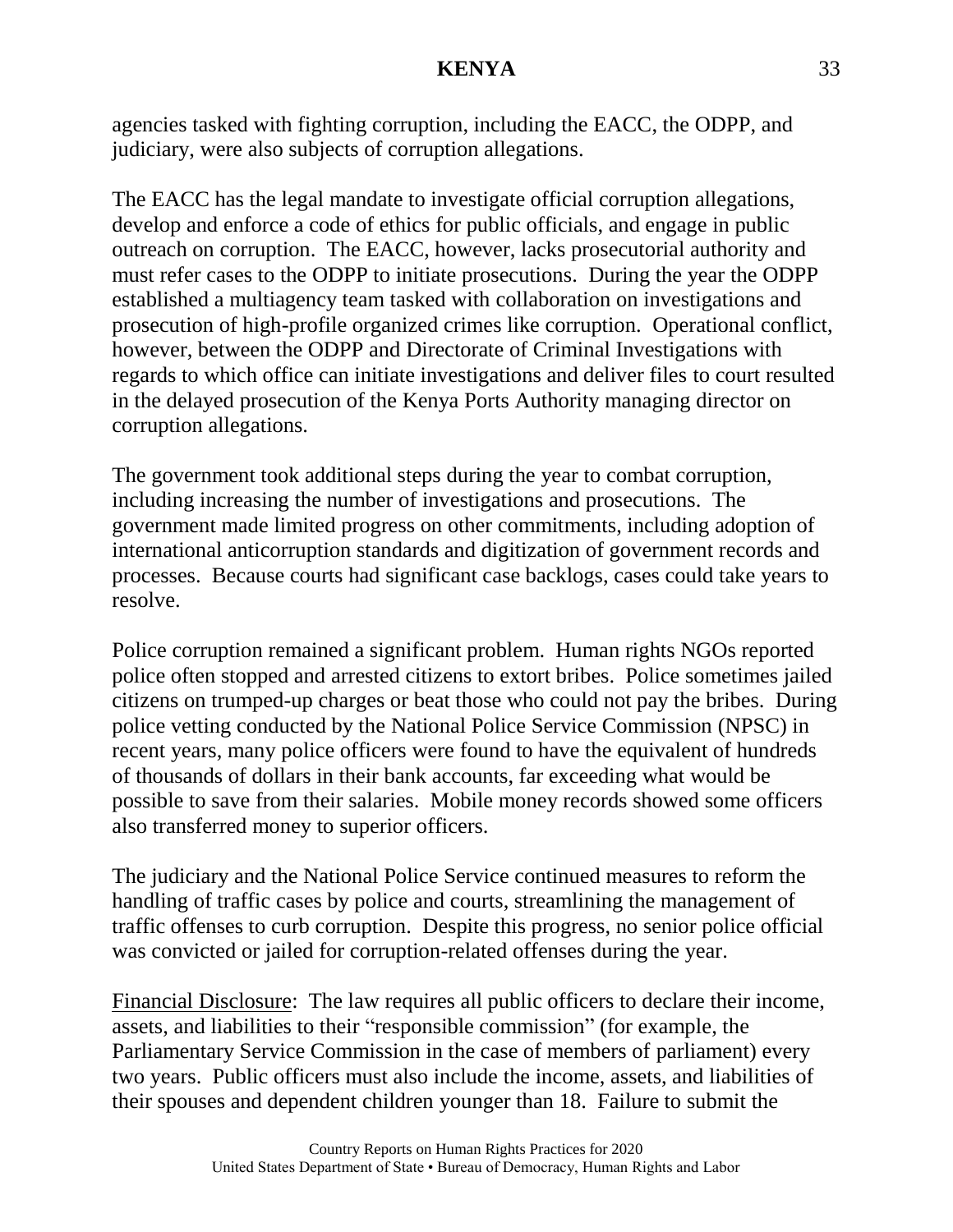agencies tasked with fighting corruption, including the EACC, the ODPP, and judiciary, were also subjects of corruption allegations.

The EACC has the legal mandate to investigate official corruption allegations, develop and enforce a code of ethics for public officials, and engage in public outreach on corruption. The EACC, however, lacks prosecutorial authority and must refer cases to the ODPP to initiate prosecutions. During the year the ODPP established a multiagency team tasked with collaboration on investigations and prosecution of high-profile organized crimes like corruption. Operational conflict, however, between the ODPP and Directorate of Criminal Investigations with regards to which office can initiate investigations and deliver files to court resulted in the delayed prosecution of the Kenya Ports Authority managing director on corruption allegations.

The government took additional steps during the year to combat corruption, including increasing the number of investigations and prosecutions. The government made limited progress on other commitments, including adoption of international anticorruption standards and digitization of government records and processes. Because courts had significant case backlogs, cases could take years to resolve.

Police corruption remained a significant problem. Human rights NGOs reported police often stopped and arrested citizens to extort bribes. Police sometimes jailed citizens on trumped-up charges or beat those who could not pay the bribes. During police vetting conducted by the National Police Service Commission (NPSC) in recent years, many police officers were found to have the equivalent of hundreds of thousands of dollars in their bank accounts, far exceeding what would be possible to save from their salaries. Mobile money records showed some officers also transferred money to superior officers.

The judiciary and the National Police Service continued measures to reform the handling of traffic cases by police and courts, streamlining the management of traffic offenses to curb corruption. Despite this progress, no senior police official was convicted or jailed for corruption-related offenses during the year.

Financial Disclosure: The law requires all public officers to declare their income, assets, and liabilities to their "responsible commission" (for example, the Parliamentary Service Commission in the case of members of parliament) every two years. Public officers must also include the income, assets, and liabilities of their spouses and dependent children younger than 18. Failure to submit the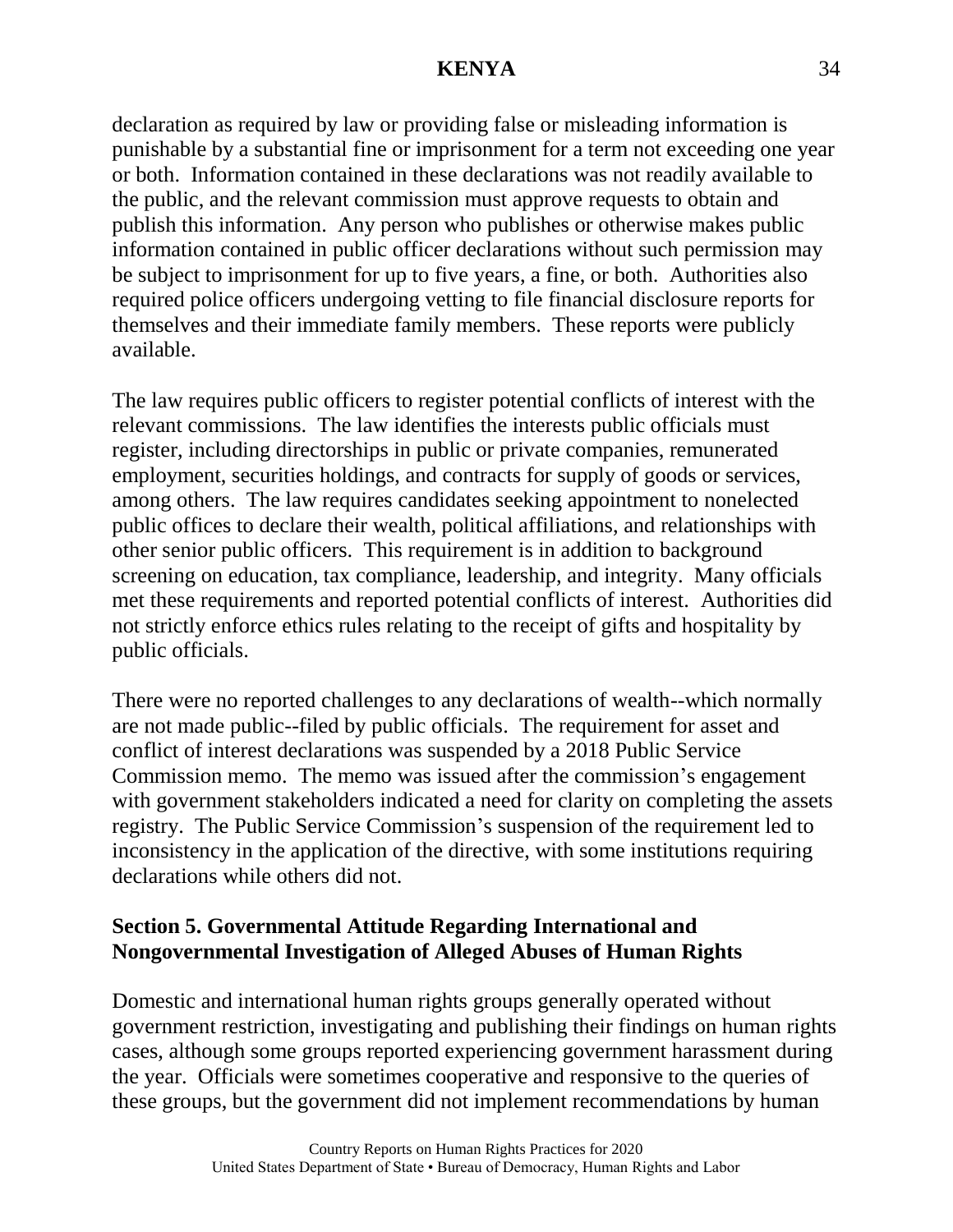declaration as required by law or providing false or misleading information is punishable by a substantial fine or imprisonment for a term not exceeding one year or both. Information contained in these declarations was not readily available to the public, and the relevant commission must approve requests to obtain and publish this information. Any person who publishes or otherwise makes public information contained in public officer declarations without such permission may be subject to imprisonment for up to five years, a fine, or both. Authorities also required police officers undergoing vetting to file financial disclosure reports for themselves and their immediate family members. These reports were publicly available.

The law requires public officers to register potential conflicts of interest with the relevant commissions. The law identifies the interests public officials must register, including directorships in public or private companies, remunerated employment, securities holdings, and contracts for supply of goods or services, among others. The law requires candidates seeking appointment to nonelected public offices to declare their wealth, political affiliations, and relationships with other senior public officers. This requirement is in addition to background screening on education, tax compliance, leadership, and integrity. Many officials met these requirements and reported potential conflicts of interest. Authorities did not strictly enforce ethics rules relating to the receipt of gifts and hospitality by public officials.

There were no reported challenges to any declarations of wealth--which normally are not made public--filed by public officials. The requirement for asset and conflict of interest declarations was suspended by a 2018 Public Service Commission memo. The memo was issued after the commission's engagement with government stakeholders indicated a need for clarity on completing the assets registry. The Public Service Commission's suspension of the requirement led to inconsistency in the application of the directive, with some institutions requiring declarations while others did not.

### **Section 5. Governmental Attitude Regarding International and Nongovernmental Investigation of Alleged Abuses of Human Rights**

Domestic and international human rights groups generally operated without government restriction, investigating and publishing their findings on human rights cases, although some groups reported experiencing government harassment during the year. Officials were sometimes cooperative and responsive to the queries of these groups, but the government did not implement recommendations by human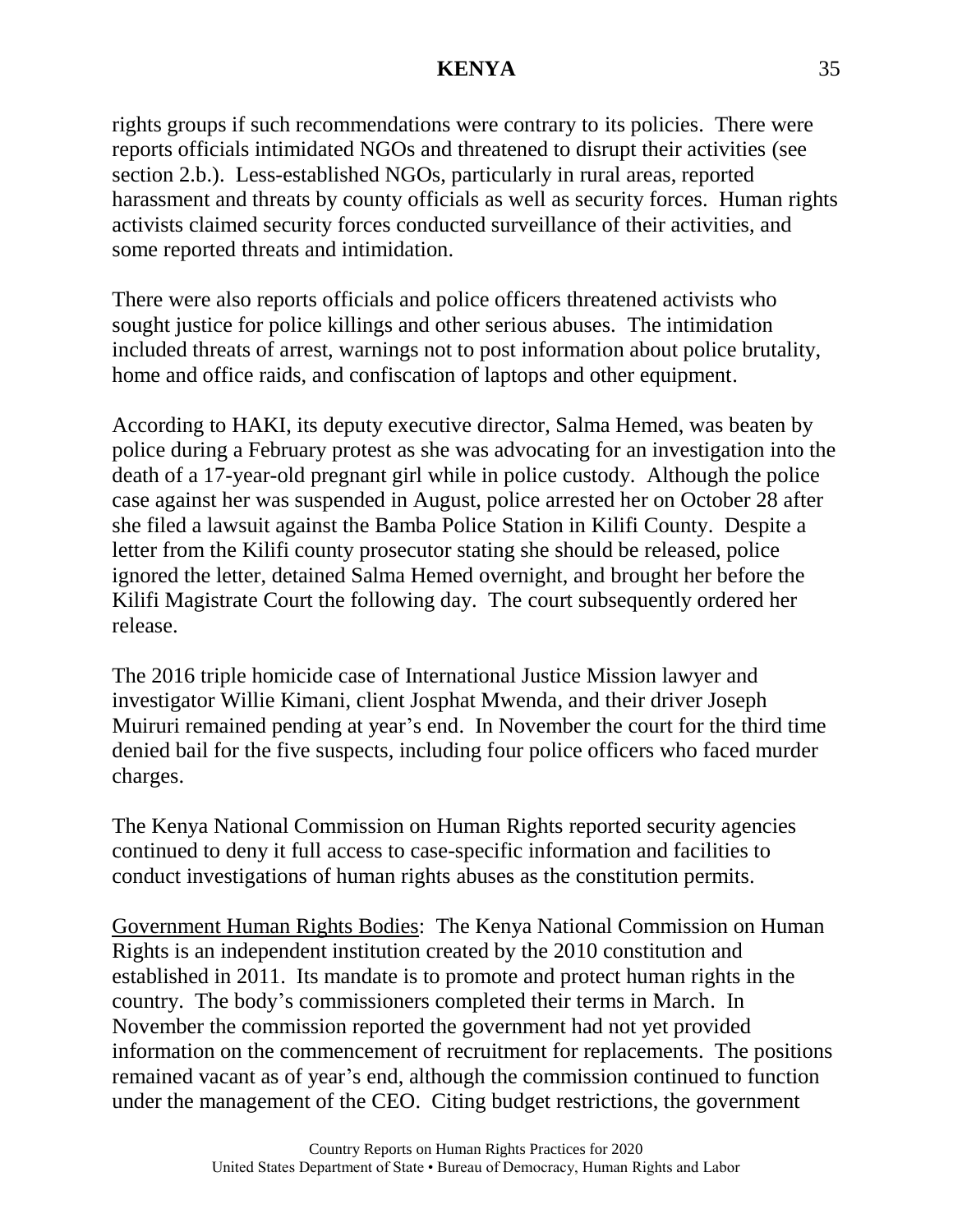rights groups if such recommendations were contrary to its policies. There were reports officials intimidated NGOs and threatened to disrupt their activities (see section 2.b.). Less-established NGOs, particularly in rural areas, reported harassment and threats by county officials as well as security forces. Human rights activists claimed security forces conducted surveillance of their activities, and some reported threats and intimidation.

There were also reports officials and police officers threatened activists who sought justice for police killings and other serious abuses. The intimidation included threats of arrest, warnings not to post information about police brutality, home and office raids, and confiscation of laptops and other equipment.

According to HAKI, its deputy executive director, Salma Hemed, was beaten by police during a February protest as she was advocating for an investigation into the death of a 17-year-old pregnant girl while in police custody. Although the police case against her was suspended in August, police arrested her on October 28 after she filed a lawsuit against the Bamba Police Station in Kilifi County. Despite a letter from the Kilifi county prosecutor stating she should be released, police ignored the letter, detained Salma Hemed overnight, and brought her before the Kilifi Magistrate Court the following day. The court subsequently ordered her release.

The 2016 triple homicide case of International Justice Mission lawyer and investigator Willie Kimani, client Josphat Mwenda, and their driver Joseph Muiruri remained pending at year's end. In November the court for the third time denied bail for the five suspects, including four police officers who faced murder charges.

The Kenya National Commission on Human Rights reported security agencies continued to deny it full access to case-specific information and facilities to conduct investigations of human rights abuses as the constitution permits.

Government Human Rights Bodies: The Kenya National Commission on Human Rights is an independent institution created by the 2010 constitution and established in 2011. Its mandate is to promote and protect human rights in the country. The body's commissioners completed their terms in March. In November the commission reported the government had not yet provided information on the commencement of recruitment for replacements. The positions remained vacant as of year's end, although the commission continued to function under the management of the CEO. Citing budget restrictions, the government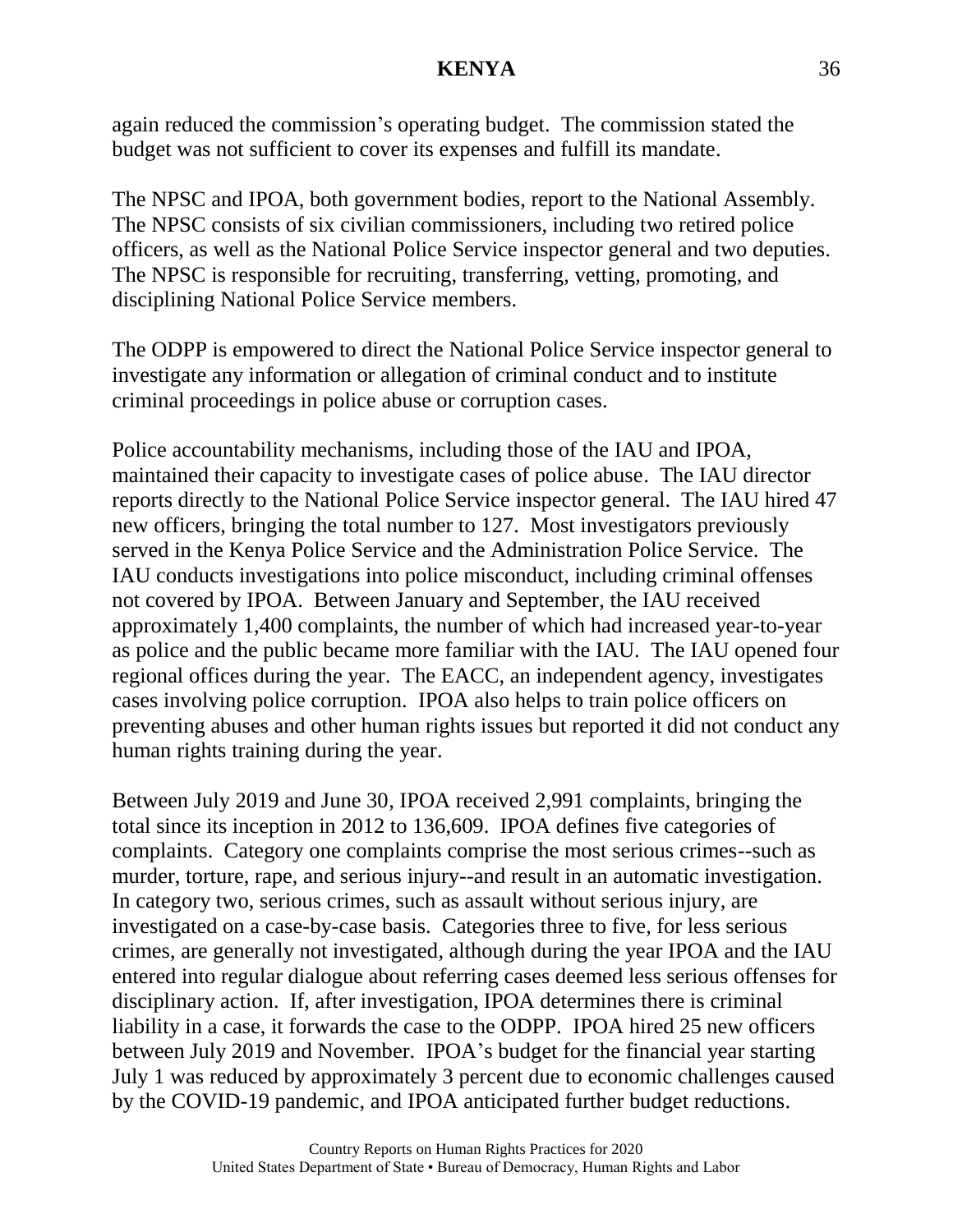again reduced the commission's operating budget. The commission stated the budget was not sufficient to cover its expenses and fulfill its mandate.

The NPSC and IPOA, both government bodies, report to the National Assembly. The NPSC consists of six civilian commissioners, including two retired police officers, as well as the National Police Service inspector general and two deputies. The NPSC is responsible for recruiting, transferring, vetting, promoting, and disciplining National Police Service members.

The ODPP is empowered to direct the National Police Service inspector general to investigate any information or allegation of criminal conduct and to institute criminal proceedings in police abuse or corruption cases.

Police accountability mechanisms, including those of the IAU and IPOA, maintained their capacity to investigate cases of police abuse. The IAU director reports directly to the National Police Service inspector general. The IAU hired 47 new officers, bringing the total number to 127. Most investigators previously served in the Kenya Police Service and the Administration Police Service. The IAU conducts investigations into police misconduct, including criminal offenses not covered by IPOA. Between January and September, the IAU received approximately 1,400 complaints, the number of which had increased year-to-year as police and the public became more familiar with the IAU. The IAU opened four regional offices during the year. The EACC, an independent agency, investigates cases involving police corruption. IPOA also helps to train police officers on preventing abuses and other human rights issues but reported it did not conduct any human rights training during the year.

Between July 2019 and June 30, IPOA received 2,991 complaints, bringing the total since its inception in 2012 to 136,609. IPOA defines five categories of complaints. Category one complaints comprise the most serious crimes--such as murder, torture, rape, and serious injury--and result in an automatic investigation. In category two, serious crimes, such as assault without serious injury, are investigated on a case-by-case basis. Categories three to five, for less serious crimes, are generally not investigated, although during the year IPOA and the IAU entered into regular dialogue about referring cases deemed less serious offenses for disciplinary action. If, after investigation, IPOA determines there is criminal liability in a case, it forwards the case to the ODPP. IPOA hired 25 new officers between July 2019 and November. IPOA's budget for the financial year starting July 1 was reduced by approximately 3 percent due to economic challenges caused by the COVID-19 pandemic, and IPOA anticipated further budget reductions.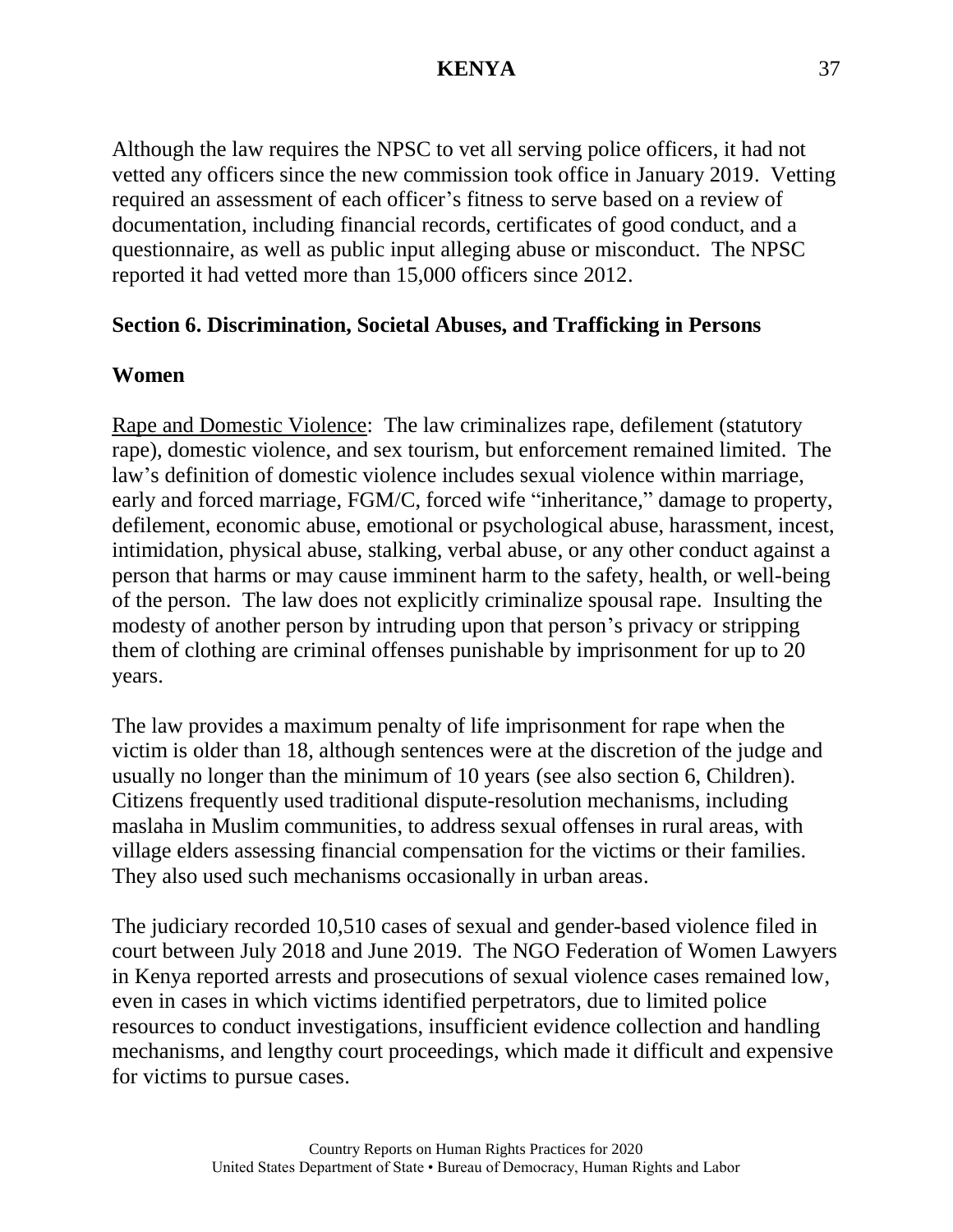Although the law requires the NPSC to vet all serving police officers, it had not vetted any officers since the new commission took office in January 2019. Vetting required an assessment of each officer's fitness to serve based on a review of documentation, including financial records, certificates of good conduct, and a questionnaire, as well as public input alleging abuse or misconduct. The NPSC reported it had vetted more than 15,000 officers since 2012.

#### **Section 6. Discrimination, Societal Abuses, and Trafficking in Persons**

### **Women**

Rape and Domestic Violence: The law criminalizes rape, defilement (statutory rape), domestic violence, and sex tourism, but enforcement remained limited. The law's definition of domestic violence includes sexual violence within marriage, early and forced marriage, FGM/C, forced wife "inheritance," damage to property, defilement, economic abuse, emotional or psychological abuse, harassment, incest, intimidation, physical abuse, stalking, verbal abuse, or any other conduct against a person that harms or may cause imminent harm to the safety, health, or well-being of the person. The law does not explicitly criminalize spousal rape. Insulting the modesty of another person by intruding upon that person's privacy or stripping them of clothing are criminal offenses punishable by imprisonment for up to 20 years.

The law provides a maximum penalty of life imprisonment for rape when the victim is older than 18, although sentences were at the discretion of the judge and usually no longer than the minimum of 10 years (see also section 6, Children). Citizens frequently used traditional dispute-resolution mechanisms, including maslaha in Muslim communities, to address sexual offenses in rural areas, with village elders assessing financial compensation for the victims or their families. They also used such mechanisms occasionally in urban areas.

The judiciary recorded 10,510 cases of sexual and gender-based violence filed in court between July 2018 and June 2019. The NGO Federation of Women Lawyers in Kenya reported arrests and prosecutions of sexual violence cases remained low, even in cases in which victims identified perpetrators, due to limited police resources to conduct investigations, insufficient evidence collection and handling mechanisms, and lengthy court proceedings, which made it difficult and expensive for victims to pursue cases.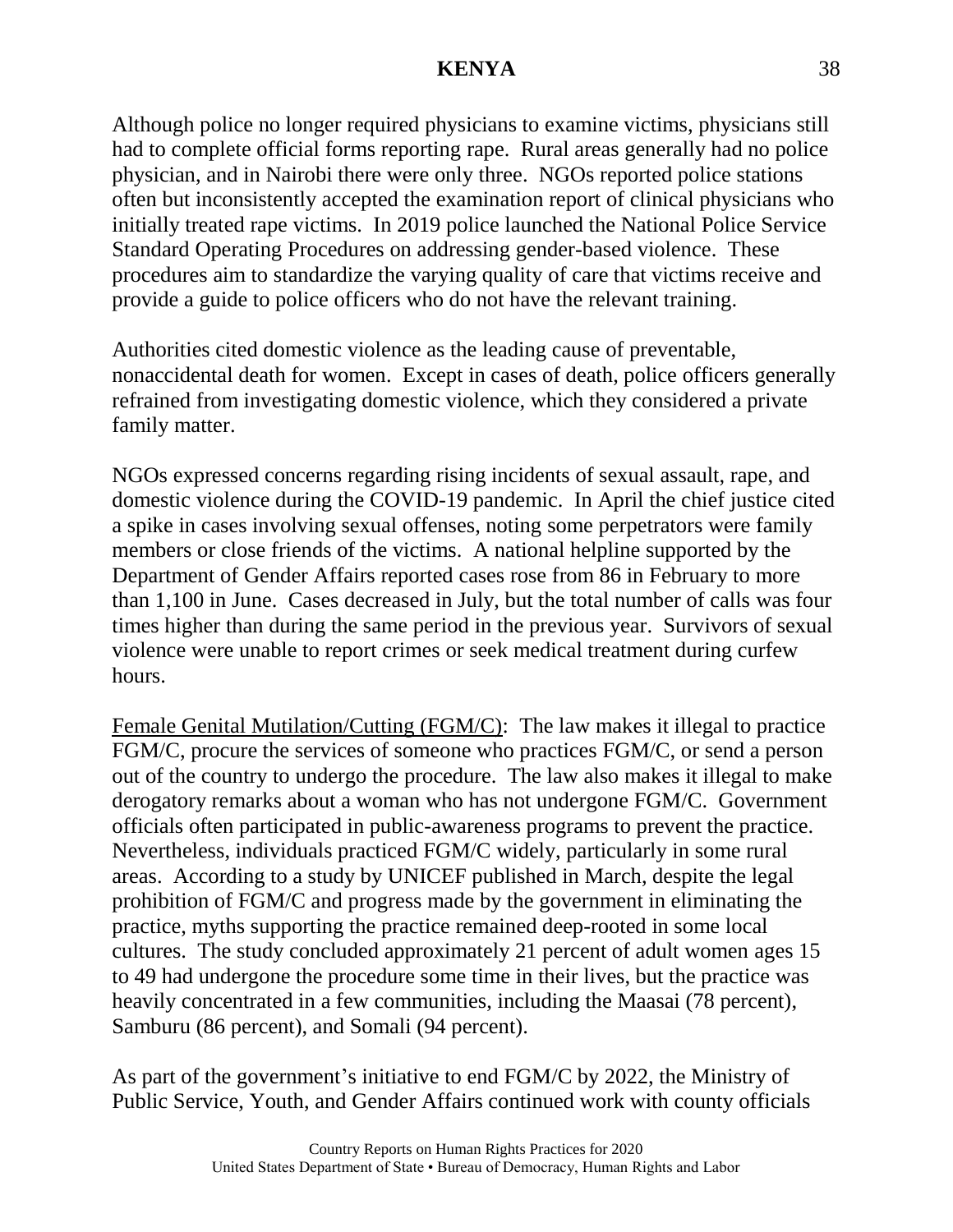Although police no longer required physicians to examine victims, physicians still had to complete official forms reporting rape. Rural areas generally had no police physician, and in Nairobi there were only three. NGOs reported police stations often but inconsistently accepted the examination report of clinical physicians who initially treated rape victims. In 2019 police launched the National Police Service Standard Operating Procedures on addressing gender-based violence. These procedures aim to standardize the varying quality of care that victims receive and provide a guide to police officers who do not have the relevant training.

Authorities cited domestic violence as the leading cause of preventable, nonaccidental death for women. Except in cases of death, police officers generally refrained from investigating domestic violence, which they considered a private family matter.

NGOs expressed concerns regarding rising incidents of sexual assault, rape, and domestic violence during the COVID-19 pandemic. In April the chief justice cited a spike in cases involving sexual offenses, noting some perpetrators were family members or close friends of the victims. A national helpline supported by the Department of Gender Affairs reported cases rose from 86 in February to more than 1,100 in June. Cases decreased in July, but the total number of calls was four times higher than during the same period in the previous year. Survivors of sexual violence were unable to report crimes or seek medical treatment during curfew hours.

Female Genital Mutilation/Cutting (FGM/C): The law makes it illegal to practice FGM/C, procure the services of someone who practices FGM/C, or send a person out of the country to undergo the procedure. The law also makes it illegal to make derogatory remarks about a woman who has not undergone FGM/C. Government officials often participated in public-awareness programs to prevent the practice. Nevertheless, individuals practiced FGM/C widely, particularly in some rural areas. According to a study by UNICEF published in March, despite the legal prohibition of FGM/C and progress made by the government in eliminating the practice, myths supporting the practice remained deep-rooted in some local cultures. The study concluded approximately 21 percent of adult women ages 15 to 49 had undergone the procedure some time in their lives, but the practice was heavily concentrated in a few communities, including the Maasai (78 percent), Samburu (86 percent), and Somali (94 percent).

As part of the government's initiative to end FGM/C by 2022, the Ministry of Public Service, Youth, and Gender Affairs continued work with county officials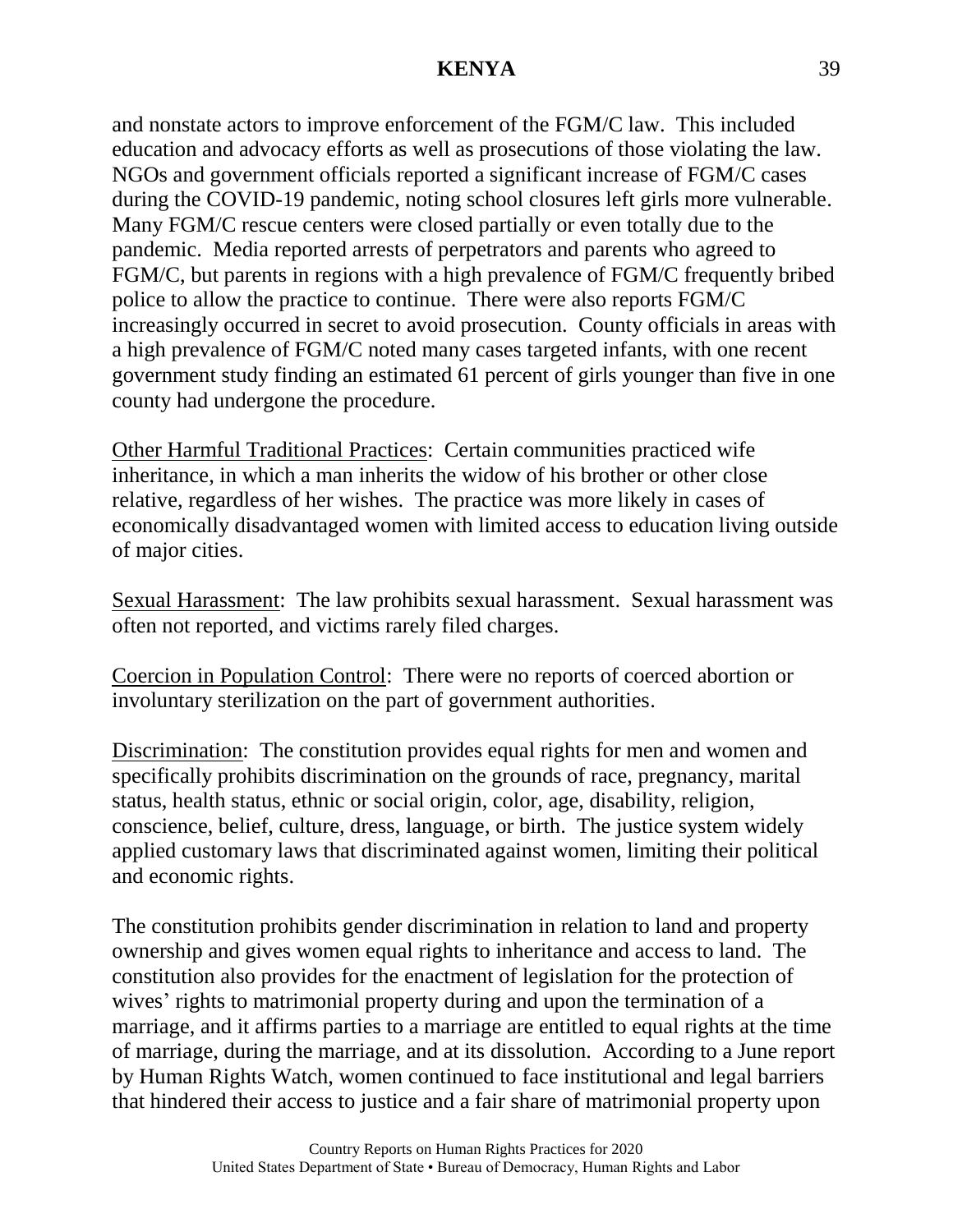and nonstate actors to improve enforcement of the FGM/C law. This included education and advocacy efforts as well as prosecutions of those violating the law. NGOs and government officials reported a significant increase of FGM/C cases during the COVID-19 pandemic, noting school closures left girls more vulnerable. Many FGM/C rescue centers were closed partially or even totally due to the pandemic. Media reported arrests of perpetrators and parents who agreed to FGM/C, but parents in regions with a high prevalence of FGM/C frequently bribed police to allow the practice to continue. There were also reports FGM/C increasingly occurred in secret to avoid prosecution. County officials in areas with a high prevalence of FGM/C noted many cases targeted infants, with one recent government study finding an estimated 61 percent of girls younger than five in one county had undergone the procedure.

Other Harmful Traditional Practices: Certain communities practiced wife inheritance, in which a man inherits the widow of his brother or other close relative, regardless of her wishes. The practice was more likely in cases of economically disadvantaged women with limited access to education living outside of major cities.

Sexual Harassment: The law prohibits sexual harassment. Sexual harassment was often not reported, and victims rarely filed charges.

Coercion in Population Control: There were no reports of coerced abortion or involuntary sterilization on the part of government authorities.

Discrimination: The constitution provides equal rights for men and women and specifically prohibits discrimination on the grounds of race, pregnancy, marital status, health status, ethnic or social origin, color, age, disability, religion, conscience, belief, culture, dress, language, or birth. The justice system widely applied customary laws that discriminated against women, limiting their political and economic rights.

The constitution prohibits gender discrimination in relation to land and property ownership and gives women equal rights to inheritance and access to land. The constitution also provides for the enactment of legislation for the protection of wives' rights to matrimonial property during and upon the termination of a marriage, and it affirms parties to a marriage are entitled to equal rights at the time of marriage, during the marriage, and at its dissolution. According to a June report by Human Rights Watch, women continued to face institutional and legal barriers that hindered their access to justice and a fair share of matrimonial property upon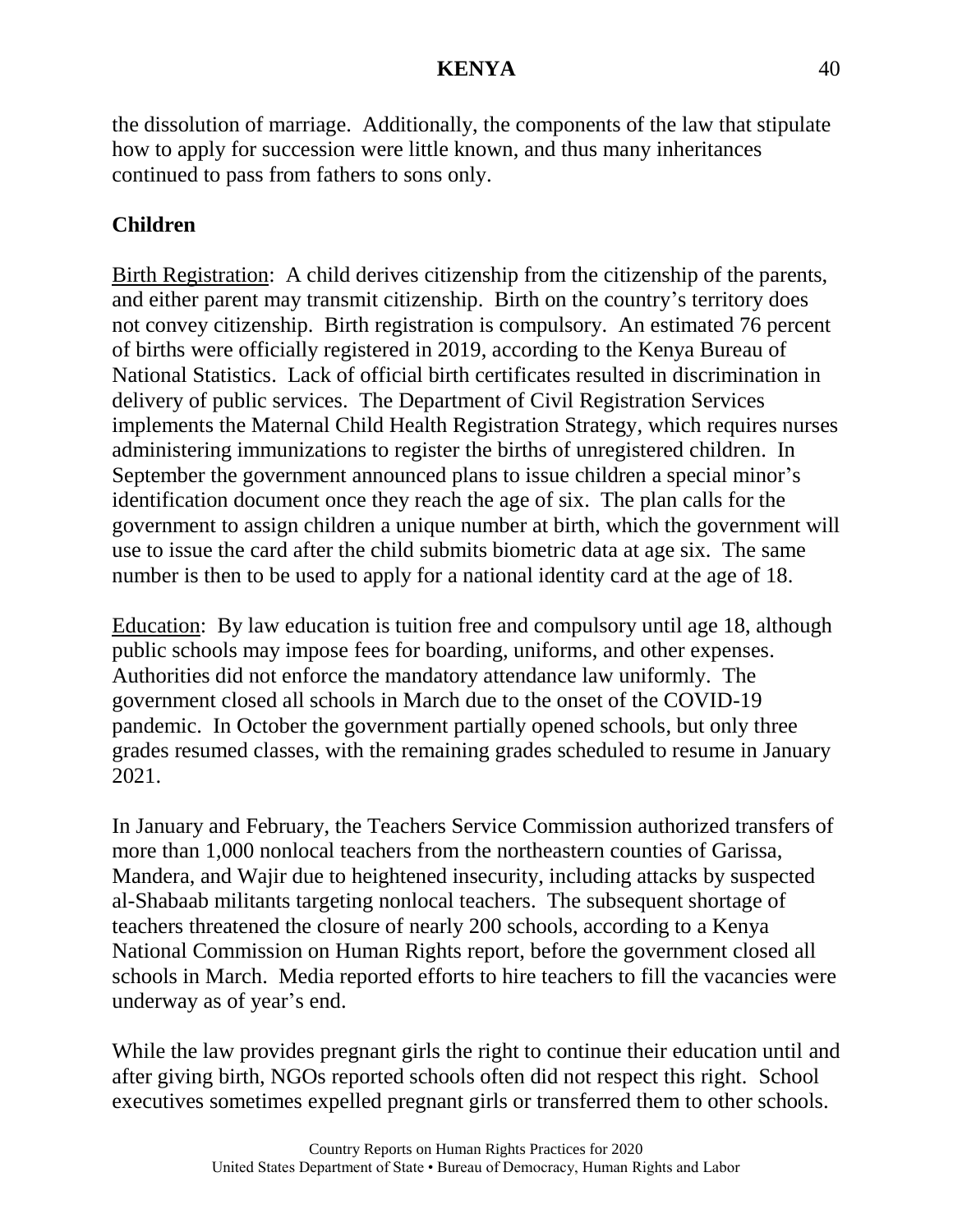the dissolution of marriage. Additionally, the components of the law that stipulate how to apply for succession were little known, and thus many inheritances continued to pass from fathers to sons only.

# **Children**

Birth Registration: A child derives citizenship from the citizenship of the parents, and either parent may transmit citizenship. Birth on the country's territory does not convey citizenship. Birth registration is compulsory. An estimated 76 percent of births were officially registered in 2019, according to the Kenya Bureau of National Statistics. Lack of official birth certificates resulted in discrimination in delivery of public services. The Department of Civil Registration Services implements the Maternal Child Health Registration Strategy, which requires nurses administering immunizations to register the births of unregistered children. In September the government announced plans to issue children a special minor's identification document once they reach the age of six. The plan calls for the government to assign children a unique number at birth, which the government will use to issue the card after the child submits biometric data at age six. The same number is then to be used to apply for a national identity card at the age of 18.

Education: By law education is tuition free and compulsory until age 18, although public schools may impose fees for boarding, uniforms, and other expenses. Authorities did not enforce the mandatory attendance law uniformly. The government closed all schools in March due to the onset of the COVID-19 pandemic. In October the government partially opened schools, but only three grades resumed classes, with the remaining grades scheduled to resume in January 2021.

In January and February, the Teachers Service Commission authorized transfers of more than 1,000 nonlocal teachers from the northeastern counties of Garissa, Mandera, and Wajir due to heightened insecurity, including attacks by suspected al-Shabaab militants targeting nonlocal teachers. The subsequent shortage of teachers threatened the closure of nearly 200 schools, according to a Kenya National Commission on Human Rights report, before the government closed all schools in March. Media reported efforts to hire teachers to fill the vacancies were underway as of year's end.

While the law provides pregnant girls the right to continue their education until and after giving birth, NGOs reported schools often did not respect this right. School executives sometimes expelled pregnant girls or transferred them to other schools.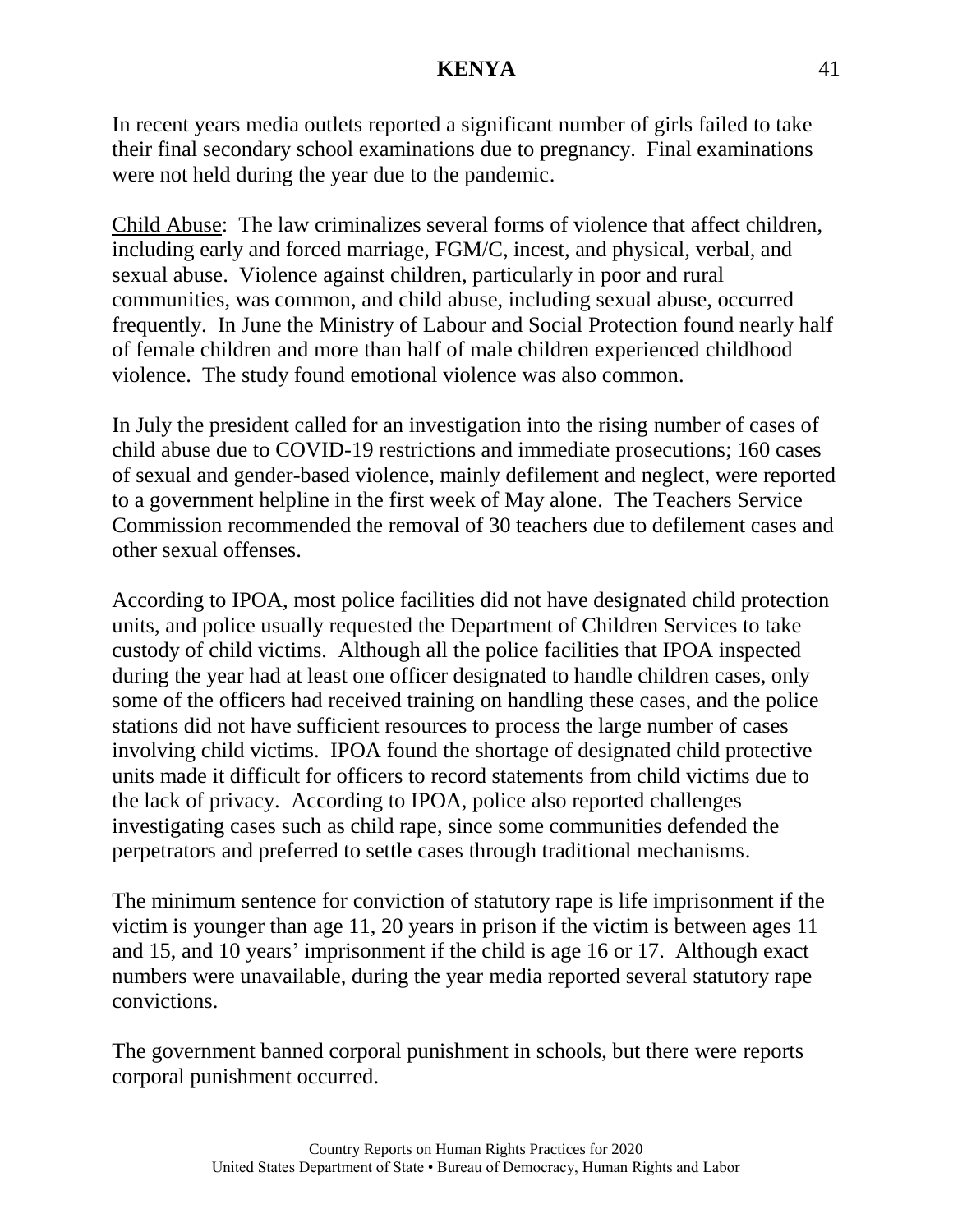In recent years media outlets reported a significant number of girls failed to take their final secondary school examinations due to pregnancy. Final examinations were not held during the year due to the pandemic.

Child Abuse: The law criminalizes several forms of violence that affect children, including early and forced marriage, FGM/C, incest, and physical, verbal, and sexual abuse. Violence against children, particularly in poor and rural communities, was common, and child abuse, including sexual abuse, occurred frequently. In June the Ministry of Labour and Social Protection found nearly half of female children and more than half of male children experienced childhood violence. The study found emotional violence was also common.

In July the president called for an investigation into the rising number of cases of child abuse due to COVID-19 restrictions and immediate prosecutions; 160 cases of sexual and gender-based violence, mainly defilement and neglect, were reported to a government helpline in the first week of May alone. The Teachers Service Commission recommended the removal of 30 teachers due to defilement cases and other sexual offenses.

According to IPOA, most police facilities did not have designated child protection units, and police usually requested the Department of Children Services to take custody of child victims. Although all the police facilities that IPOA inspected during the year had at least one officer designated to handle children cases, only some of the officers had received training on handling these cases, and the police stations did not have sufficient resources to process the large number of cases involving child victims. IPOA found the shortage of designated child protective units made it difficult for officers to record statements from child victims due to the lack of privacy. According to IPOA, police also reported challenges investigating cases such as child rape, since some communities defended the perpetrators and preferred to settle cases through traditional mechanisms.

The minimum sentence for conviction of statutory rape is life imprisonment if the victim is younger than age 11, 20 years in prison if the victim is between ages 11 and 15, and 10 years' imprisonment if the child is age 16 or 17. Although exact numbers were unavailable, during the year media reported several statutory rape convictions.

The government banned corporal punishment in schools, but there were reports corporal punishment occurred.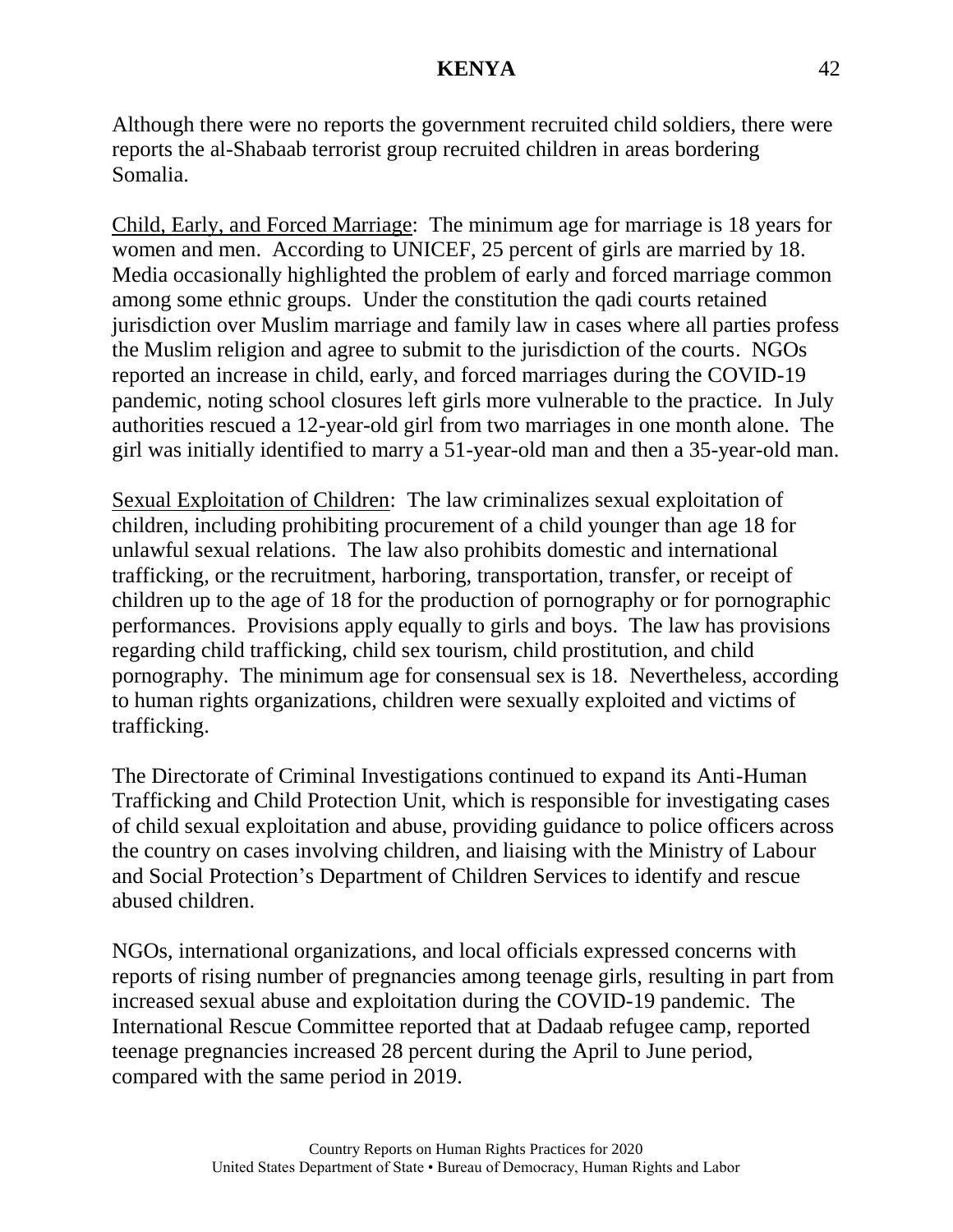Although there were no reports the government recruited child soldiers, there were reports the al-Shabaab terrorist group recruited children in areas bordering Somalia.

Child, Early, and Forced Marriage: The minimum age for marriage is 18 years for women and men. According to UNICEF, 25 percent of girls are married by 18. Media occasionally highlighted the problem of early and forced marriage common among some ethnic groups. Under the constitution the qadi courts retained jurisdiction over Muslim marriage and family law in cases where all parties profess the Muslim religion and agree to submit to the jurisdiction of the courts. NGOs reported an increase in child, early, and forced marriages during the COVID-19 pandemic, noting school closures left girls more vulnerable to the practice. In July authorities rescued a 12-year-old girl from two marriages in one month alone. The girl was initially identified to marry a 51-year-old man and then a 35-year-old man.

Sexual Exploitation of Children: The law criminalizes sexual exploitation of children, including prohibiting procurement of a child younger than age 18 for unlawful sexual relations. The law also prohibits domestic and international trafficking, or the recruitment, harboring, transportation, transfer, or receipt of children up to the age of 18 for the production of pornography or for pornographic performances. Provisions apply equally to girls and boys. The law has provisions regarding child trafficking, child sex tourism, child prostitution, and child pornography. The minimum age for consensual sex is 18. Nevertheless, according to human rights organizations, children were sexually exploited and victims of trafficking.

The Directorate of Criminal Investigations continued to expand its Anti-Human Trafficking and Child Protection Unit, which is responsible for investigating cases of child sexual exploitation and abuse, providing guidance to police officers across the country on cases involving children, and liaising with the Ministry of Labour and Social Protection's Department of Children Services to identify and rescue abused children.

NGOs, international organizations, and local officials expressed concerns with reports of rising number of pregnancies among teenage girls, resulting in part from increased sexual abuse and exploitation during the COVID-19 pandemic. The International Rescue Committee reported that at Dadaab refugee camp, reported teenage pregnancies increased 28 percent during the April to June period, compared with the same period in 2019.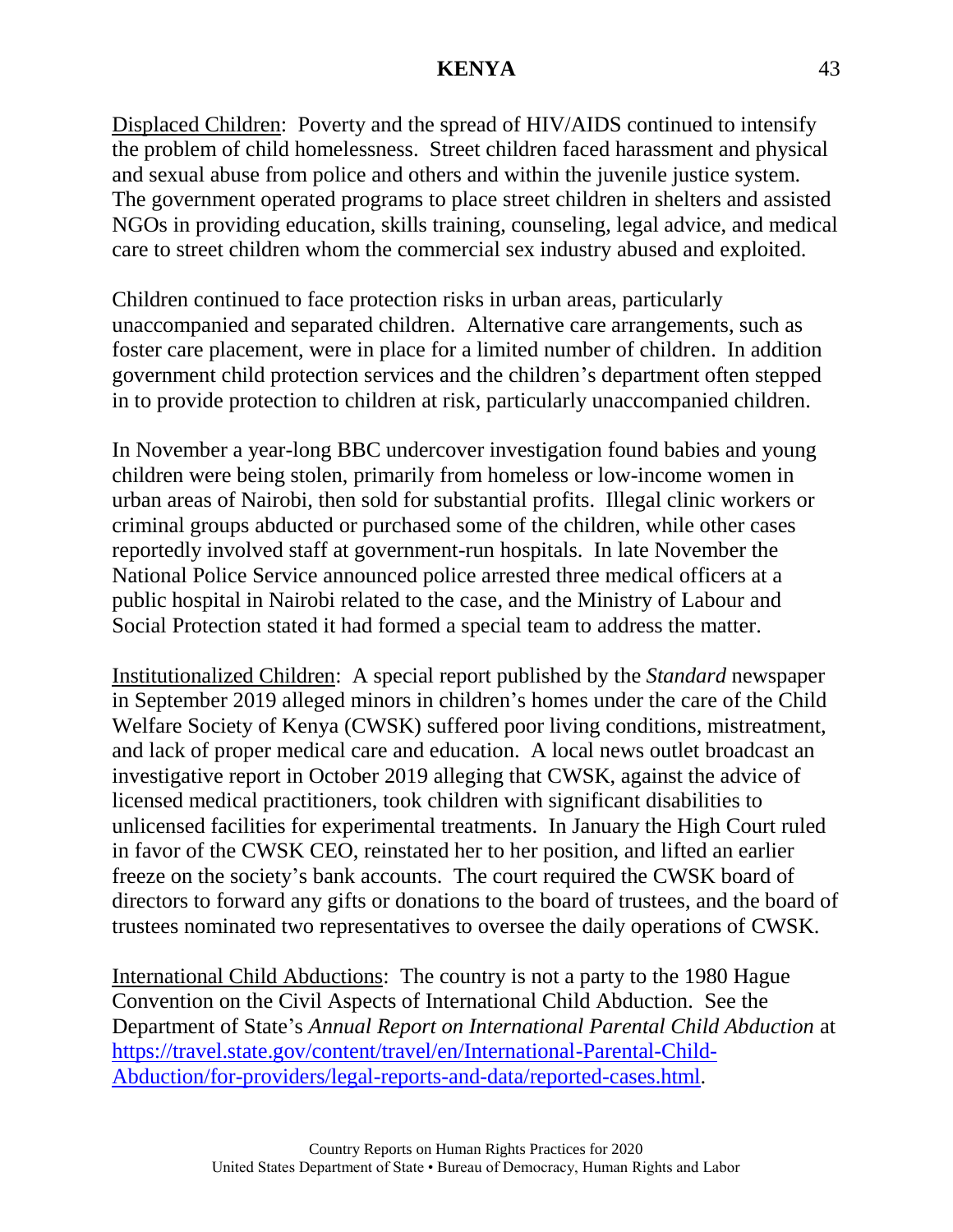Displaced Children: Poverty and the spread of HIV/AIDS continued to intensify the problem of child homelessness. Street children faced harassment and physical and sexual abuse from police and others and within the juvenile justice system. The government operated programs to place street children in shelters and assisted NGOs in providing education, skills training, counseling, legal advice, and medical care to street children whom the commercial sex industry abused and exploited.

Children continued to face protection risks in urban areas, particularly unaccompanied and separated children. Alternative care arrangements, such as foster care placement, were in place for a limited number of children. In addition government child protection services and the children's department often stepped in to provide protection to children at risk, particularly unaccompanied children.

In November a year-long BBC undercover investigation found babies and young children were being stolen, primarily from homeless or low-income women in urban areas of Nairobi, then sold for substantial profits. Illegal clinic workers or criminal groups abducted or purchased some of the children, while other cases reportedly involved staff at government-run hospitals. In late November the National Police Service announced police arrested three medical officers at a public hospital in Nairobi related to the case, and the Ministry of Labour and Social Protection stated it had formed a special team to address the matter.

Institutionalized Children: A special report published by the *Standard* newspaper in September 2019 alleged minors in children's homes under the care of the Child Welfare Society of Kenya (CWSK) suffered poor living conditions, mistreatment, and lack of proper medical care and education. A local news outlet broadcast an investigative report in October 2019 alleging that CWSK, against the advice of licensed medical practitioners, took children with significant disabilities to unlicensed facilities for experimental treatments. In January the High Court ruled in favor of the CWSK CEO, reinstated her to her position, and lifted an earlier freeze on the society's bank accounts. The court required the CWSK board of directors to forward any gifts or donations to the board of trustees, and the board of trustees nominated two representatives to oversee the daily operations of CWSK.

International Child Abductions: The country is not a party to the 1980 Hague Convention on the Civil Aspects of International Child Abduction. See the Department of State's *Annual Report on International Parental Child Abduction* at [https://travel.state.gov/content/travel/en/International-Parental-Child-](https://travel.state.gov/content/travel/en/International-Parental-Child-Abduction/for-providers/legal-reports-and-data/reported-cases.html)[Abduction/for-providers/legal-reports-and-data/reported-cases.html.](https://travel.state.gov/content/travel/en/International-Parental-Child-Abduction/for-providers/legal-reports-and-data/reported-cases.html)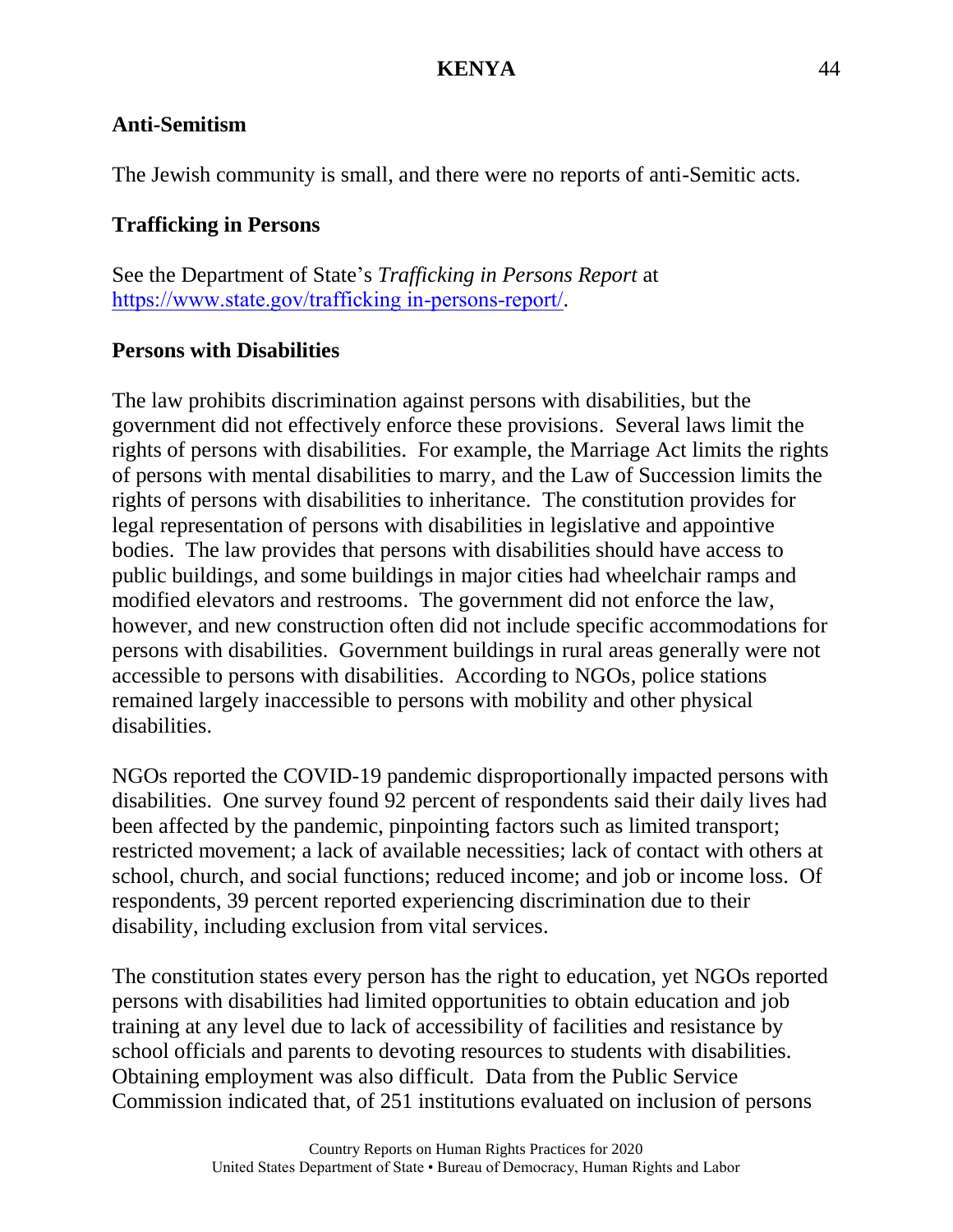## **Anti-Semitism**

The Jewish community is small, and there were no reports of anti-Semitic acts.

# **Trafficking in Persons**

See the Department of State's *Trafficking in Persons Report* at [https://www.state.gov/trafficking in-persons-report/](https://www.state.gov/trafficking%20in-persons-report/).

# **Persons with Disabilities**

The law prohibits discrimination against persons with disabilities, but the government did not effectively enforce these provisions. Several laws limit the rights of persons with disabilities. For example, the Marriage Act limits the rights of persons with mental disabilities to marry, and the Law of Succession limits the rights of persons with disabilities to inheritance. The constitution provides for legal representation of persons with disabilities in legislative and appointive bodies. The law provides that persons with disabilities should have access to public buildings, and some buildings in major cities had wheelchair ramps and modified elevators and restrooms. The government did not enforce the law, however, and new construction often did not include specific accommodations for persons with disabilities. Government buildings in rural areas generally were not accessible to persons with disabilities. According to NGOs, police stations remained largely inaccessible to persons with mobility and other physical disabilities.

NGOs reported the COVID-19 pandemic disproportionally impacted persons with disabilities. One survey found 92 percent of respondents said their daily lives had been affected by the pandemic, pinpointing factors such as limited transport; restricted movement; a lack of available necessities; lack of contact with others at school, church, and social functions; reduced income; and job or income loss. Of respondents, 39 percent reported experiencing discrimination due to their disability, including exclusion from vital services.

The constitution states every person has the right to education, yet NGOs reported persons with disabilities had limited opportunities to obtain education and job training at any level due to lack of accessibility of facilities and resistance by school officials and parents to devoting resources to students with disabilities. Obtaining employment was also difficult. Data from the Public Service Commission indicated that, of 251 institutions evaluated on inclusion of persons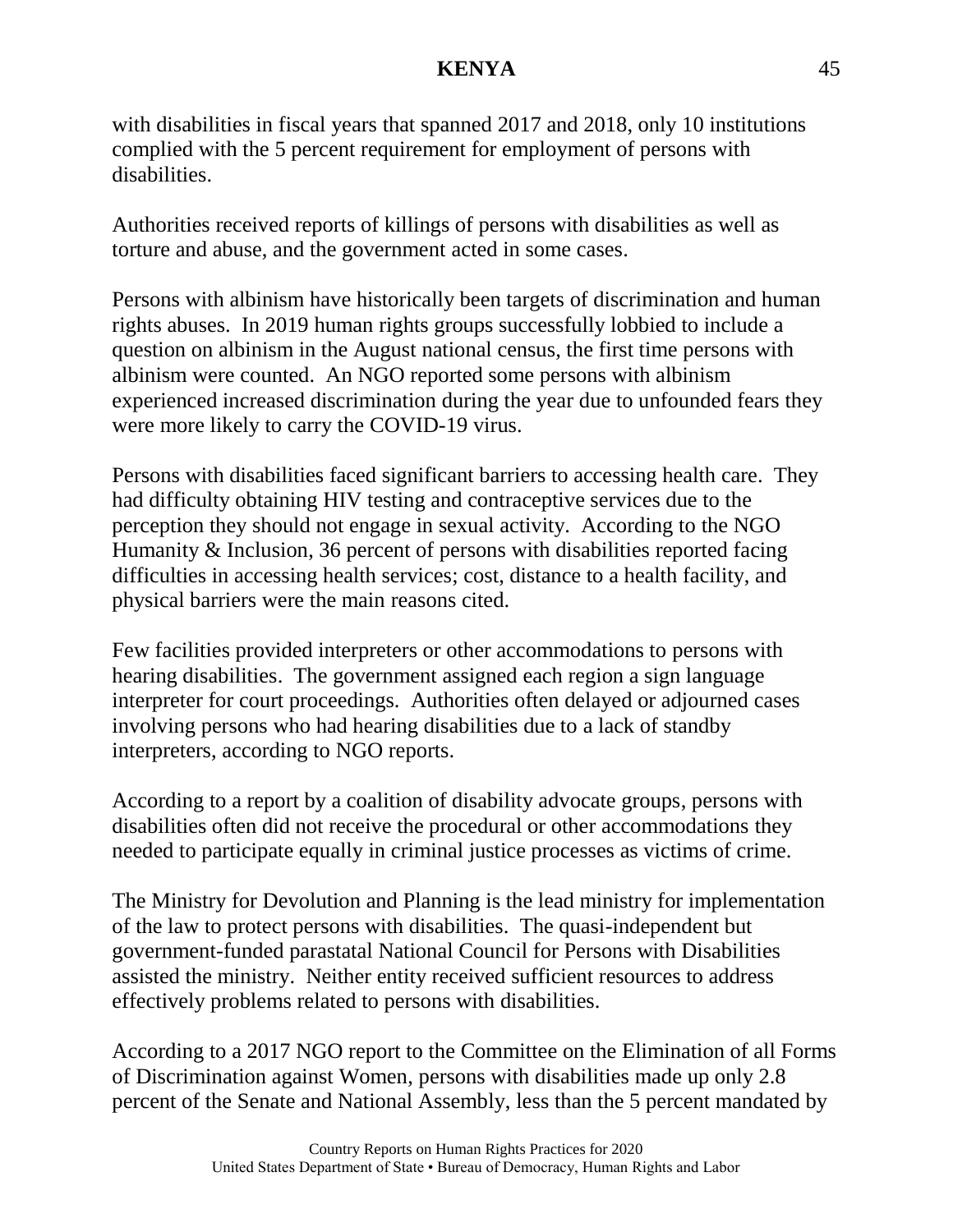with disabilities in fiscal years that spanned 2017 and 2018, only 10 institutions complied with the 5 percent requirement for employment of persons with disabilities.

Authorities received reports of killings of persons with disabilities as well as torture and abuse, and the government acted in some cases.

Persons with albinism have historically been targets of discrimination and human rights abuses. In 2019 human rights groups successfully lobbied to include a question on albinism in the August national census, the first time persons with albinism were counted. An NGO reported some persons with albinism experienced increased discrimination during the year due to unfounded fears they were more likely to carry the COVID-19 virus.

Persons with disabilities faced significant barriers to accessing health care. They had difficulty obtaining HIV testing and contraceptive services due to the perception they should not engage in sexual activity. According to the NGO Humanity & Inclusion, 36 percent of persons with disabilities reported facing difficulties in accessing health services; cost, distance to a health facility, and physical barriers were the main reasons cited.

Few facilities provided interpreters or other accommodations to persons with hearing disabilities. The government assigned each region a sign language interpreter for court proceedings. Authorities often delayed or adjourned cases involving persons who had hearing disabilities due to a lack of standby interpreters, according to NGO reports.

According to a report by a coalition of disability advocate groups, persons with disabilities often did not receive the procedural or other accommodations they needed to participate equally in criminal justice processes as victims of crime.

The Ministry for Devolution and Planning is the lead ministry for implementation of the law to protect persons with disabilities. The quasi-independent but government-funded parastatal National Council for Persons with Disabilities assisted the ministry. Neither entity received sufficient resources to address effectively problems related to persons with disabilities.

According to a 2017 NGO report to the Committee on the Elimination of all Forms of Discrimination against Women, persons with disabilities made up only 2.8 percent of the Senate and National Assembly, less than the 5 percent mandated by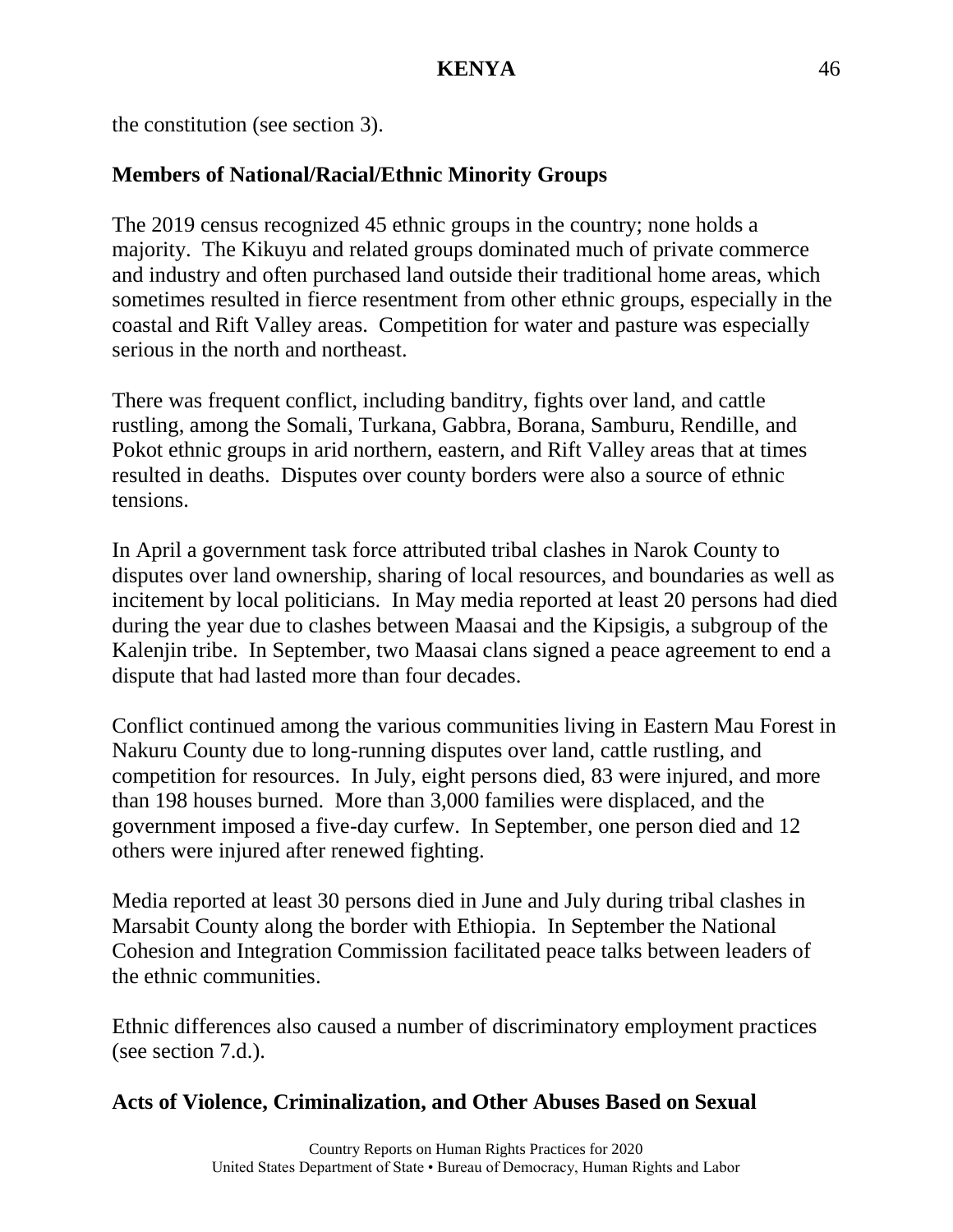the constitution (see section 3).

## **Members of National/Racial/Ethnic Minority Groups**

The 2019 census recognized 45 ethnic groups in the country; none holds a majority. The Kikuyu and related groups dominated much of private commerce and industry and often purchased land outside their traditional home areas, which sometimes resulted in fierce resentment from other ethnic groups, especially in the coastal and Rift Valley areas. Competition for water and pasture was especially serious in the north and northeast.

There was frequent conflict, including banditry, fights over land, and cattle rustling, among the Somali, Turkana, Gabbra, Borana, Samburu, Rendille, and Pokot ethnic groups in arid northern, eastern, and Rift Valley areas that at times resulted in deaths. Disputes over county borders were also a source of ethnic tensions.

In April a government task force attributed tribal clashes in Narok County to disputes over land ownership, sharing of local resources, and boundaries as well as incitement by local politicians. In May media reported at least 20 persons had died during the year due to clashes between Maasai and the Kipsigis, a subgroup of the Kalenjin tribe. In September, two Maasai clans signed a peace agreement to end a dispute that had lasted more than four decades.

Conflict continued among the various communities living in Eastern Mau Forest in Nakuru County due to long-running disputes over land, cattle rustling, and competition for resources. In July, eight persons died, 83 were injured, and more than 198 houses burned. More than 3,000 families were displaced, and the government imposed a five-day curfew. In September, one person died and 12 others were injured after renewed fighting.

Media reported at least 30 persons died in June and July during tribal clashes in Marsabit County along the border with Ethiopia. In September the National Cohesion and Integration Commission facilitated peace talks between leaders of the ethnic communities.

Ethnic differences also caused a number of discriminatory employment practices (see section 7.d.).

### **Acts of Violence, Criminalization, and Other Abuses Based on Sexual**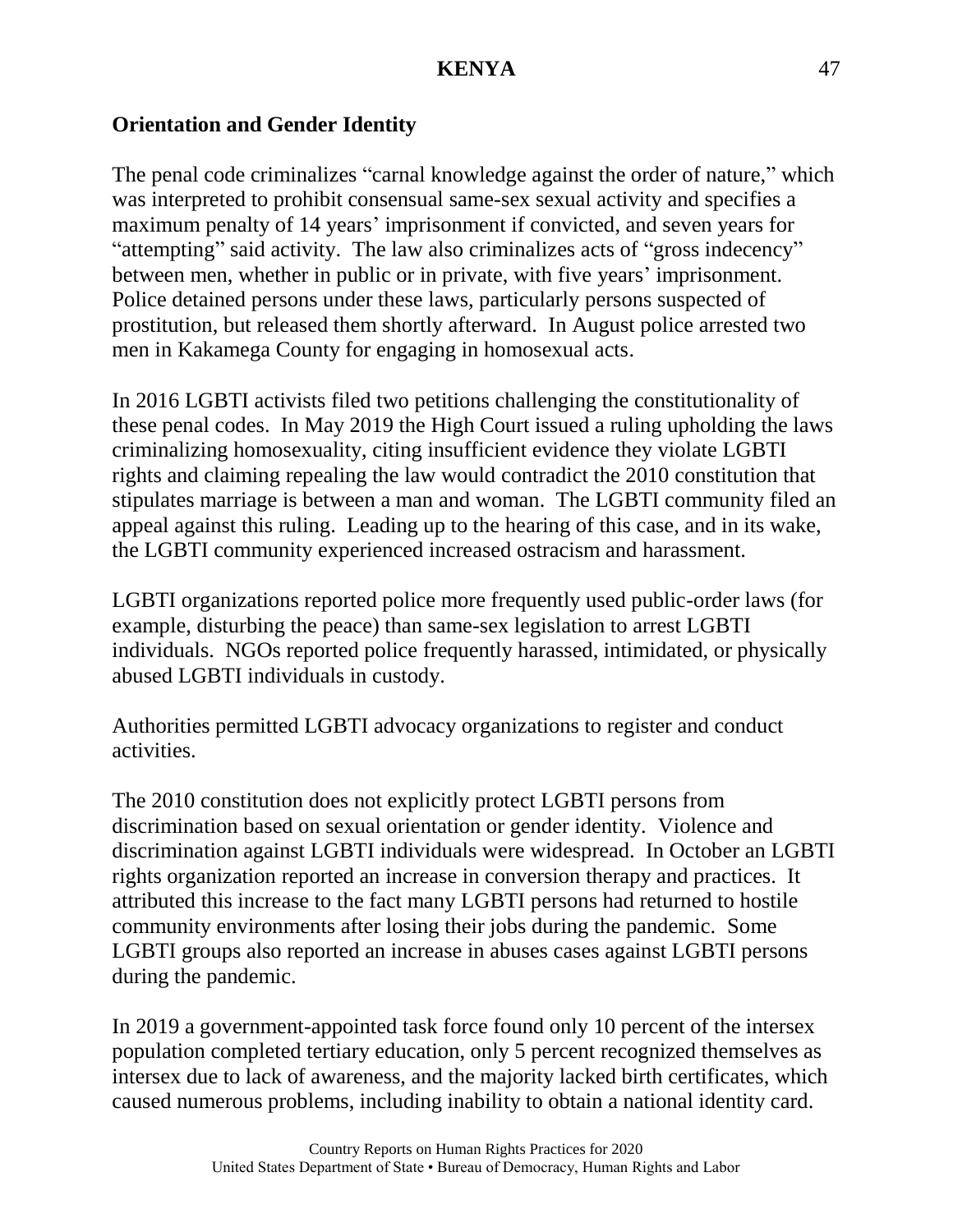### **Orientation and Gender Identity**

The penal code criminalizes "carnal knowledge against the order of nature," which was interpreted to prohibit consensual same-sex sexual activity and specifies a maximum penalty of 14 years' imprisonment if convicted, and seven years for "attempting" said activity. The law also criminalizes acts of "gross indecency" between men, whether in public or in private, with five years' imprisonment. Police detained persons under these laws, particularly persons suspected of prostitution, but released them shortly afterward. In August police arrested two men in Kakamega County for engaging in homosexual acts.

In 2016 LGBTI activists filed two petitions challenging the constitutionality of these penal codes. In May 2019 the High Court issued a ruling upholding the laws criminalizing homosexuality, citing insufficient evidence they violate LGBTI rights and claiming repealing the law would contradict the 2010 constitution that stipulates marriage is between a man and woman. The LGBTI community filed an appeal against this ruling. Leading up to the hearing of this case, and in its wake, the LGBTI community experienced increased ostracism and harassment.

LGBTI organizations reported police more frequently used public-order laws (for example, disturbing the peace) than same-sex legislation to arrest LGBTI individuals. NGOs reported police frequently harassed, intimidated, or physically abused LGBTI individuals in custody.

Authorities permitted LGBTI advocacy organizations to register and conduct activities.

The 2010 constitution does not explicitly protect LGBTI persons from discrimination based on sexual orientation or gender identity. Violence and discrimination against LGBTI individuals were widespread. In October an LGBTI rights organization reported an increase in conversion therapy and practices. It attributed this increase to the fact many LGBTI persons had returned to hostile community environments after losing their jobs during the pandemic. Some LGBTI groups also reported an increase in abuses cases against LGBTI persons during the pandemic.

In 2019 a government-appointed task force found only 10 percent of the intersex population completed tertiary education, only 5 percent recognized themselves as intersex due to lack of awareness, and the majority lacked birth certificates, which caused numerous problems, including inability to obtain a national identity card.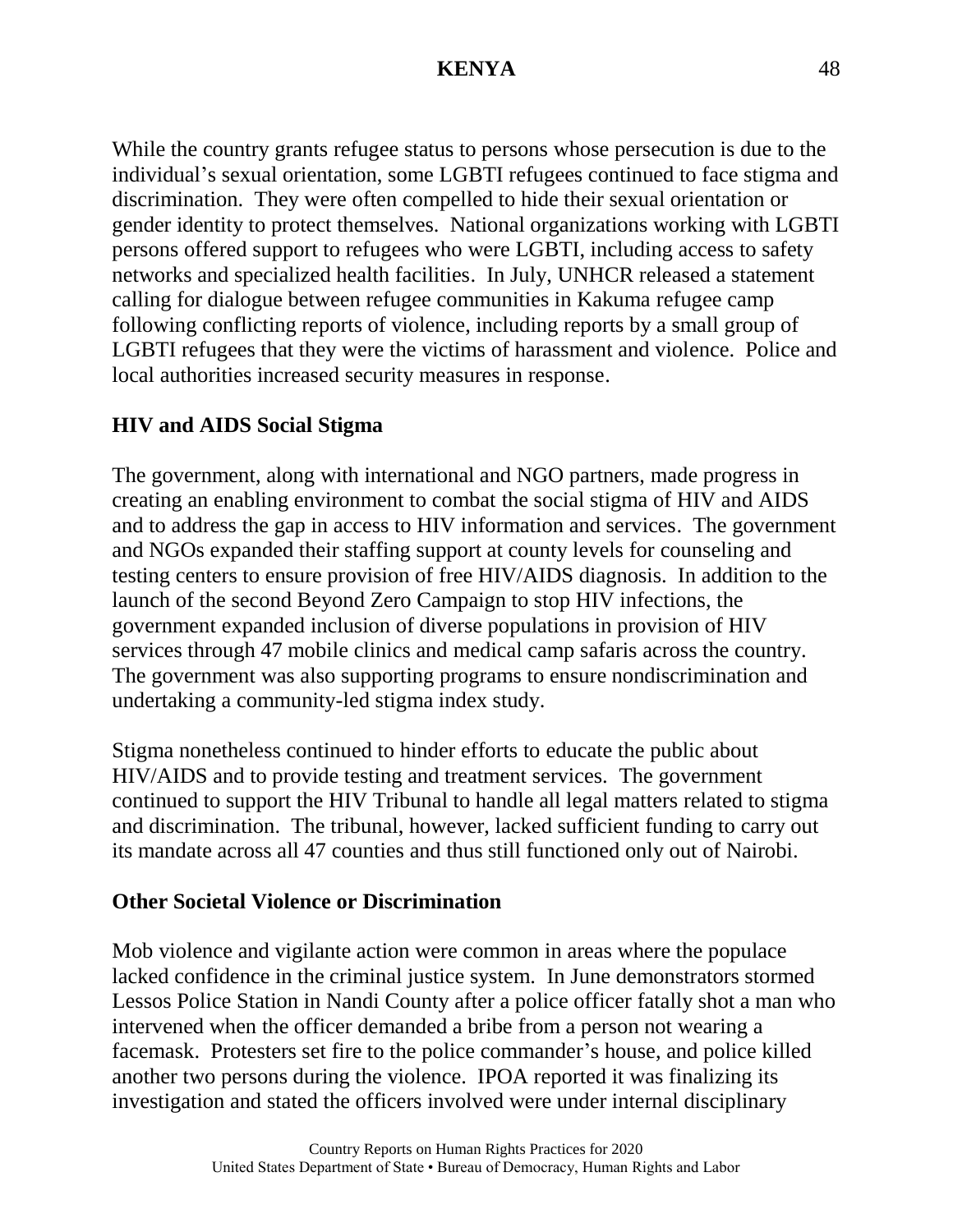While the country grants refugee status to persons whose persecution is due to the individual's sexual orientation, some LGBTI refugees continued to face stigma and discrimination. They were often compelled to hide their sexual orientation or gender identity to protect themselves. National organizations working with LGBTI persons offered support to refugees who were LGBTI, including access to safety networks and specialized health facilities. In July, UNHCR released a statement calling for dialogue between refugee communities in Kakuma refugee camp following conflicting reports of violence, including reports by a small group of LGBTI refugees that they were the victims of harassment and violence. Police and local authorities increased security measures in response.

## **HIV and AIDS Social Stigma**

The government, along with international and NGO partners, made progress in creating an enabling environment to combat the social stigma of HIV and AIDS and to address the gap in access to HIV information and services. The government and NGOs expanded their staffing support at county levels for counseling and testing centers to ensure provision of free HIV/AIDS diagnosis. In addition to the launch of the second Beyond Zero Campaign to stop HIV infections, the government expanded inclusion of diverse populations in provision of HIV services through 47 mobile clinics and medical camp safaris across the country. The government was also supporting programs to ensure nondiscrimination and undertaking a community-led stigma index study.

Stigma nonetheless continued to hinder efforts to educate the public about HIV/AIDS and to provide testing and treatment services. The government continued to support the HIV Tribunal to handle all legal matters related to stigma and discrimination. The tribunal, however, lacked sufficient funding to carry out its mandate across all 47 counties and thus still functioned only out of Nairobi.

#### **Other Societal Violence or Discrimination**

Mob violence and vigilante action were common in areas where the populace lacked confidence in the criminal justice system. In June demonstrators stormed Lessos Police Station in Nandi County after a police officer fatally shot a man who intervened when the officer demanded a bribe from a person not wearing a facemask. Protesters set fire to the police commander's house, and police killed another two persons during the violence. IPOA reported it was finalizing its investigation and stated the officers involved were under internal disciplinary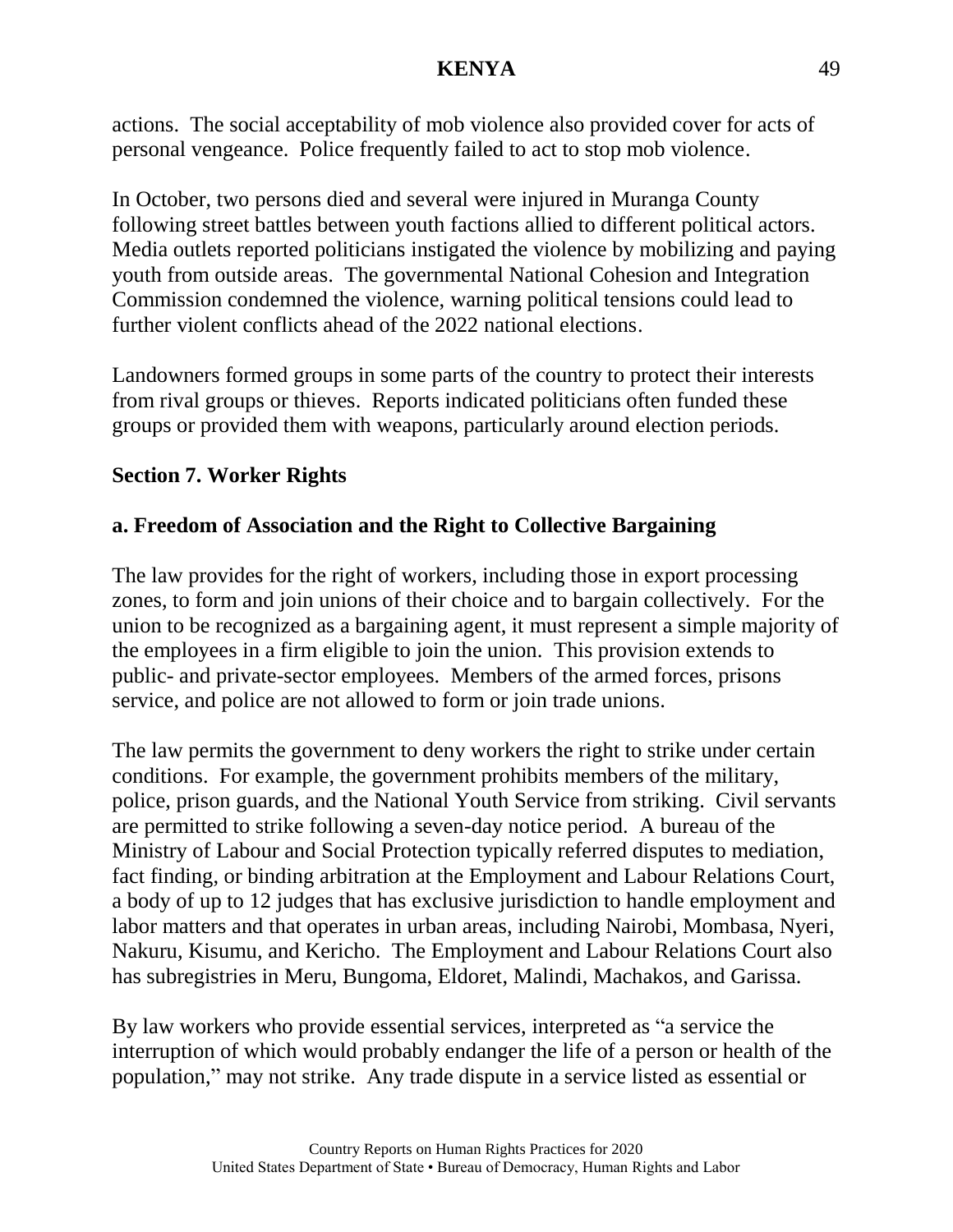actions. The social acceptability of mob violence also provided cover for acts of personal vengeance. Police frequently failed to act to stop mob violence.

In October, two persons died and several were injured in Muranga County following street battles between youth factions allied to different political actors. Media outlets reported politicians instigated the violence by mobilizing and paying youth from outside areas. The governmental National Cohesion and Integration Commission condemned the violence, warning political tensions could lead to further violent conflicts ahead of the 2022 national elections.

Landowners formed groups in some parts of the country to protect their interests from rival groups or thieves. Reports indicated politicians often funded these groups or provided them with weapons, particularly around election periods.

## **Section 7. Worker Rights**

# **a. Freedom of Association and the Right to Collective Bargaining**

The law provides for the right of workers, including those in export processing zones, to form and join unions of their choice and to bargain collectively. For the union to be recognized as a bargaining agent, it must represent a simple majority of the employees in a firm eligible to join the union. This provision extends to public- and private-sector employees. Members of the armed forces, prisons service, and police are not allowed to form or join trade unions.

The law permits the government to deny workers the right to strike under certain conditions. For example, the government prohibits members of the military, police, prison guards, and the National Youth Service from striking. Civil servants are permitted to strike following a seven-day notice period. A bureau of the Ministry of Labour and Social Protection typically referred disputes to mediation, fact finding, or binding arbitration at the Employment and Labour Relations Court, a body of up to 12 judges that has exclusive jurisdiction to handle employment and labor matters and that operates in urban areas, including Nairobi, Mombasa, Nyeri, Nakuru, Kisumu, and Kericho. The Employment and Labour Relations Court also has subregistries in Meru, Bungoma, Eldoret, Malindi, Machakos, and Garissa.

By law workers who provide essential services, interpreted as "a service the interruption of which would probably endanger the life of a person or health of the population," may not strike. Any trade dispute in a service listed as essential or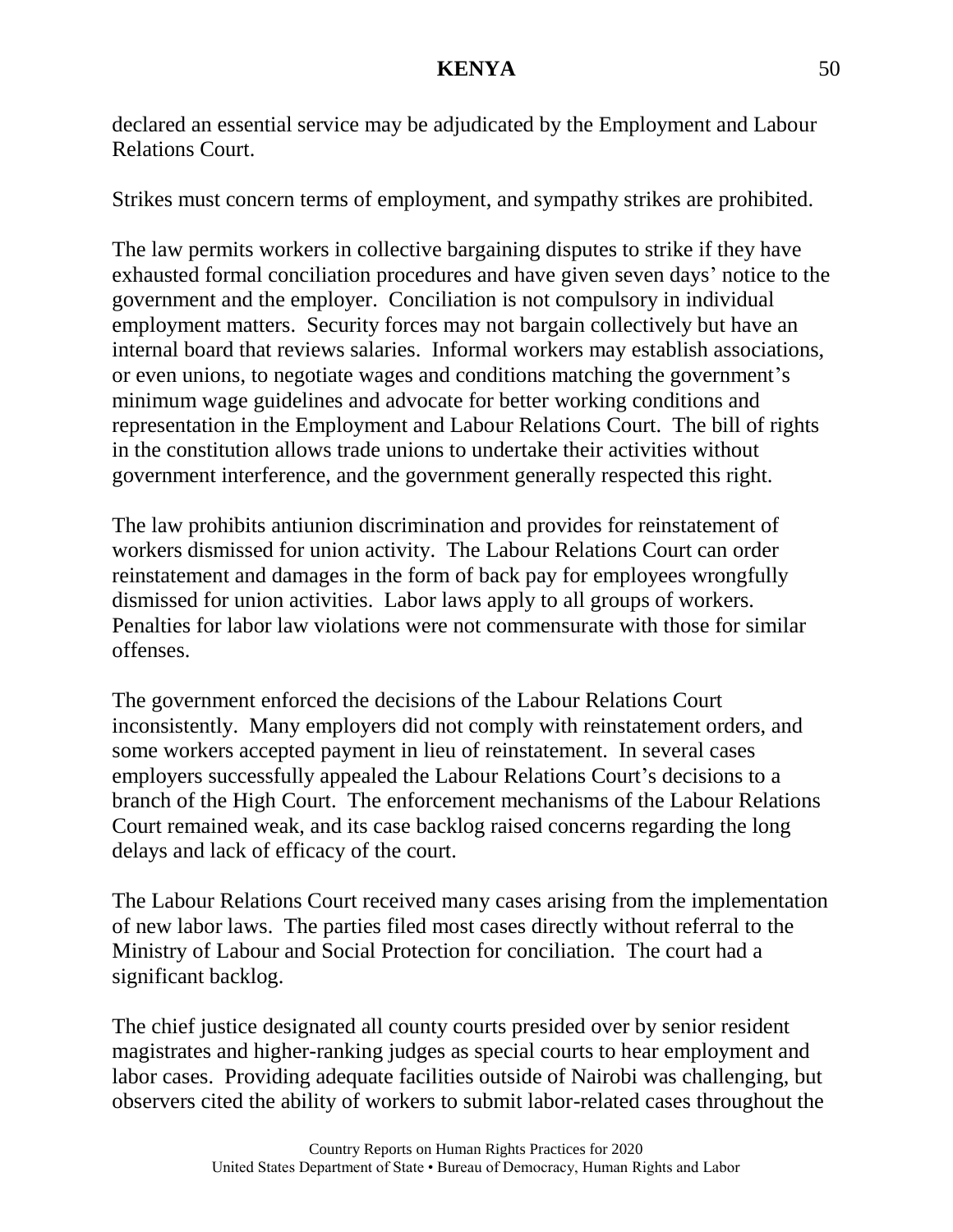declared an essential service may be adjudicated by the Employment and Labour Relations Court.

Strikes must concern terms of employment, and sympathy strikes are prohibited.

The law permits workers in collective bargaining disputes to strike if they have exhausted formal conciliation procedures and have given seven days' notice to the government and the employer. Conciliation is not compulsory in individual employment matters. Security forces may not bargain collectively but have an internal board that reviews salaries. Informal workers may establish associations, or even unions, to negotiate wages and conditions matching the government's minimum wage guidelines and advocate for better working conditions and representation in the Employment and Labour Relations Court. The bill of rights in the constitution allows trade unions to undertake their activities without government interference, and the government generally respected this right.

The law prohibits antiunion discrimination and provides for reinstatement of workers dismissed for union activity. The Labour Relations Court can order reinstatement and damages in the form of back pay for employees wrongfully dismissed for union activities. Labor laws apply to all groups of workers. Penalties for labor law violations were not commensurate with those for similar offenses.

The government enforced the decisions of the Labour Relations Court inconsistently. Many employers did not comply with reinstatement orders, and some workers accepted payment in lieu of reinstatement. In several cases employers successfully appealed the Labour Relations Court's decisions to a branch of the High Court. The enforcement mechanisms of the Labour Relations Court remained weak, and its case backlog raised concerns regarding the long delays and lack of efficacy of the court.

The Labour Relations Court received many cases arising from the implementation of new labor laws. The parties filed most cases directly without referral to the Ministry of Labour and Social Protection for conciliation. The court had a significant backlog.

The chief justice designated all county courts presided over by senior resident magistrates and higher-ranking judges as special courts to hear employment and labor cases. Providing adequate facilities outside of Nairobi was challenging, but observers cited the ability of workers to submit labor-related cases throughout the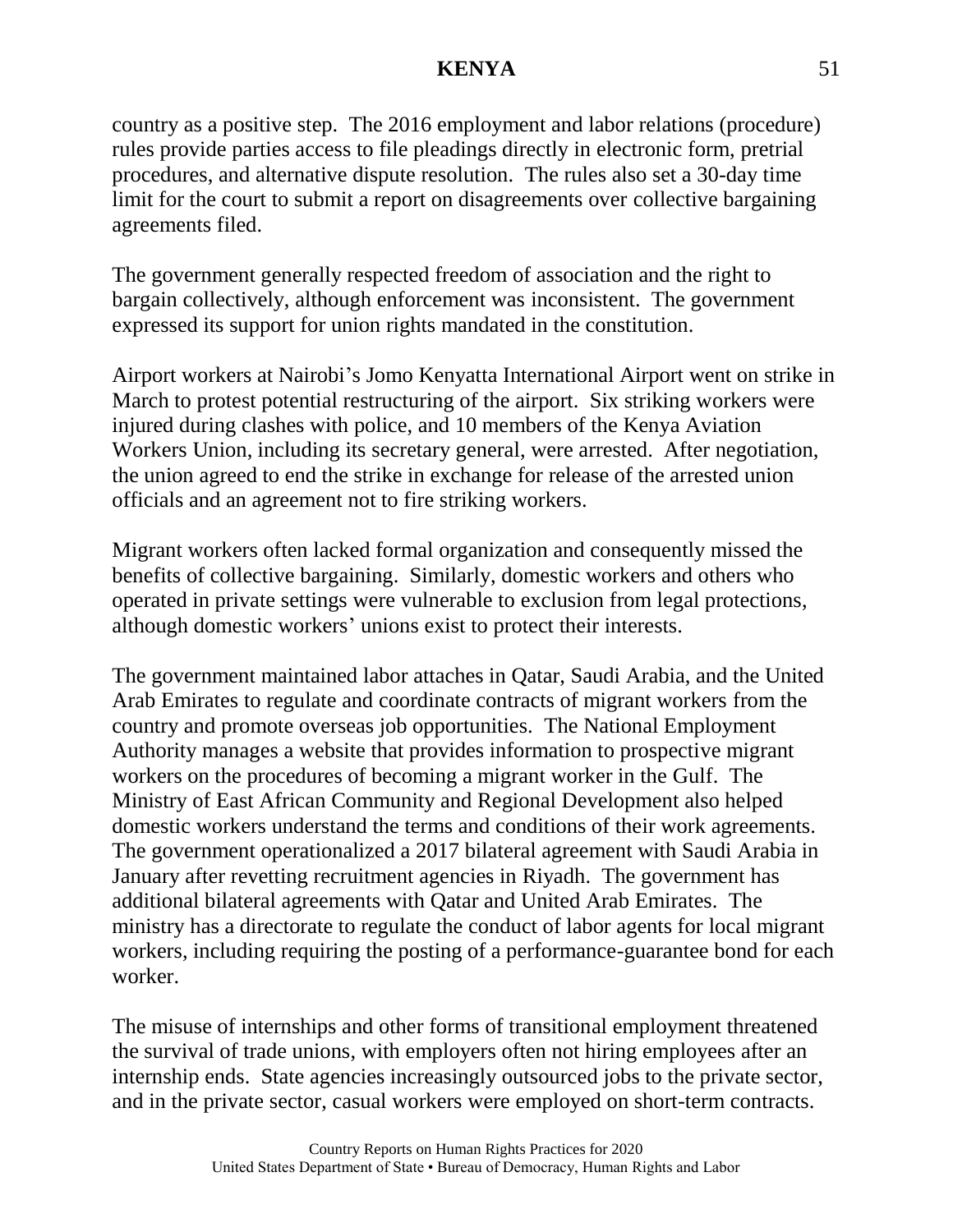country as a positive step. The 2016 employment and labor relations (procedure) rules provide parties access to file pleadings directly in electronic form, pretrial procedures, and alternative dispute resolution. The rules also set a 30-day time limit for the court to submit a report on disagreements over collective bargaining agreements filed.

The government generally respected freedom of association and the right to bargain collectively, although enforcement was inconsistent. The government expressed its support for union rights mandated in the constitution.

Airport workers at Nairobi's Jomo Kenyatta International Airport went on strike in March to protest potential restructuring of the airport. Six striking workers were injured during clashes with police, and 10 members of the Kenya Aviation Workers Union, including its secretary general, were arrested. After negotiation, the union agreed to end the strike in exchange for release of the arrested union officials and an agreement not to fire striking workers.

Migrant workers often lacked formal organization and consequently missed the benefits of collective bargaining. Similarly, domestic workers and others who operated in private settings were vulnerable to exclusion from legal protections, although domestic workers' unions exist to protect their interests.

The government maintained labor attaches in Qatar, Saudi Arabia, and the United Arab Emirates to regulate and coordinate contracts of migrant workers from the country and promote overseas job opportunities. The National Employment Authority manages a website that provides information to prospective migrant workers on the procedures of becoming a migrant worker in the Gulf. The Ministry of East African Community and Regional Development also helped domestic workers understand the terms and conditions of their work agreements. The government operationalized a 2017 bilateral agreement with Saudi Arabia in January after revetting recruitment agencies in Riyadh. The government has additional bilateral agreements with Qatar and United Arab Emirates. The ministry has a directorate to regulate the conduct of labor agents for local migrant workers, including requiring the posting of a performance-guarantee bond for each worker.

The misuse of internships and other forms of transitional employment threatened the survival of trade unions, with employers often not hiring employees after an internship ends. State agencies increasingly outsourced jobs to the private sector, and in the private sector, casual workers were employed on short-term contracts.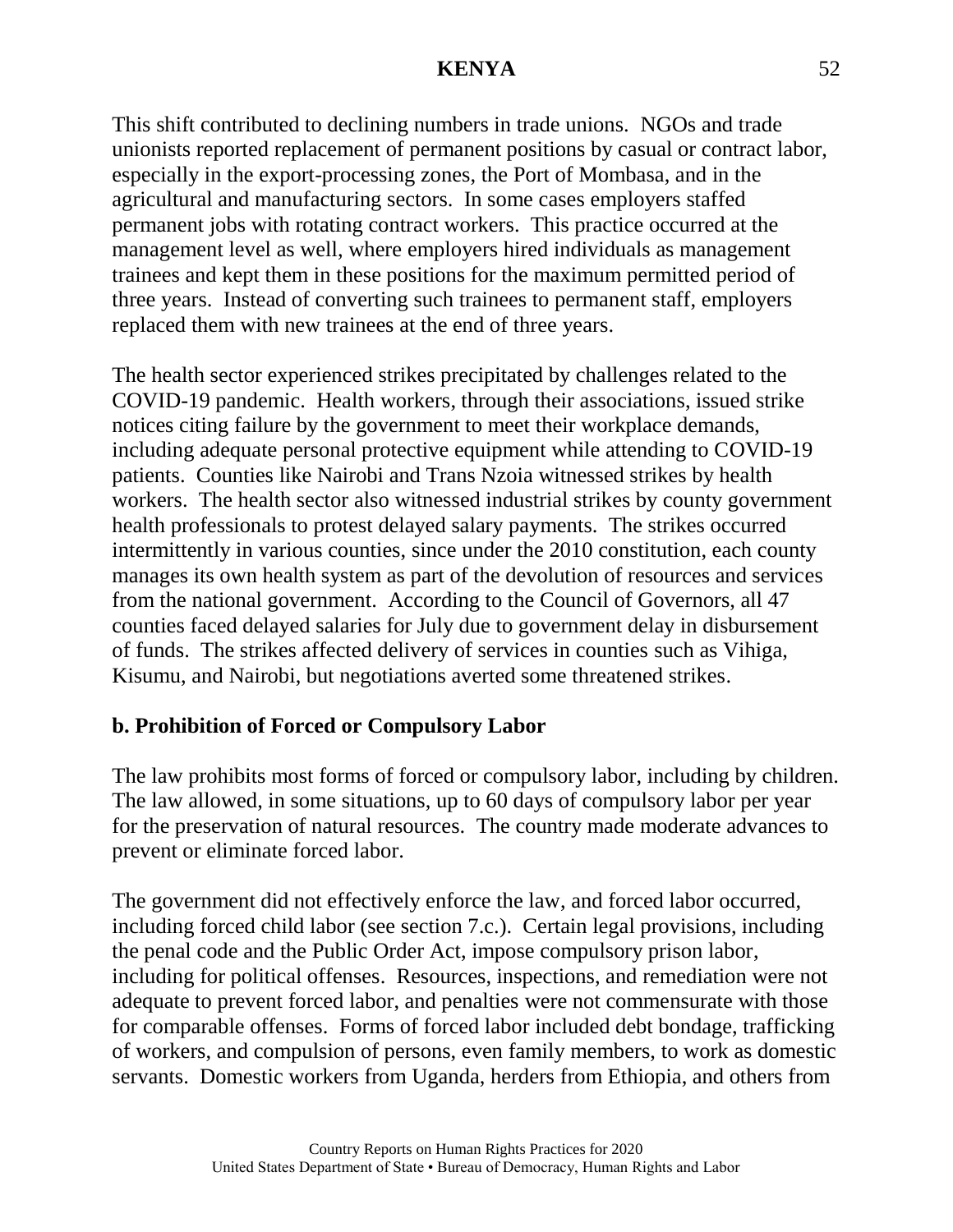This shift contributed to declining numbers in trade unions. NGOs and trade unionists reported replacement of permanent positions by casual or contract labor, especially in the export-processing zones, the Port of Mombasa, and in the agricultural and manufacturing sectors. In some cases employers staffed permanent jobs with rotating contract workers. This practice occurred at the management level as well, where employers hired individuals as management trainees and kept them in these positions for the maximum permitted period of three years. Instead of converting such trainees to permanent staff, employers replaced them with new trainees at the end of three years.

The health sector experienced strikes precipitated by challenges related to the COVID-19 pandemic. Health workers, through their associations, issued strike notices citing failure by the government to meet their workplace demands, including adequate personal protective equipment while attending to COVID-19 patients. Counties like Nairobi and Trans Nzoia witnessed strikes by health workers. The health sector also witnessed industrial strikes by county government health professionals to protest delayed salary payments. The strikes occurred intermittently in various counties, since under the 2010 constitution, each county manages its own health system as part of the devolution of resources and services from the national government. According to the Council of Governors, all 47 counties faced delayed salaries for July due to government delay in disbursement of funds. The strikes affected delivery of services in counties such as Vihiga, Kisumu, and Nairobi, but negotiations averted some threatened strikes.

### **b. Prohibition of Forced or Compulsory Labor**

The law prohibits most forms of forced or compulsory labor, including by children. The law allowed, in some situations, up to 60 days of compulsory labor per year for the preservation of natural resources. The country made moderate advances to prevent or eliminate forced labor.

The government did not effectively enforce the law, and forced labor occurred, including forced child labor (see section 7.c.). Certain legal provisions, including the penal code and the Public Order Act, impose compulsory prison labor, including for political offenses. Resources, inspections, and remediation were not adequate to prevent forced labor, and penalties were not commensurate with those for comparable offenses. Forms of forced labor included debt bondage, trafficking of workers, and compulsion of persons, even family members, to work as domestic servants. Domestic workers from Uganda, herders from Ethiopia, and others from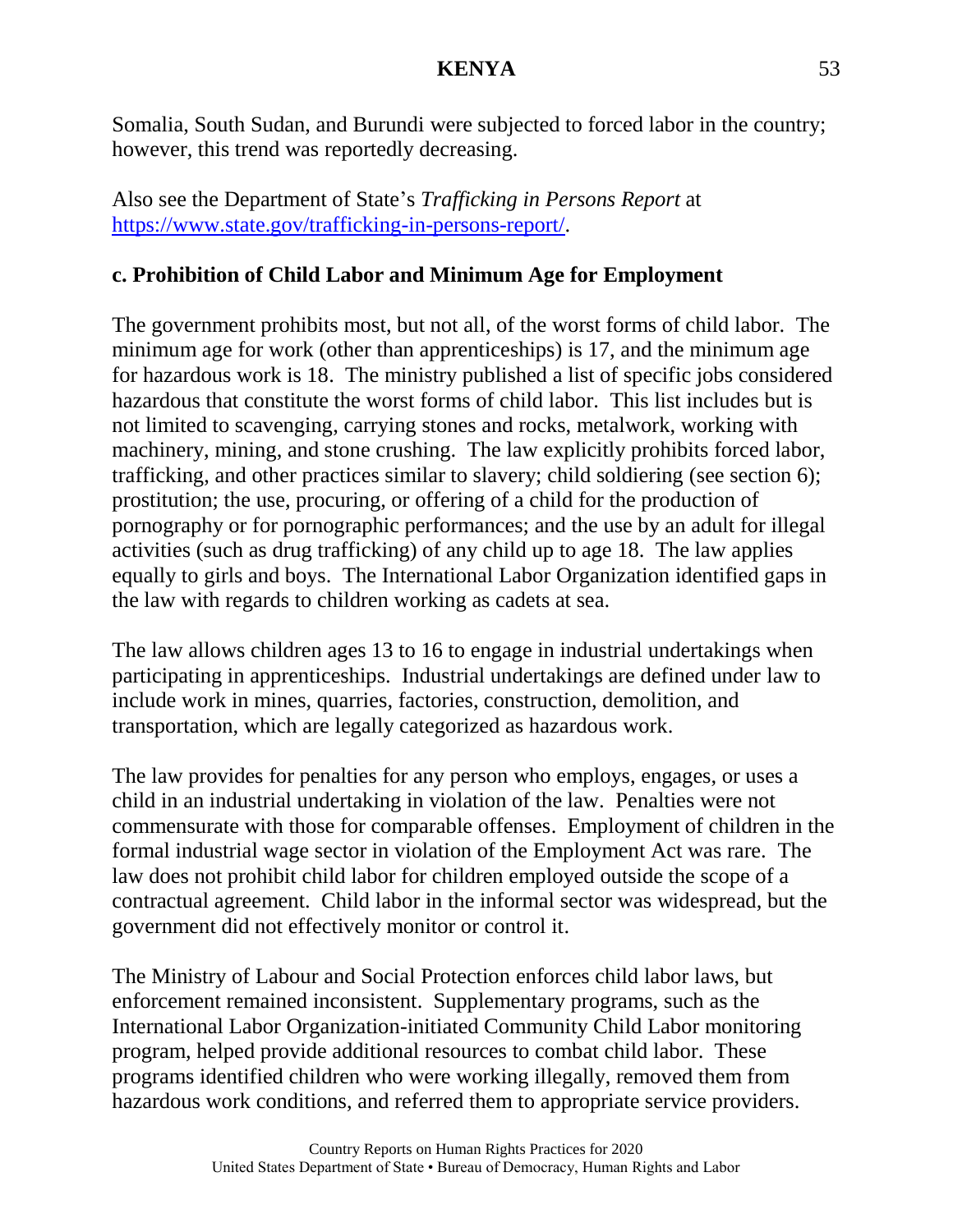Somalia, South Sudan, and Burundi were subjected to forced labor in the country; however, this trend was reportedly decreasing.

Also see the Department of State's *Trafficking in Persons Report* at [https://www.state.gov/trafficking-in-persons-report/.](https://www.state.gov/trafficking-in-persons-report/)

## **c. Prohibition of Child Labor and Minimum Age for Employment**

The government prohibits most, but not all, of the worst forms of child labor. The minimum age for work (other than apprenticeships) is 17, and the minimum age for hazardous work is 18. The ministry published a list of specific jobs considered hazardous that constitute the worst forms of child labor. This list includes but is not limited to scavenging, carrying stones and rocks, metalwork, working with machinery, mining, and stone crushing. The law explicitly prohibits forced labor, trafficking, and other practices similar to slavery; child soldiering (see section 6); prostitution; the use, procuring, or offering of a child for the production of pornography or for pornographic performances; and the use by an adult for illegal activities (such as drug trafficking) of any child up to age 18. The law applies equally to girls and boys. The International Labor Organization identified gaps in the law with regards to children working as cadets at sea.

The law allows children ages 13 to 16 to engage in industrial undertakings when participating in apprenticeships. Industrial undertakings are defined under law to include work in mines, quarries, factories, construction, demolition, and transportation, which are legally categorized as hazardous work.

The law provides for penalties for any person who employs, engages, or uses a child in an industrial undertaking in violation of the law. Penalties were not commensurate with those for comparable offenses. Employment of children in the formal industrial wage sector in violation of the Employment Act was rare. The law does not prohibit child labor for children employed outside the scope of a contractual agreement. Child labor in the informal sector was widespread, but the government did not effectively monitor or control it.

The Ministry of Labour and Social Protection enforces child labor laws, but enforcement remained inconsistent. Supplementary programs, such as the International Labor Organization-initiated Community Child Labor monitoring program, helped provide additional resources to combat child labor. These programs identified children who were working illegally, removed them from hazardous work conditions, and referred them to appropriate service providers.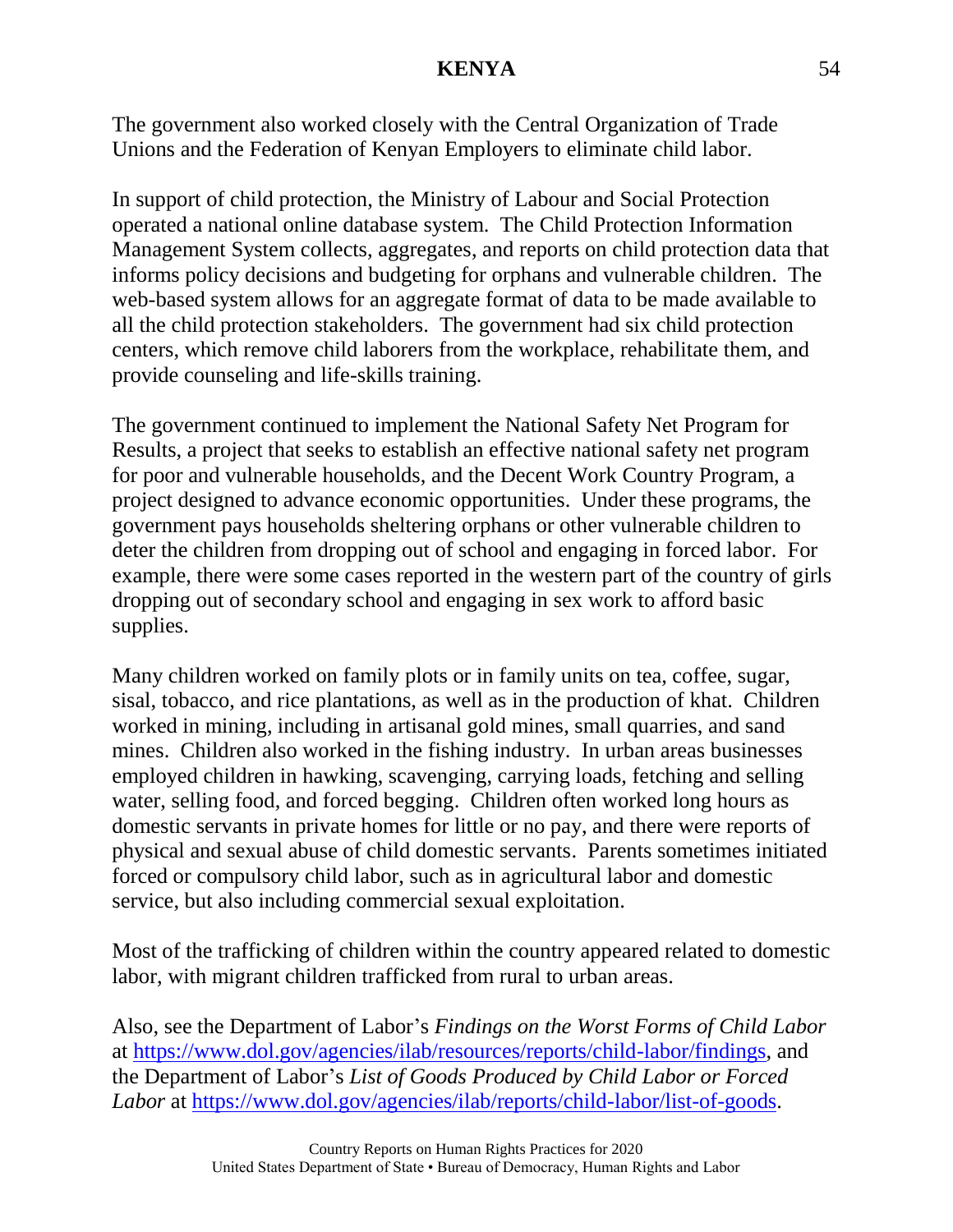The government also worked closely with the Central Organization of Trade Unions and the Federation of Kenyan Employers to eliminate child labor.

In support of child protection, the Ministry of Labour and Social Protection operated a national online database system. The Child Protection Information Management System collects, aggregates, and reports on child protection data that informs policy decisions and budgeting for orphans and vulnerable children. The web-based system allows for an aggregate format of data to be made available to all the child protection stakeholders. The government had six child protection centers, which remove child laborers from the workplace, rehabilitate them, and provide counseling and life-skills training.

The government continued to implement the National Safety Net Program for Results, a project that seeks to establish an effective national safety net program for poor and vulnerable households, and the Decent Work Country Program, a project designed to advance economic opportunities. Under these programs, the government pays households sheltering orphans or other vulnerable children to deter the children from dropping out of school and engaging in forced labor. For example, there were some cases reported in the western part of the country of girls dropping out of secondary school and engaging in sex work to afford basic supplies.

Many children worked on family plots or in family units on tea, coffee, sugar, sisal, tobacco, and rice plantations, as well as in the production of khat. Children worked in mining, including in artisanal gold mines, small quarries, and sand mines. Children also worked in the fishing industry. In urban areas businesses employed children in hawking, scavenging, carrying loads, fetching and selling water, selling food, and forced begging. Children often worked long hours as domestic servants in private homes for little or no pay, and there were reports of physical and sexual abuse of child domestic servants. Parents sometimes initiated forced or compulsory child labor, such as in agricultural labor and domestic service, but also including commercial sexual exploitation.

Most of the trafficking of children within the country appeared related to domestic labor, with migrant children trafficked from rural to urban areas.

Also, see the Department of Labor's *Findings on the Worst Forms of Child Labor* at [https://www.dol.gov/agencies/ilab/resources/reports/child-labor/findings,](https://www.dol.gov/agencies/ilab/resources/reports/child-labor/findings) and the Department of Labor's *List of Goods Produced by Child Labor or Forced Labor* at [https://www.dol.gov/agencies/ilab/reports/child-labor/list-of-goods.](https://www.dol.gov/agencies/ilab/reports/child-labor/list-of-goods)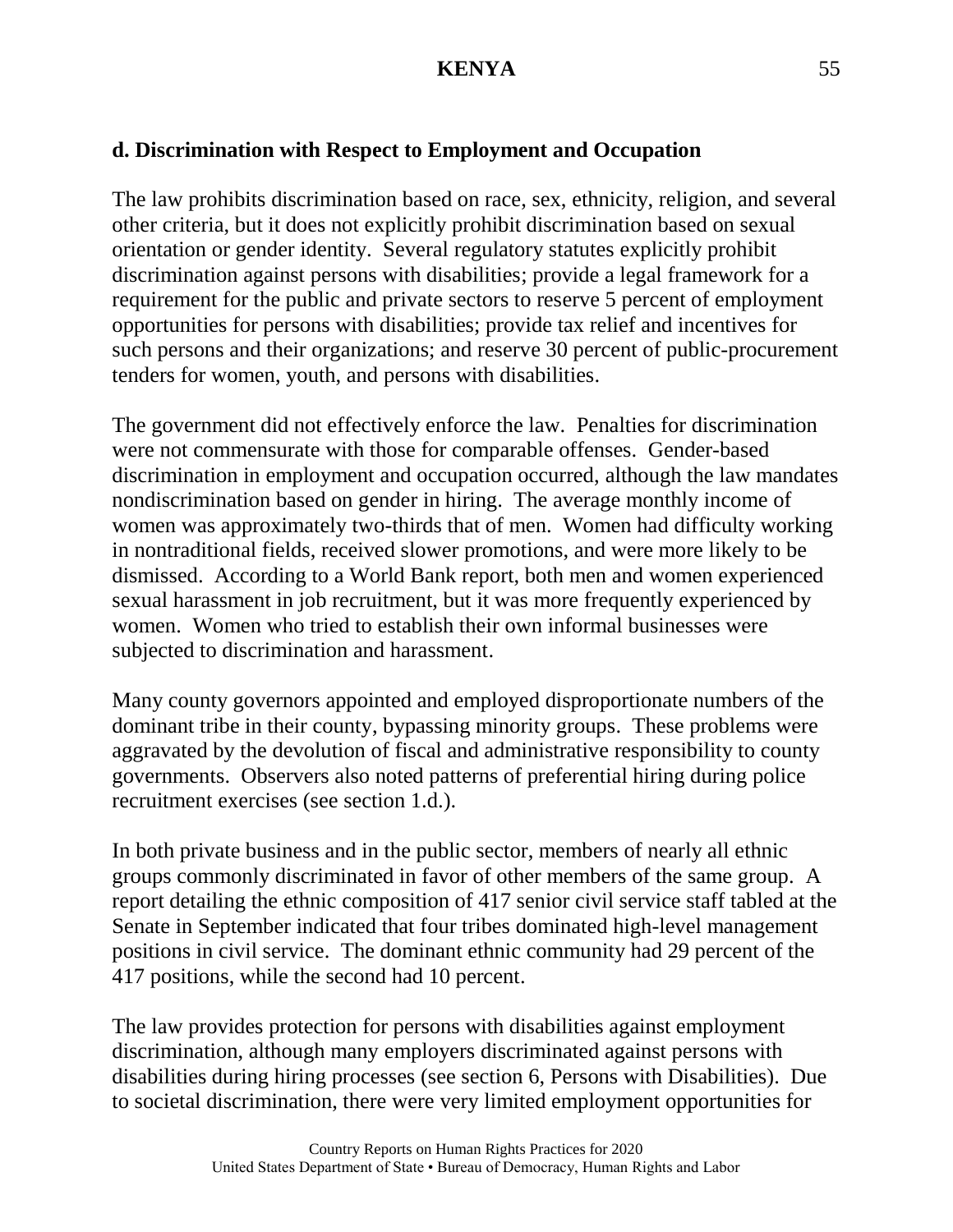## **d. Discrimination with Respect to Employment and Occupation**

The law prohibits discrimination based on race, sex, ethnicity, religion, and several other criteria, but it does not explicitly prohibit discrimination based on sexual orientation or gender identity. Several regulatory statutes explicitly prohibit discrimination against persons with disabilities; provide a legal framework for a requirement for the public and private sectors to reserve 5 percent of employment opportunities for persons with disabilities; provide tax relief and incentives for such persons and their organizations; and reserve 30 percent of public-procurement tenders for women, youth, and persons with disabilities.

The government did not effectively enforce the law. Penalties for discrimination were not commensurate with those for comparable offenses. Gender-based discrimination in employment and occupation occurred, although the law mandates nondiscrimination based on gender in hiring. The average monthly income of women was approximately two-thirds that of men. Women had difficulty working in nontraditional fields, received slower promotions, and were more likely to be dismissed. According to a World Bank report, both men and women experienced sexual harassment in job recruitment, but it was more frequently experienced by women. Women who tried to establish their own informal businesses were subjected to discrimination and harassment.

Many county governors appointed and employed disproportionate numbers of the dominant tribe in their county, bypassing minority groups. These problems were aggravated by the devolution of fiscal and administrative responsibility to county governments. Observers also noted patterns of preferential hiring during police recruitment exercises (see section 1.d.).

In both private business and in the public sector, members of nearly all ethnic groups commonly discriminated in favor of other members of the same group. A report detailing the ethnic composition of 417 senior civil service staff tabled at the Senate in September indicated that four tribes dominated high-level management positions in civil service. The dominant ethnic community had 29 percent of the 417 positions, while the second had 10 percent.

The law provides protection for persons with disabilities against employment discrimination, although many employers discriminated against persons with disabilities during hiring processes (see section 6, Persons with Disabilities). Due to societal discrimination, there were very limited employment opportunities for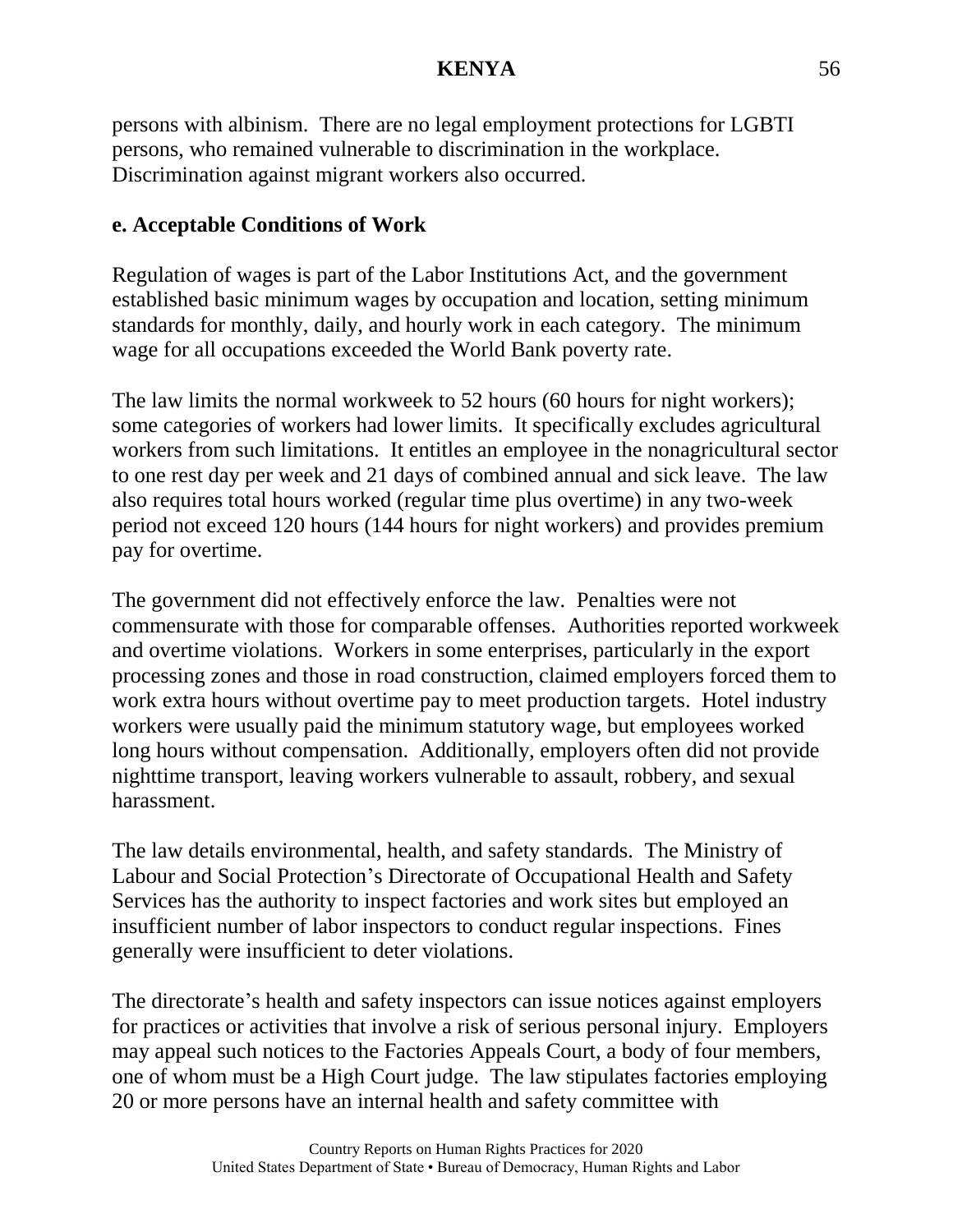persons with albinism. There are no legal employment protections for LGBTI persons, who remained vulnerable to discrimination in the workplace. Discrimination against migrant workers also occurred.

## **e. Acceptable Conditions of Work**

Regulation of wages is part of the Labor Institutions Act, and the government established basic minimum wages by occupation and location, setting minimum standards for monthly, daily, and hourly work in each category. The minimum wage for all occupations exceeded the World Bank poverty rate.

The law limits the normal workweek to 52 hours (60 hours for night workers); some categories of workers had lower limits. It specifically excludes agricultural workers from such limitations. It entitles an employee in the nonagricultural sector to one rest day per week and 21 days of combined annual and sick leave. The law also requires total hours worked (regular time plus overtime) in any two-week period not exceed 120 hours (144 hours for night workers) and provides premium pay for overtime.

The government did not effectively enforce the law. Penalties were not commensurate with those for comparable offenses. Authorities reported workweek and overtime violations. Workers in some enterprises, particularly in the export processing zones and those in road construction, claimed employers forced them to work extra hours without overtime pay to meet production targets. Hotel industry workers were usually paid the minimum statutory wage, but employees worked long hours without compensation. Additionally, employers often did not provide nighttime transport, leaving workers vulnerable to assault, robbery, and sexual harassment.

The law details environmental, health, and safety standards. The Ministry of Labour and Social Protection's Directorate of Occupational Health and Safety Services has the authority to inspect factories and work sites but employed an insufficient number of labor inspectors to conduct regular inspections. Fines generally were insufficient to deter violations.

The directorate's health and safety inspectors can issue notices against employers for practices or activities that involve a risk of serious personal injury. Employers may appeal such notices to the Factories Appeals Court, a body of four members, one of whom must be a High Court judge. The law stipulates factories employing 20 or more persons have an internal health and safety committee with